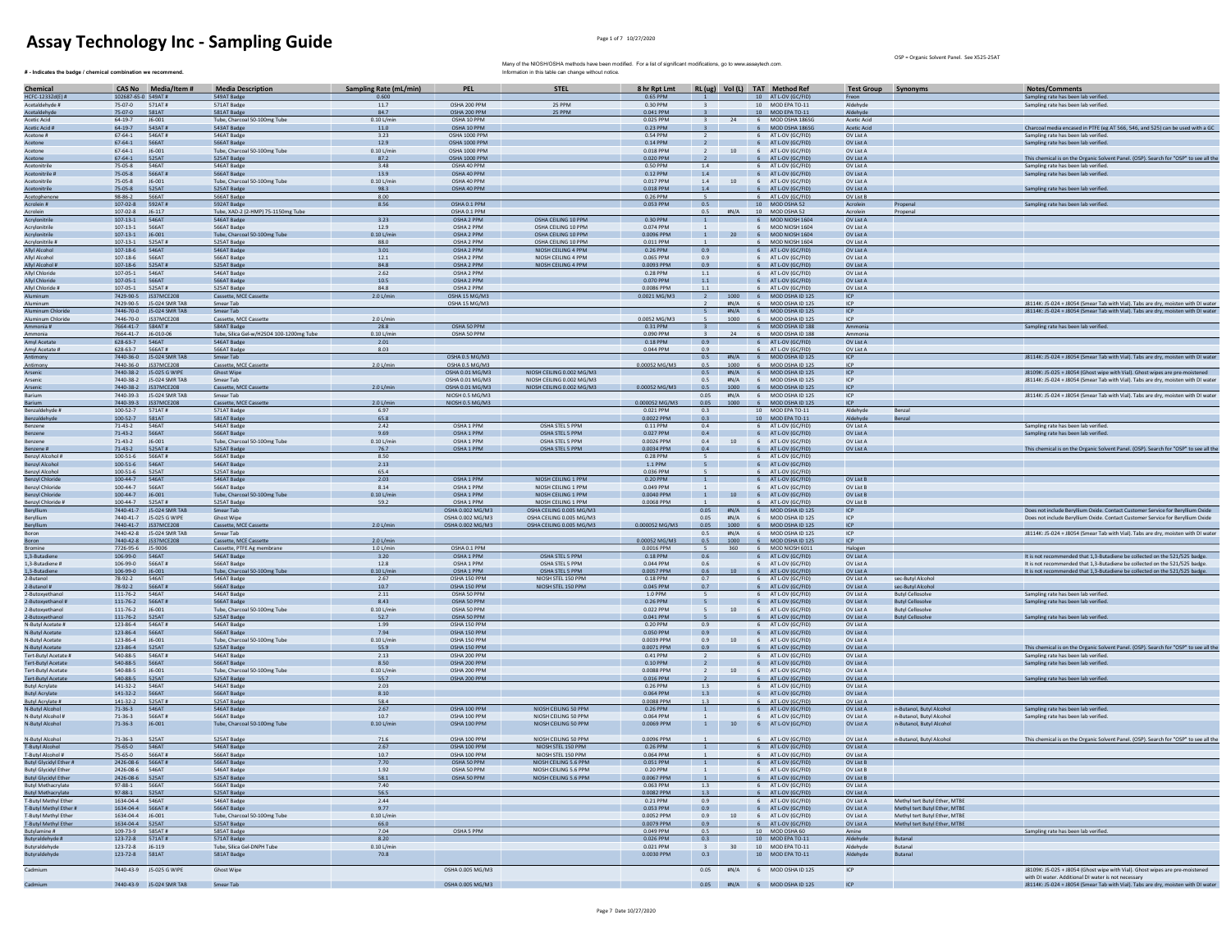$#$  - Indicates the badge / chemical combination we recommend.

OSP = Organic Solvent Panel. See X525-25AT

| Chemical                                                     |                                         | CAS No Media/Item #                                 | <b>Media Description</b>                     | <b>Sampling Rate (mL/min)</b> | PEL                                  | <b>STEL</b>                                            | 8 hr Rpt Lmt            |                             |                 |                 | RL (ug) Vol (L) TAT Method Ref                   | <b>Test Group Synonyms</b> |                               | Notes/Comments                                                                                                                                                   |
|--------------------------------------------------------------|-----------------------------------------|-----------------------------------------------------|----------------------------------------------|-------------------------------|--------------------------------------|--------------------------------------------------------|-------------------------|-----------------------------|-----------------|-----------------|--------------------------------------------------|----------------------------|-------------------------------|------------------------------------------------------------------------------------------------------------------------------------------------------------------|
| HCFC-1233Zd(E) #                                             | 102687-65-0 549AT#                      |                                                     | 549AT Badge                                  | 0.600                         |                                      |                                                        | 0.65 PPM                |                             |                 |                 | 10 AT L-OV (GC/FID)                              | Freon                      |                               | Sampling rate has been lab verified.                                                                                                                             |
| Acetaldehyde #                                               | 75-07-0 571AT#                          |                                                     | 571AT Badge                                  | 11.7                          | OSHA 200 PPM                         | 25 PPM                                                 | 0.30 PPN                |                             |                 |                 | 10 MOD EPA TO-11                                 | Aldehyde                   |                               | Sampling rate has been lab verified.                                                                                                                             |
| Acetaldehyde                                                 | 75-07-0                                 | 581AT                                               | 581AT Badge                                  | 84.7                          | OSHA 200 PPM                         | 25 PPM                                                 | 0.041 PPM               | $\mathbf{R}$                |                 |                 | 10 MOD EPA TO-11                                 | Aldehyde                   |                               |                                                                                                                                                                  |
| <b>Acetic Acid</b>                                           | 64-19-7                                 | J6-001                                              | Tube, Charcoal 50-100mg Tube                 | $0.10$ L/min                  | OSHA 10 PPM                          |                                                        | 0.025 PPM               |                             | 24              |                 | 6 MOD OSHA 186SG                                 | Acetic Acid                |                               |                                                                                                                                                                  |
| Acetic Acid #                                                | 64-19-7                                 | 543AT#                                              | 543AT Badge                                  | 11.0                          | OSHA 10 PPM                          |                                                        | 0.23 PPM                |                             |                 |                 | 6 MOD OSHA 186SG                                 | Acetic Acid                |                               | Charcoal media encased in PTFE (eg AT 566, 546, and 525) can be used with a GC                                                                                   |
| Acetone #<br>Acetone                                         | 67-64-1 546AT#<br>67-64-1 566AT         |                                                     | 546AT Badge<br>566AT Badge                   | 3.23<br>12.9                  | OSHA 1000 PPM<br>OSHA 1000 PPM       |                                                        | 0.54 PPM<br>0.14 PPM    | <sup>2</sup><br>$2^{\circ}$ |                 |                 | 6 AT L-OV (GC/FID)<br>6 AT L-OV (GC/FID)         | OV List A<br>OV List A     |                               | Sampling rate has been lab verified.<br>Sampling rate has been lab verified.                                                                                     |
| Acetone                                                      | $67 - 64 - 1$                           | J6-001                                              | Tube, Charcoal 50-100mg Tube                 | $0.10$ L/mir                  | OSHA 1000 PPN                        |                                                        | 0.018 PPM               |                             | 10              | $6\overline{6}$ | AT L-OV (GC/FID)                                 | OV List A                  |                               |                                                                                                                                                                  |
| Acetone                                                      | $67 - 64 - 1$                           | 525AT                                               | 525AT Badge                                  | 87.2                          | OSHA 1000 PPM                        |                                                        | 0.020 PPM               |                             |                 |                 | AT L-OV (GC/FID)                                 | OV List A                  |                               | This chemical is on the Organic Solvent Panel. (OSP). Search for "OSP" to see all the                                                                            |
| Acetonitrile                                                 | 75-05-8                                 | <b>546AT</b>                                        | 546AT Badge                                  | 3.48                          | OSHA 40 PPM                          |                                                        | 0.50 PPM                | 1.4                         |                 |                 | 6 AT L-OV (GC/FID)                               | OV List A                  |                               | Sampling rate has been lab verified.                                                                                                                             |
| Acetonitrile #                                               | 75-05-8 566AT#                          |                                                     | 566AT Badge                                  | 13.9                          | OSHA 40 PPM                          |                                                        | 0.12 PPM                | 1.4                         |                 |                 | 6 AT L-OV (GC/FID)                               | OV List A                  |                               | Sampling rate has been lab verified.                                                                                                                             |
| Acetonitrile                                                 | 75-05-8                                 | J6-001                                              | Tube, Charcoal 50-100mg Tube                 | $0.10$ L/min                  | OSHA 40 PPM                          |                                                        | 0.017 PPM               | 1.4                         |                 |                 | 10 6 AT L-OV (GC/FID)                            | OV List A                  |                               |                                                                                                                                                                  |
| Acetonitrile                                                 | 75-05-8                                 | 525AT                                               | 525AT Badge                                  | 98.3                          | OSHA 40 PPM                          |                                                        | 0.018 PPM               | 1.4                         |                 |                 | 6 AT L-OV (GC/FID)                               | OV List A                  |                               | Sampling rate has been lab verified                                                                                                                              |
| Acetophenone<br>Acrolein #                                   | 98-86-2<br>107-02-8 592AT#              | 566AT                                               | 566AT Badge<br>592AT Badge                   | 8.00<br>8.56                  | OSHA 0.1 PPM                         |                                                        | 0.26 PPM<br>0.053 PPM   | 5<br>0.5                    |                 |                 | 6 AT L-OV (GC/FID)<br>10 MOD OSHA 52             | OV List B                  | Propenal                      | Sampling rate has been lab verified.                                                                                                                             |
| <b>Acrolein</b>                                              | 107-02-8 J6-117                         |                                                     | Tube, XAD-2 (2-HMP) 75-1150mg Tube           |                               | OSHA 0.1 PPM                         |                                                        |                         | 0.5                         | #N/A            |                 | 10 MOD OSHA 52                                   | Acrolein<br>Acrolein       | Propenal                      |                                                                                                                                                                  |
| Acrylonitrile                                                | 107-13-1 546AT                          |                                                     | 546AT Badge                                  | 3.23                          | OSHA 2 PPM                           | OSHA CEILING 10 PPM                                    | 0.30 PPM                | $\overline{1}$              |                 |                 | 6 MOD NIOSH 1604                                 | OVISTA                     |                               |                                                                                                                                                                  |
| Acrylonitrile                                                | 107-13-1 566AT                          |                                                     | 566AT Badge                                  | 12.9                          | OSHA 2 PPM                           | OSHA CEILING 10 PPM                                    | 0.074 PPM               | $\mathbf{1}$                |                 | 6               | MOD NIOSH 1604                                   | OV List A                  |                               |                                                                                                                                                                  |
| Acrylonitrile                                                | $107-13-1$ $16-001$                     |                                                     | Tube, Charcoal 50-100mg Tube                 | $0.10$ L/min                  | OSHA 2 PPM                           | OSHA CEILING 10 PPM                                    | 0.0096 PPM              | 1                           |                 |                 | 20 6 MOD NIOSH 1604                              | OV List A                  |                               |                                                                                                                                                                  |
| Acrylonitrile #                                              | 107-13-1    525AT#                      |                                                     | 525AT Badge                                  | 88.0                          | OSHA 2 PPM                           | OSHA CEILING 10 PPM                                    | 0.011 PPM               |                             |                 |                 | 6 MOD NIOSH 1604                                 | OV List A                  |                               |                                                                                                                                                                  |
| Allyl Alcohol                                                | 107-18-6                                | 546AT                                               | 546AT Badge                                  | 3.01                          | OSHA 2 PPM                           | NIOSH CEILING 4 PPN                                    | 0.26 PPM                | 0.9                         |                 |                 | 6 AT L-OV (GC/FID)                               | OV List A                  |                               |                                                                                                                                                                  |
| Allyl Alcohol                                                | 107-18-6 566AT<br>107-18-6 525AT#       |                                                     | 566AT Radge<br>525AT Badge                   | 12.1<br>84.8                  | OSHA 2 PPM<br>OSHA 2 PPM             | NIOSH CEILING 4 PPM<br>NIOSH CEILING 4 PPM             | 0.065 PPM<br>0.0093 PPM | 0.9<br>0.9                  |                 |                 | 6 AT L-OV (GC/FID)<br>6 AT L-OV (GC/FID)         | OV List A<br>OV List A     |                               |                                                                                                                                                                  |
| Allyl Alcohol #<br>Allyl Chloride                            | 107-05-1 546AT                          |                                                     | 546AT Badge                                  | 2.62                          | OSHA 2 PPM                           |                                                        | 0.28 PPM                | 1.1                         |                 |                 | 6 AT L-OV (GC/FID)                               | OV List A                  |                               |                                                                                                                                                                  |
| Allyl Chloride                                               | 107-05-1 566AT                          |                                                     | 566AT Badge                                  | 10.5                          | OSHA 2 PPM                           |                                                        | 0.070 PPM               | 1.1                         |                 |                 | 6 AT L-OV (GC/FID)                               | OV List A                  |                               |                                                                                                                                                                  |
| Allyl Chloride #                                             | 107-05-1                                | 525AT#                                              | 525AT Badge                                  | 84.8                          | OSHA 2 PPM                           |                                                        | 0.0086 PPM              | $1.1\,$                     |                 |                 | 6 AT L-OV (GC/FID)                               | OV List A                  |                               |                                                                                                                                                                  |
|                                                              |                                         | 7429-90-5 JS37MCE208                                | Cassette, MCE Cassette                       | 2.0 L/min                     | OSHA 15 MG/M3                        |                                                        | 0.0021 MG/M3            |                             |                 |                 | 1000 6 MOD OSHA ID 125                           |                            |                               |                                                                                                                                                                  |
| Aluminum                                                     |                                         | 7429-90-5 J5-024 SMR TAB                            | Smear Tab                                    |                               | OSHA 15 MG/M3                        |                                                        |                         |                             | H N/A           |                 | 6 MOD OSHA ID 12                                 | ICP                        |                               | J8114K: J5-024 + J8054 (Smear Tab with Vial). Tabs are dry, moisten with DI water                                                                                |
| Aluminum Chloride                                            |                                         | 7446-70-0 IS-024 SMR TAR                            | Smear Tab                                    |                               |                                      |                                                        |                         |                             |                 |                 | 5 #N/A 6 MOD OSHA ID 125                         | ICP                        |                               | J8114K: J5-024 + J8054 (Smear Tab with Vial). Tabs are dry, moisten with DI water                                                                                |
| Aluminum Chloride<br>Ammonia #                               |                                         | 7446-70-0 JS37MCE208                                | Cassette, MCE Cassette<br><b>584AT Badge</b> | 2.0 L/min                     | OSHA 50 PPM                          |                                                        | 0.0052 MG/M3            |                             | 1000            |                 | 6 MOD OSHA ID 12<br>6 MOD OSHA ID 188            | ICP                        |                               | Sampling rate has been lab verified.                                                                                                                             |
| Ammonia                                                      | 7664-41-7 584AT#<br>7664-41-7 J6-010-06 |                                                     | Tube, Silica Gel-w/H2SO4 100-1200mg Tube     | 28.8<br>0.10 L/min            | OSHA 50 PPM                          |                                                        | 0.31 PPM<br>0.090 PPM   |                             | 24              |                 | 6 MOD OSHA ID 188                                | Ammonia<br>Ammonia         |                               |                                                                                                                                                                  |
| Amyl Acetate                                                 | 628-63-7 546AT                          |                                                     | 546AT Badge                                  | 2.01                          |                                      |                                                        | 0.18 PPM                | 0.9                         |                 |                 | 6 AT L-OV (GC/FID)                               | OV List A                  |                               |                                                                                                                                                                  |
| Amyl Acetate #                                               | 628-63-7 566AT#                         |                                                     | 566AT Badge                                  | 8.03                          |                                      |                                                        | 0.044 PPM               | 0.9                         |                 |                 | 6 AT L-OV (GC/FID)                               | OV List A                  |                               |                                                                                                                                                                  |
| Antimony                                                     |                                         | 7440-36-0 J5-024 SMR TAB                            | Smear Tab                                    |                               | OSHA 0.5 MG/M3                       |                                                        |                         |                             |                 |                 | 0.5 #N/A 6 MOD OSHA ID 125                       | ICP                        |                               | J8114K: J5-024 + J8054 (Smear Tab with Vial). Tabs are dry, moisten with DI water                                                                                |
| Antimony                                                     |                                         | 7440-36-0 JS37MCE208                                | Cassette, MCE Cassette                       | 2.0 L/min                     | OSHA 0.5 MG/M3                       |                                                        | 0.00052 MG/M3           | 0.5                         | 1000            |                 | 6 MOD OSHA ID 125                                | ICP                        |                               |                                                                                                                                                                  |
| Arsenic                                                      |                                         | 7440-38-2 J5-025 G WIPE                             | <b>Ghost Wipe</b>                            |                               | OSHA 0.01 MG/M3                      | NIOSH CEILING 0.002 MG/M3                              |                         |                             |                 |                 | 0.5 #N/A 6 MOD OSHA ID 125                       | ICP                        |                               | J8109K: J5-025 + J8054 (Ghost wipe with Vial). Ghost wipes are pre-moistened                                                                                     |
| Arsenic                                                      |                                         | 7440-38-2 J5-024 SMR TAB<br>7440-38-2 JS37MCE208    | Smear Tab<br>Cassette, MCE Cassette          |                               | OSHA 0.01 MG/M3<br>OSHA 0.01 MG/M3   | NIOSH CEILING 0.002 MG/M3<br>NIOSH CEILING 0.002 MG/M3 | 0.00052 MG/M3           | 0.5<br>0.5                  | $\text{HN/A}$   |                 | 6 MOD OSHA ID 125<br>1000 6 MOD OSHA ID 125      | ICP<br>ICP                 |                               | J8114K: J5-024 + J8054 (Smear Tab with Vial). Tabs are dry, moisten with DI water                                                                                |
| Arsenic<br>Barium                                            |                                         | 7440-39-3 J5-024 SMR TAB                            | Smear Tab                                    | 2.0 L/min                     | NIOSH 0.5 MG/M3                      |                                                        |                         |                             |                 |                 | 0.05 #N/A 6 MOD OSHA ID 125                      | ICP                        |                               | J8114K: J5-024 + J8054 (Smear Tab with Vial). Tabs are dry, moisten with DI water                                                                                |
| Barium                                                       |                                         | 7440-39-3 JS37MCE208                                | Cassette, MCE Cass                           | 2.0 L/min                     | NIOSH 0.5 MG/M3                      |                                                        | 0.000052 MG/M3          | 0.05                        |                 |                 | 1000 6 MOD OSHA ID 125                           | ICP                        |                               |                                                                                                                                                                  |
|                                                              | 100-52-7 571AT#                         |                                                     | 571AT Badge                                  | 6.97                          |                                      |                                                        | 0.021 PPM               | 0.3                         |                 |                 | 10 MOD EPA TO-11                                 | Aldehyde                   | Benzal                        |                                                                                                                                                                  |
| Benzaldehyde #<br>Benzaldehyde                               | 100-52-7 581AT                          |                                                     | 581AT Badge                                  | 65.8                          |                                      |                                                        | 0.0022 PPM              | 0.3                         |                 |                 | 10 MOD EPA TO-11                                 | Aldehyde                   |                               |                                                                                                                                                                  |
| Benzene                                                      | $71-43-2$                               |                                                     | 546AT Badge                                  | 2.42                          | OSHA 1 PPM                           | <b>OSHA STEL 5 PPM</b>                                 | 0.11 PPM                | 0.4                         |                 | 6               | AT L-OV (GC/FID)                                 | OV List A                  |                               | Sampling rate has been lab verified                                                                                                                              |
| Benzene                                                      | $71-43-2$                               | 566AT                                               | 566AT Badge                                  | 9.69                          | OSHA 1 PPM                           | OSHA STEL 5 PPM                                        | 0.027 PPM               | 0.4                         |                 |                 | 6 AT L-OV (GC/FID)                               | OV List A                  |                               | Sampling rate has been lab verified.                                                                                                                             |
| Benzene                                                      | $71 - 43 - 2$                           | J6-001                                              | Tube, Charcoal 50-100mg Tube<br>525AT Badge  | $0.10$ L/min                  | OSHA 1 PPM                           | OSHA STEL 5 PPM                                        | 0.0026 PPM              | 0.4<br>04                   |                 |                 | 10 6 AT L-OV (GC/FID)                            | OV List A                  |                               |                                                                                                                                                                  |
| Benzene #<br>Benzyl Alcohol #                                | $71 - 43 - 2$<br>100-51-6   566AT#      | 525AT#                                              | 566AT Badge                                  | 76.7<br>8.50                  | OSHA 1 PPM                           | OSHA STEL 5 PPM                                        | 0.0034 PPM<br>0.28 PPM  | 5                           |                 |                 | 6 AT L-OV (GC/FID)<br>6 AT L-OV (GC/FID)         | OV List A                  |                               | This chemical is on the Organic Solvent Panel. (OSP). Search for "OSP" to see all the                                                                            |
| Benzyl Alcohol                                               | 100-51-6   546AT                        |                                                     | 546AT Badge                                  | 2.13                          |                                      |                                                        | 1.1 PPM                 | $5 -$                       |                 |                 | 6 AT L-OV (GC/FID)                               |                            |                               |                                                                                                                                                                  |
|                                                              | 100-51-6                                | 525AT                                               | 525AT Badge                                  | 65.4                          |                                      |                                                        | 0.036 PPM               |                             |                 |                 | 6 AT L-OV (GC/FID)                               |                            |                               |                                                                                                                                                                  |
| <b>Benzyl Alcohol</b><br>Benzyl Chloride                     | $100 - 44 - 7$                          | 546AT                                               | 546AT Badge                                  | 2.03                          | OSHA 1 PPM                           | NIOSH CEILING 1 PPM                                    | 0.20 PPM                | $1$ $\,$                    |                 |                 | 6 AT L-OV (GC/FID)                               | OV List B                  |                               |                                                                                                                                                                  |
| <b>Benzyl Chloride</b><br>Benzyl Chloride                    | $100 - 44 - 7$                          | <b>566AT</b>                                        | 566AT Badge                                  | 8.14                          | OSHA 1 PPM                           | NIOSH CEILING 1 PPM                                    | 0.049 PPM               | $\mathbf{1}$                |                 |                 | 6 AT L-OV (GC/FID)                               | OV List B                  |                               |                                                                                                                                                                  |
|                                                              | 100-44-7 J6-001                         |                                                     | Tube, Charcoal 50-100mg Tube                 | $0.10$ L/min                  | OSHA 1 PPM                           | NIOSH CEILING 1 PPM                                    | 0.0040 PPM              |                             | $1 \t 10$       |                 | 6 AT L-OV (GC/FID)                               | OV List B                  |                               |                                                                                                                                                                  |
| Benzyl Chloride #                                            | 100-44-7 525AT#                         |                                                     | 525AT Badge                                  | 59.2                          | OSHA 1 PPM                           | NIOSH CEILING 1 PPM                                    | 0.0068 PPM              |                             |                 |                 | 6 AT L-OV (GC/FID)                               | OV List B                  |                               |                                                                                                                                                                  |
| Bervillium<br>Beryllium                                      |                                         | 7440-41-7 J5-024 SMR TAB<br>7440-41-7 J5-025 G WIPE | Smear Tab<br><b>Ghost Wipe</b>               |                               | OSHA 0.002 MG/M3<br>OSHA 0.002 MG/M3 | OSHA CEILING 0.005 MG/M3<br>OSHA CEILING 0.005 MG/M3   |                         | 0.05                        | H N/A           |                 | 0.05 #N/A 6 MOD OSHA ID 125<br>6 MOD OSHA ID 125 | ICP<br>ICP                 |                               | Does not include Beryllium Oxide. Contact Customer Service for Beryllium Oxide<br>Does not include Beryllium Oxide, Contact Customer Service for Beryllium Oxide |
| Beryllium                                                    |                                         | 7440-41-7 JS37MCE208                                | Cassette, MCE Cassette                       | 2.0 L/min                     | OSHA 0.002 MG/M3                     | OSHA CEILING 0.005 MG/M3                               | 0.000052 MG/M3          |                             |                 |                 | 0.05 1000 6 MOD OSHA ID 125                      | ICP                        |                               |                                                                                                                                                                  |
| Boron                                                        |                                         | 7440-42-8 J5-024 SMR TAE                            | Smear Tab                                    |                               |                                      |                                                        |                         | 0.5                         | #N/A            |                 | 6 MOD OSHA ID 12                                 | ICP                        |                               | J8114K: J5-024 + J8054 (Smear Tab with Vial). Tabs are dry, moisten with DI water                                                                                |
| Boron                                                        |                                         | 7440-42-8 JS37MCE208                                | Cassette, MCE Cassette                       | 2.0 L/min                     |                                      |                                                        | 0.00052 MG/M3           |                             |                 |                 | 0.5 1000 6 MOD OSHA ID 12                        | ICP                        |                               |                                                                                                                                                                  |
| Bromine                                                      | 7726-95-6 J5-9006                       |                                                     | Cassette, PTFE Ag membrane                   | $1.0$ L/min                   | OSHA 0.1 PPM                         |                                                        | 0.0016 PPM              |                             | 360             |                 | 6 MOD NIOSH 6011                                 | Halogen                    |                               |                                                                                                                                                                  |
| 1,3-Butadiene                                                | 106-99-0 546AT                          |                                                     | 546AT Badge                                  | 3.20                          | OSHA 1 PPM                           | OSHA STEL 5 PPM                                        | 0.18 PPM                | 0.6                         |                 |                 | 6 AT L-OV (GC/FID)                               | OV List A                  |                               | It is not recommended that 1,3-Butadiene be collected on the 521/525 badge.                                                                                      |
| 1,3-Butadiene #                                              | 106-99-0 566AT#                         |                                                     | 566AT Badge                                  | 12.8                          | OSHA 1 PPM                           | OSHA STEL 5 PPM                                        | 0.044 PPM               | 0.6                         |                 |                 | 6 AT L-OV (GC/FID)                               | OV List A                  |                               | It is not recommended that 1,3-Butadiene be collected on the 521/525 badge.                                                                                      |
| 1,3-Butadiene<br>2-Butanol                                   | 106-99-0 J6-001<br>78-92-2              | 546AT                                               | Tube, Charcoal 50-100mg Tube<br>546AT Badge  | $0.10$ L/min<br>2.67          | OSHA 1 PPM<br>OSHA 150 PPM           | OSHA STEL 5 PPM<br>NIOSH STEL 150 PPM                  | 0.0057 PPM<br>0.18 PPM  | 0.6<br>0.7                  | $10$            |                 | 6 AT L-OV (GC/FID)<br>6 AT L-OV (GC/FID)         | OV List A<br>OV List A     | sec-Butyl Alcohol             | It is not recommended that 1,3-Butadiene be collected on the 521/525 badge.                                                                                      |
| 2-Butanol #                                                  | 78-92-2                                 | 566AT#                                              | 566AT Badge                                  | 10.7                          | OSHA 150 PPM                         | NIOSH STEL 150 PPM                                     | 0.045 PPM               | 0.7                         |                 |                 | 6 AT L-OV (GC/FID)                               | OV List A                  | sec-Butyl Alcohol             |                                                                                                                                                                  |
| 2-Butoxyethanol                                              | 111-76-2 546AT                          |                                                     | 546AT Badge                                  | 2.11                          | OSHA 50 PPM                          |                                                        | 1.0 PPM                 | $5 -$                       |                 |                 | 6 AT L-OV (GC/FID)                               | OV List A                  | <b>Butyl Cellosolve</b>       | Sampling rate has been lab verified.                                                                                                                             |
| 2-Butoxyethanol #                                            | 111-76-2 566AT#                         |                                                     | 566AT Badge                                  | 8.43                          | OSHA 50 PPM                          |                                                        | 0.26 PPM                | $5 -$                       |                 |                 | 6 AT L-OV (GC/FID)                               | OV List A                  | <b>Butyl Cellosolve</b>       | Sampling rate has been lab verified.                                                                                                                             |
| 2-Butoxyethanol                                              | $111 - 76 - 2$                          | J6-001                                              | Tube, Charcoal 50-100mg Tube                 | $0.10$ L/min                  | OSHA 50 PPN                          |                                                        | 0.022 PPM               |                             | 10              | $6\overline{6}$ | AT L-OV (GC/FID)                                 | OV List A                  | <b>Butyl Cellosolve</b>       |                                                                                                                                                                  |
| 2-Butoxyethanol                                              | 111-76-2    525AT                       |                                                     | 525AT Badge                                  | 52.7                          | OSHA 50 PPM                          |                                                        | 0.041 PPM               |                             |                 |                 | 6 AT L-OV (GC/FID)                               | OV List A                  | <b>Butyl Cellosolve</b>       | Sampling rate has been lab verified.                                                                                                                             |
| N-Butyl Acetate #                                            | 123-86-4                                | 546AT#                                              | 546AT Badge                                  | 1.99                          | OSHA 150 PPM                         |                                                        | 0.20 PPM                | 0.9                         |                 |                 | 6 AT L-OV (GC/FID)                               | OV List A                  |                               |                                                                                                                                                                  |
| N-Butyl Acetate<br>N-Butyl Acetate                           | 123-86-4 566AT<br>123-86-4              | J6-001                                              | S66AT Badge<br>Tube, Charcoal 50-100mg Tube  | 7.94<br>$0.10$ L/min          | OSHA 150 PPM<br>OSHA 150 PPM         |                                                        | 0.050 PPM<br>0.0039 PPM | 0.9<br>0.9                  | 10              |                 | 6 AT L-OV (GC/FID)<br>6 AT L-OV (GC/FID)         | OV List A<br>OV List A     |                               |                                                                                                                                                                  |
| N-Butyl Acetate                                              | 123-86-4                                | 525AT                                               | 525AT Badge                                  | 55.9                          | OSHA 150 PPM                         |                                                        | 0.0071 PPM              | 0.9                         |                 |                 | 6 AT L-OV (GC/FID)                               | OV List A                  |                               | This chemical is on the Organic Solvent Panel. (OSP). Search for "OSP" to see all the                                                                            |
| Tert-Butyl Acetate #                                         | 540-88-5   546AT#                       |                                                     | 546AT Badge                                  | 2.13                          | OSHA 200 PPM                         |                                                        | 0.41 PPM                | $\overline{2}$              |                 |                 | 6 AT L-OV (GC/FID)                               | OV List A                  |                               | Sampling rate has been lab verified                                                                                                                              |
| Tert-Butyl Acetate                                           | 540-88-5                                | 566AT                                               | 566AT Badge                                  | 8.50                          | OSHA 200 PPM                         |                                                        | 0.10 PPM                | $2^{\circ}$                 |                 |                 | 6 AT L-OV (GC/FID)                               | OV List A                  |                               | Sampling rate has been lab verified.                                                                                                                             |
| Tert-Butyl Acetate                                           | 540-88-5 16-001                         |                                                     | Tube, Charcoal 50-100mg Tube                 | $0.10$ L/min                  | OSHA 200 PPM                         |                                                        | 0.0088 PPM              | $\overline{2}$              | 10              |                 | 6 AT L-OV (GC/FID)                               | OV List A                  |                               |                                                                                                                                                                  |
| Tert-Butyl Acetate                                           | 540-88-5                                | 525AT                                               | 525AT Badge                                  | 55.7                          | OSHA 200 PPM                         |                                                        | 0.016 PPM               | $\overline{2}$              |                 |                 | 6 AT L-OV (GC/FID)                               | OV List A                  |                               | Sampling rate has been lab verified.                                                                                                                             |
| <b>Butyl Acrylate</b>                                        | 141-32-2 546AT                          |                                                     | 546AT Badge                                  | 2.03                          |                                      |                                                        | 0.26 PPM                | 1.3                         |                 |                 | 6 AT L-OV (GC/FID)                               | OV List A                  |                               |                                                                                                                                                                  |
| <b>Butyl Acrylate</b><br><b>Butyl Acrylate #</b>             | 141-32-2 566AT<br>141-32-2              | 525AT#                                              | 566AT Badge<br>525AT Badge                   | 8.10<br>58.4                  |                                      |                                                        | 0.064 PPM<br>0.0088 PPM | 1.3<br>1.3                  |                 |                 | 6 AT L-OV (GC/FID)<br>AT L-OV (GC/FID)           | OV List A                  |                               |                                                                                                                                                                  |
|                                                              | $71 - 36 - 3$                           | 546AT                                               | 546AT Badge                                  | 2.67                          | OSHA 100 PPM                         | NIOSH CEILING 50 PPM                                   | 0.26 PPM                | $1$ $\,$                    |                 |                 | 6 AT L-OV (GC/FID)                               | OV List A<br>OV List A     | n-Butanol, Butyl Alcoho       | Sampling rate has been lab verified                                                                                                                              |
| N-Butyl Alcohol #                                            | $71 - 36 - 3$                           | 566AT#                                              | 566AT Radge                                  | 10.7                          | OSHA 100 PPM                         | NIOSH CEILING 50 PPM                                   | 0.064 PPM               |                             |                 |                 | 6 AT L-OV (GC/FID)                               | OV List A                  | n-Butanol, Butyl Alcohol      | Sampling rate has been lab verified.                                                                                                                             |
| N-Rutyl Alcohol                                              | 71-36-3 J6-001                          |                                                     | Tube, Charcoal 50-100mg Tube                 | $0.10$ L/min                  | OSHA 100 PPM                         | NIOSH CEILING 50 PPM                                   | 0.0069 PPM              | 1                           | 10 <sup>1</sup> |                 | 6 AT L-OV (GC/FID)                               | OV List A                  | n-Butanol, Butyl Alcohol      |                                                                                                                                                                  |
|                                                              |                                         |                                                     |                                              |                               |                                      |                                                        |                         |                             |                 |                 |                                                  |                            |                               |                                                                                                                                                                  |
| N-Butyl Alcohol                                              | 71-36-3                                 | 525AT                                               | 525AT Badge                                  | 71.6                          | OSHA 100 PPM                         | NIOSH CEILING 50 PPM                                   | 0.0096 PPM              |                             |                 |                 | 6 AT L-OV (GC/FID)                               | OV List A                  | n-Butanol, Butyl Alcoho       | This chemical is on the Organic Solvent Panel. (OSP). Search for "OSP" to see all the                                                                            |
| <b>T-Butyl Alcohol</b>                                       | 75-65-0                                 | 546AT                                               | 546AT Badge                                  | 2.67                          | OSHA 100 PPM                         | NIOSH STEL 150 PPM                                     | 0.26 PPM                |                             |                 |                 | 6 AT L-OV (GC/FID)                               | OV List A                  |                               |                                                                                                                                                                  |
| T-Butyl Alcohol #                                            | $75 - 65 - 0$<br>2426-08-6 566AT#       | 566AT#                                              | 566AT Badge<br>566AT Badge                   | 10.7<br>7.70                  | OSHA 100 PPM<br>OSHA 50 PPM          | NIOSH STEL 150 PPM<br>NIOSH CEILING 5.6 PPM            | 0.064 PPM<br>0.051 PPM  | 1                           |                 |                 | AT L-OV (GC/FID)<br>6 AT L-OV (GC/FID)           | OV List A<br>OV List B     |                               |                                                                                                                                                                  |
| <b>Butyl Glycidyl Ether #</b><br><b>Rutyl Glycidyl Ether</b> | 2426-08-6 546AT                         |                                                     | <b>546AT Badge</b>                           | 1.92                          | OSHA 50 PPM                          | NIOSH CEILING 5.6 PPM                                  | 0.20 PPM                | $\mathbf{1}$                |                 |                 | 6 AT L-OV (GC/FID)                               | OV List B                  |                               |                                                                                                                                                                  |
| <b>Butyl Glycidyl Ether</b>                                  | 2426-08-6 525AT                         |                                                     | 525AT Badge                                  | 58.1                          | OSHA 50 PPM                          | NIOSH CEILING 5.6 PPM                                  | 0.0067 PPM              | $\mathbf{1}$                |                 |                 | 6 AT L-OV (GC/FID)                               | OV List B                  |                               |                                                                                                                                                                  |
| <b>Butyl Methacrylate</b>                                    | 97-88-1 566AT                           |                                                     | 566AT Badge                                  | 7.40                          |                                      |                                                        | 0.063 PPM               | 1.3                         |                 |                 | 6 AT L-OV (GC/FID)                               | OV List A                  |                               |                                                                                                                                                                  |
| <b>Butyl Methacrylate</b>                                    | 97-88-1 525AT                           |                                                     | 525AT Badge                                  | 56.5                          |                                      |                                                        | 0.0082 PPM              | 1.3                         |                 |                 | 6 AT L-OV (GC/FID)                               | OV List A                  |                               |                                                                                                                                                                  |
| T-Butyl Methyl Eth                                           | 1634-04-4 546AT                         |                                                     | 546AT Badge                                  | 2.44                          |                                      |                                                        | 0.21 PPM                | 0.9                         |                 |                 | 6 AT L-OV (GC/FID                                | OV List A                  | Methyl tert Butyl Ether, MTBE |                                                                                                                                                                  |
| T-Butyl Methyl Ether #                                       | 1634-04-4 566AT#                        |                                                     | 566AT Badge                                  | 9.77                          |                                      |                                                        | 0.053 PPM               | 0.9                         |                 |                 | 6 AT L-OV (GC/FID)                               | OV List A                  | Methyl tert Rutyl Ether, MTRE |                                                                                                                                                                  |
| T-Butyl Methyl Ethe                                          | 1634-04-4 J6-001                        |                                                     | Tube, Charcoal 50-100mg Tube                 | $0.10$ L/min<br>66.0          |                                      |                                                        | 0.0052 PPM              | 0.9<br>0.9                  | 10              |                 | 6 AT L-OV (GC/FID)                               | OV List A                  | Methyl tert Butyl Ether, MTRE |                                                                                                                                                                  |
| <b>T-Butyl Methyl Ethe</b><br>Butylamine #                   | 1634-04-4 525AT<br>109-73-9 585AT#      |                                                     | 525AT Badge<br>585AT Badge                   | 7.04                          | OSHA 5 PPM                           |                                                        | 0.0079 PPM<br>0.049 PPM | 0.5                         |                 |                 | 6 AT L-OV (GC/FID)<br>10 MOD OSHA 60             | OV List A<br>Amine         | Methyl tert Butyl Ether, MTBE | Sampling rate has been lab verified.                                                                                                                             |
| Butyraldehyde #                                              | 123-72-8 571AT#                         |                                                     | 571AT Badge                                  | 8.20                          |                                      |                                                        | 0.026 PPM               | 0.3                         |                 |                 | 10 MOD EPA TO-11                                 | Aldehyde                   | <b>Butana</b>                 |                                                                                                                                                                  |
| Butyraldehyde                                                | 123-72-8                                | $J6-119$                                            | Tube, Silica Gel-DNPH Tube                   | $0.10$ L/mir                  |                                      |                                                        | 0.021 PPM               |                             | 30              |                 | 10 MOD EPA TO-11                                 | Aldehyde                   | Butana                        |                                                                                                                                                                  |
| Butyraldehyde                                                | 123-72-8 581AT                          |                                                     | 581AT Badge                                  | 70.8                          |                                      |                                                        | 0.0030 PPM              | 0.3                         |                 |                 | 10 MOD EPA TO-11                                 | Aldehyde                   | Butanal                       |                                                                                                                                                                  |
|                                                              |                                         |                                                     |                                              |                               |                                      |                                                        |                         |                             |                 |                 |                                                  |                            |                               |                                                                                                                                                                  |
| Cadmium                                                      |                                         | 7440-43-9 J5-025 G WIPE                             | <b>Ghost Wipe</b>                            |                               | OSHA 0.005 MG/M3                     |                                                        |                         |                             |                 |                 | 0.05 #N/A 6 MOD OSHA ID 125                      | ICP                        |                               | J8109K: J5-025 + J8054 (Ghost wipe with Vial). Ghost wipes are pre-moistened                                                                                     |
|                                                              |                                         | 7440-43-9 J5-024 SMR TAB                            |                                              |                               | OSHA 0.005 MG/M3                     |                                                        |                         |                             |                 |                 | 0.05 #N/A 6 MOD OSHA ID 125                      |                            |                               | with DI water. Additional DI water is not necessary                                                                                                              |
| Cadmi                                                        |                                         |                                                     | Smear Tab                                    |                               |                                      |                                                        |                         |                             |                 |                 |                                                  |                            |                               | J8114K: J5-024 + J8054 (Smear Tab with Vial). Tabs are dry, moisten with DI water                                                                                |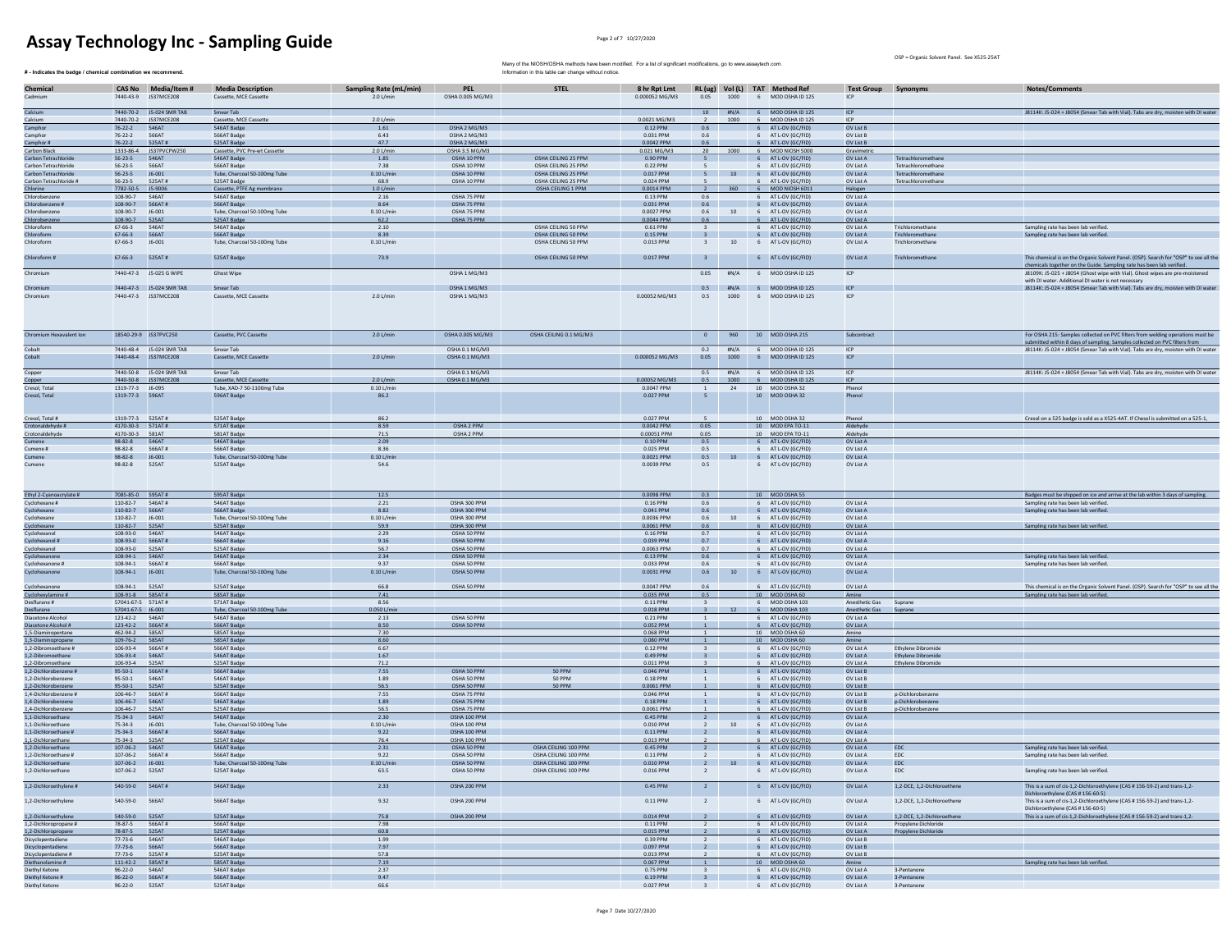OSP = Organic Solvent Panel. See X525-25AT

| # - Indicates the badge / chemical combination we recommend      |                                               |                                                  |                                                            |                                            |                                                  | Many of the NIOSH/OSHA methods have been modified. For a list of significant modifications, go to www.assaytech.com.<br>Information in this table can change without notice. |                                      |                                                    |              |                                                                  |                                            | USP = Urganic Solvent Panel. See X525-25A1             |                                                                                                                                                              |
|------------------------------------------------------------------|-----------------------------------------------|--------------------------------------------------|------------------------------------------------------------|--------------------------------------------|--------------------------------------------------|------------------------------------------------------------------------------------------------------------------------------------------------------------------------------|--------------------------------------|----------------------------------------------------|--------------|------------------------------------------------------------------|--------------------------------------------|--------------------------------------------------------|--------------------------------------------------------------------------------------------------------------------------------------------------------------|
| Chemical<br>Cadmium                                              |                                               | CAS No Media/Item #<br>7440-43-9 JS37MCE208      | <b>Media Description</b><br>Cassette, MCE Cassette         | <b>Sampling Rate (mL/min)</b><br>2.0 L/min | <b>PEL</b><br>OSHA 0.005 MG/M3                   | <b>STEL</b>                                                                                                                                                                  | 8 hr Rpt Lmt<br>0.000052 MG/M3       |                                                    |              | RL (ug) Vol (L) TAT Method Ref<br>0.05 1000 6 MOD OSHA ID 125    | <b>Test Group Synonyms</b><br>ICP          |                                                        | Notes/Comments                                                                                                                                               |
| Calcium                                                          |                                               | 7440-70-2 J5-024 SMR TAB                         | Smear Tab                                                  |                                            |                                                  |                                                                                                                                                                              |                                      |                                                    |              | 10 #N/A 6 MOD OSHA ID 125                                        | ICP                                        |                                                        | J8114K: J5-024 + J8054 (Smear Tab with Vial). Tabs are dry, moisten with DI water                                                                            |
| Calcium                                                          |                                               | 7440-70-2 JS37MCE208                             | Cassette, MCE Cassette                                     | 2.0 L/min                                  |                                                  |                                                                                                                                                                              | 0.0021 MG/M3                         |                                                    | 1000         | 6 MOD OSHA ID 125                                                | ICP                                        |                                                        |                                                                                                                                                              |
| Camphor                                                          | 76-22-2 546AT                                 |                                                  | 546AT Badge                                                | 1.61                                       | OSHA 2 MG/M3                                     |                                                                                                                                                                              | 0.12 PPM                             | 0.6                                                |              | 6 AT L-OV (GC/FID)                                               | OV List B                                  |                                                        |                                                                                                                                                              |
| Camphor                                                          | $76 - 22 - 2$<br>$76 - 22 - 2$                | 566AT<br>525AT#                                  | 566AT Badge<br>525AT Badge                                 | 6.43<br>47.7                               | OSHA 2 MG/M3<br>OSHA 2 MG/M3                     |                                                                                                                                                                              | 0.031 PPM<br>0.0042 PPM              | 0.6<br>0.6                                         |              | 6 AT L-OV (GC/FID)<br>6 AT L-OV (GC/FID)                         | OV List B<br>OV List B                     |                                                        |                                                                                                                                                              |
| Camphor #<br>Carbon Black                                        |                                               | 1333-86-4 JS37PVCPW250                           | Cassette, PVC Pre-wt Cassette                              | 2.0 L/min                                  | OSHA 3.5 MG/M3                                   |                                                                                                                                                                              | 0.021 MG/M3                          | 20                                                 |              | 1000 6 MOD NIOSH 5000                                            | Gravimetric                                |                                                        |                                                                                                                                                              |
| Carbon Tetrachlor                                                | $56 - 23 - 5$                                 | 546AT                                            | 546AT Badge                                                | 1.85                                       | OSHA 10 PPM                                      | OSHA CEILING 25 PPM                                                                                                                                                          | 0.90 PPN                             |                                                    |              | 6 AT L-OV (GC/FID)                                               | OV List A                                  | Tetrachloromethane                                     |                                                                                                                                                              |
| Carbon Tetrachloride                                             | $56 - 23 - 5$                                 | 566AT                                            | 566AT Badge                                                | 7.38                                       | OSHA 10 PPM                                      | OSHA CEILING 25 PPM                                                                                                                                                          | 0.22 PPM                             | - 5                                                |              | 6 AT L-OV (GC/FID)                                               | OV List A                                  | Tetrachloromethane                                     |                                                                                                                                                              |
| Carbon Tetrachloride                                             | $56 - 23 - 5$<br>$56 - 23 - 5$                | J6-001<br>525AT#                                 | Tube, Charcoal 50-100mg Tube                               | $0.10$ L/min<br>68.9                       | OSHA 10 PPM                                      | OSHA CEILING 25 PPM<br>OSHA CEILING 25 PPM                                                                                                                                   | 0.017 PPM<br>0.024 PPM               |                                                    |              | 5 10 6 AT L-OV (GC/FID)<br>AT L-OV (GC/FIE                       | OV List A                                  | Tetrachloromethane<br>Tetrachloromethan                |                                                                                                                                                              |
| Carbon Tetrachloride #<br>Chlorine                               | 7782-50-5                                     | J5-9006                                          | 525AT Badge<br>Cassette, PTFE Ag membrane                  | 1.0 L/mir                                  | OSHA 10 PPM                                      | OSHA CEILING 1 PPM                                                                                                                                                           | 0.0014 PPM                           | $\overline{2}$                                     | 360          | 6 MOD NIOSH 601:                                                 | OV List A<br>Halogen                       |                                                        |                                                                                                                                                              |
| Chlorobenzene                                                    | 108-90-7                                      | 546AT                                            | 546AT Badge                                                | 2.16                                       | OSHA 75 PPM                                      |                                                                                                                                                                              | 0.13 PPM                             | 0.6                                                |              | 6 AT L-OV (GC/FID)                                               | OV List A                                  |                                                        |                                                                                                                                                              |
| Chlorobenzene #                                                  | 108-90-7                                      | 566AT#                                           | 566AT Badge                                                | 8.64                                       | OSHA 75 PPM                                      |                                                                                                                                                                              | 0.031 PPM                            | 0.6                                                |              | 6 AT L-OV (GC/FID)                                               | OV List A                                  |                                                        |                                                                                                                                                              |
| Chlorobenzene<br>Chlorobenzene                                   | 108-90-7<br>108-90-7                          | J6-001<br>525AT                                  | Tube, Charcoal 50-100mg Tube<br>525AT Badge                | $0.10$ L/min<br>62.2                       | OSHA 75 PPM<br>OSHA 75 PPM                       |                                                                                                                                                                              | 0.0027 PPM<br>0.0044 PPM             | 0.6<br>0.6                                         | 10           | 6 AT L-OV (GC/FID)<br>6 AT L-OV (GC/FID)                         | OV List A<br>OV List A                     |                                                        |                                                                                                                                                              |
| Chloroform                                                       | 67-66-3                                       | 546AT                                            | 546AT Badge                                                | 2.10                                       |                                                  | OSHA CEILING 50 PPM                                                                                                                                                          | 0.61 PPM                             | $\overline{\mathbf{3}}$                            |              | 6 AT L-OV (GC/FID)                                               | OV List A                                  | Trichloromethane                                       | Sampling rate has been lab verified.                                                                                                                         |
| Chloroform                                                       | 67-66-3                                       | 566AT                                            | 566AT Badge                                                | 8.39                                       |                                                  | OSHA CEILING 50 PPM                                                                                                                                                          | 0.15 PPM                             | $\mathbf{R}$                                       |              | 6 AT L-OV (GC/FID)                                               | OV List A                                  | Trichloromethane                                       | Sampling rate has been lab verified.                                                                                                                         |
| Chloroform<br>Chloroform #                                       | 67-66-3<br>67-66-3                            | J6-001<br>525AT#                                 | Tube, Charcoal 50-100mg Tube<br>525AT Badge                | $0.10$ L/min<br>73.9                       |                                                  | OSHA CEILING 50 PPM<br>OSHA CEILING 50 PPM                                                                                                                                   | $0.013$ PPM<br>0.017 PPM             | $\overline{\mathbf{3}}$<br>$\overline{\mathbf{3}}$ | 10           | 6 AT L-OV (GC/FID)<br>6 AT L-OV (GC/FID)                         | OV List A<br>OV List A                     | Trichloromethane<br>Trichloromethane                   | This chemical is on the Organic Solvent Panel. (OSP). Search for "OSP" to see all the                                                                        |
| Chromium                                                         |                                               | 7440-47-3 J5-025 G WIPE                          | Ghost Wipe                                                 |                                            | OSHA 1 MG/M3                                     |                                                                                                                                                                              |                                      | 0.05                                               | H N/A        | 6 MOD OSHA ID 125                                                | ICP                                        |                                                        | chemicals together on the Guide. Sampling rate has been lab verified.<br>J8109K: J5-025 + J8054 (Ghost wipe with Vial). Ghost wipes are pre-moistened        |
|                                                                  |                                               |                                                  |                                                            |                                            |                                                  |                                                                                                                                                                              |                                      |                                                    |              |                                                                  |                                            |                                                        | with DJ water, Additional DJ water is not necessary                                                                                                          |
| Chromium<br>Chromium                                             |                                               | 7440-47-3 J5-024 SMR TAB<br>7440-47-3 JS37MCE208 | Smear Tab<br>Cassette, MCE Cassette                        | 2.0 L/min                                  | OSHA 1 MG/M3<br>OSHA 1 MG/M3                     |                                                                                                                                                                              | 0.00052 MG/M3                        | 0.5<br>0.5                                         | 1000         | #N/A 6 MOD OSHA ID 125<br>6 MOD OSHA ID 125                      | ICP<br>ICP                                 |                                                        | J8114K: J5-024 + J8054 (Smear Tab with Vial). Tabs are dry, moisten with DI water                                                                            |
| Chromium Hexavalent Ion                                          |                                               | 18540-29-9 JS37PVC250                            | Cassette, PVC Cassette                                     | 2.0 L/min                                  | OSHA 0.005 MG/M3                                 | OSHA CEILING 0.1 MG/M3                                                                                                                                                       |                                      | $\overline{0}$                                     | 960          | 10 MOD OSHA 215                                                  | Subcontract                                |                                                        | For OSHA 215: Samples collected on PVC filters from welding operations must be<br>submitted within 8 days of sampling. Samples collected on PVC filters from |
| Cobalt<br>Cobalt                                                 |                                               | 7440-48-4 J5-024 SMR TAB<br>7440-48-4 JS37MCE208 | Smear Tab<br>Cassette, MCE Cassette                        | $2.0$ L/min                                | OSHA 0.1 MG/M3<br>OSHA 0.1 MG/M3                 |                                                                                                                                                                              | 0.000052 MG/M3                       | 0.2<br>0.05                                        | #N/A<br>1000 | 6 MOD OSHA ID 125<br>6 MOD OSHA ID 125                           | ICP<br>ICP                                 |                                                        | J8114K: J5-024 + J8054 (Smear Tab with Vial). Tabs are dry, moisten with DI water                                                                            |
| Copper                                                           |                                               | 7440-50-8 J5-024 SMR TAB                         | Smear Tab                                                  |                                            | OSHA 0.1 MG/M3                                   |                                                                                                                                                                              |                                      | 0.5                                                | #N/A         | 6 MOD OSHA ID 125                                                | ICP                                        |                                                        | J8114K: J5-024 + J8054 (Smear Tab with Vial). Tabs are dry, moisten with DI water                                                                            |
| Copper                                                           | 1319-77-3 16-095                              | 7440-50-8 JS37MCE208                             | Cassette, MCE Cassette                                     | 2.0 L/min                                  | OSHA 0.1 MG/M3                                   |                                                                                                                                                                              | 0.00052 MG/M3                        | 0.5                                                | 1000         | 6 MOD OSHA ID 125                                                | ICP                                        |                                                        |                                                                                                                                                              |
| Cresol, Total<br>Cresol, Total                                   | 1319-77-3 596AT                               |                                                  | Tube, XAD-7 50-1100mg Tube<br>596AT Badge                  | $0.10$ L/min<br>86.2                       |                                                  |                                                                                                                                                                              | 0.0047 PPM<br>0.027 PPM              | $\mathbf{1}$<br>$5 -$                              | 24           | 10 MOD OSHA 32<br>10 MOD OSHA 32                                 | Phenol<br>Phenol                           |                                                        |                                                                                                                                                              |
|                                                                  |                                               |                                                  |                                                            |                                            |                                                  |                                                                                                                                                                              |                                      |                                                    |              |                                                                  |                                            |                                                        |                                                                                                                                                              |
| Cresol, Total #<br>Crotonaldehyde #                              | 1319-77-3 525AT#<br>4170-30-3 571AT#          |                                                  | 525AT Badge<br>571AT Badge                                 | 86.2<br>8.59                               | OSHA 2 PPM                                       |                                                                                                                                                                              | 0.027 PPM<br>0.0042 PPM              | 0.05                                               |              | 10 MOD OSHA 32<br>10 MOD EPA TO-11                               | Phenol<br>Aldehyde                         |                                                        | Cresol on a 525 badge is sold as a X525-4AT. If Chesol is submitted on a 525-1,                                                                              |
| Crotonaldehyde                                                   | 4170-30-3   581AT                             |                                                  | 581AT Badge                                                | 71.5                                       | OSHA 2 PPM                                       |                                                                                                                                                                              | 0.00051 PPM                          | 0.05                                               |              | 10 MOD EPA TO-11                                                 | Aldehyde                                   |                                                        |                                                                                                                                                              |
| Cumene                                                           | 98-82-8 546AT                                 |                                                  | 546AT Badge                                                | 2.09                                       |                                                  |                                                                                                                                                                              | 0.10 PPM                             | 0.5                                                |              | 6 AT L-OV (GC/FID)                                               | OV List A                                  |                                                        |                                                                                                                                                              |
| Cumene #                                                         | 98-82-8                                       | 566AT#                                           | 566AT Badge                                                | 8.36                                       |                                                  |                                                                                                                                                                              | 0.025 PPM                            | 0.5                                                |              | 6 AT L-OV (GC/FID)                                               | OV List A                                  |                                                        |                                                                                                                                                              |
| Cumene<br>Cumene                                                 | 98-82-8<br>98-82-8                            | $J6 - 001$<br>525AT                              | Tube, Charcoal 50-100mg Tube<br>525AT Badge                | $0.10$ L/mi<br>54.6                        |                                                  |                                                                                                                                                                              | 0.0021 PPM<br>0.0039 PPM             | 0.5<br>0.5                                         |              | 6 AT L-OV (GC/FID)<br>6 AT L-OV (GC/FID)                         | OV List A<br>OV List A                     |                                                        |                                                                                                                                                              |
| Ethyl 2-Cyanoacrylate #                                          | 7085-85-0 595AT#                              |                                                  | 595AT Badge                                                | 12.5                                       |                                                  |                                                                                                                                                                              | 0.0098 PPM                           | 0.3                                                |              | 10 MOD OSHA 55                                                   |                                            |                                                        | Badges must be shipped on ice and arrive at the lab within 3 days of sampling.                                                                               |
| Cyclohexane #                                                    | 110-82-7 546AT#                               |                                                  | 546AT Badge                                                | 2.21                                       | OSHA 300 PPM                                     |                                                                                                                                                                              | 0.16 PPM                             | 0.6                                                |              | 6 AT L-OV (GC/FID)                                               | OV List A                                  |                                                        | Sampling rate has been lab verified.                                                                                                                         |
| Cyclohexane                                                      | 110-82-7 566AT                                |                                                  | 566AT Badge                                                | 8.82                                       | OSHA 300 PPM                                     |                                                                                                                                                                              | 0.041 PPM                            | 0.6                                                |              | 6 AT L-OV (GC/FID)                                               | OV List A                                  |                                                        | Sampling rate has been lab verified.                                                                                                                         |
| Cyclohexane                                                      | 110-82-7                                      | J6-001                                           | Tube, Charcoal 50-100mg Tube                               | $0.10$ L/min                               | OSHA 300 PPM                                     |                                                                                                                                                                              | 0.0036 PPM                           | 0.6                                                | 10           | 6 AT L-OV (GC/FID)                                               | OV List A                                  |                                                        |                                                                                                                                                              |
| Cyclohexane<br>Cyclohexanol                                      | 110-82-7<br>108-93-0 546AT                    | 525AT                                            | 525AT Badge<br>546AT Badge                                 | 59.9<br>2.29                               | OSHA 300 PPM<br>OSHA 50 PPM                      |                                                                                                                                                                              | 0.0061 PPM<br>0.16 PPM               | 0.6<br>0.7                                         |              | 6 AT L-OV (GC/FID)<br>6 AT L-OV (GC/FID)                         | OV List A<br>OV List A                     |                                                        | Sampling rate has been lab verified.                                                                                                                         |
| Cyclohexanol #                                                   | 108-93-0                                      | 566AT#                                           | 566AT Badge                                                | 9.16                                       | OSHA 50 PPM                                      |                                                                                                                                                                              | 0.039 PPM                            | 0.7                                                |              | 6 AT L-OV (GC/FID)                                               | OV List A                                  |                                                        |                                                                                                                                                              |
| Cyclohexanol                                                     | 108-93-0 525AT                                |                                                  | 525AT Badge                                                | 56.7                                       | OSHA 50 PPM                                      |                                                                                                                                                                              | 0.0063 PPM                           | 0.7                                                |              | 6 AT L-OV (GC/FID)                                               | OV List A                                  |                                                        |                                                                                                                                                              |
| Cyclohexanone<br>Cyclohexanone #                                 | 108-94-1 546AT<br>108-94-1                    | 566AT#                                           | 546AT Badge<br>566AT Badge                                 | 2.34<br>9.37                               | OSHA 50 PPM<br>OSHA 50 PPM                       |                                                                                                                                                                              | 0.13 PPM<br>0.033 PPM                | 0.6<br>0.6                                         |              | 6 AT L-OV (GC/FID)<br>6 AT L-OV (GC/FID)                         | OV List A<br>OV List A                     |                                                        | Sampling rate has been lab verified.<br>Sampling rate has been lab verified                                                                                  |
| Cyclohexanone                                                    | 108-94-1 J6-001                               |                                                  | Tube, Charcoal 50-100mg Tube                               | $0.10$ L/min                               | OSHA 50 PPM                                      |                                                                                                                                                                              | $0.0031$ PPM                         | 0.6                                                | 10           | 6 AT L-OV (GC/FID)                                               | OV List A                                  |                                                        |                                                                                                                                                              |
| Cyclohexanone                                                    | 108-94-1                                      | 525AT                                            |                                                            |                                            |                                                  |                                                                                                                                                                              |                                      |                                                    |              |                                                                  |                                            |                                                        |                                                                                                                                                              |
| Cyclohexylamine #<br>Desflurane #                                |                                               |                                                  | 525AT Badge                                                | 66.8                                       | OSHA 50 PPM                                      |                                                                                                                                                                              | 0.0047 PPM                           | 0.6                                                |              | 6 AT L-OV (GC/FID)                                               | OV List A                                  |                                                        | This chemical is on the Organic Solvent Panel. (OSP). Search for "OSP" to see all the                                                                        |
|                                                                  | 108-91-8 585AT#                               |                                                  | 585AT Badge                                                | 7.41                                       |                                                  |                                                                                                                                                                              | 0.035 PPM                            | 0.5                                                |              | 10 MOD OSHA 60                                                   | Amine                                      |                                                        | Sampling rate has been lab verified.                                                                                                                         |
|                                                                  | 57041-67-5 571AT#                             |                                                  | 571AT Badge                                                | 8.56                                       |                                                  |                                                                                                                                                                              | 0.11 PPM                             | $\overline{\mathbf{3}}$<br>$\overline{3}$          |              | 6 MOD OSHA 103                                                   | Anesthetic Gas                             | Suprane                                                |                                                                                                                                                              |
| Desflurane<br>Diacetone Alcoho                                   | 57041-67-5 J6-001<br>123-42-2 546AT           |                                                  | Tube, Charcoal 50-100mg Tube<br>546AT Badge                | 0.050 L/mi<br>2.13                         | OSHA 50 PPM                                      |                                                                                                                                                                              | 0.018 PPM<br>0.21 PPM                | $\mathbf{1}$                                       |              | 6 MOD OSHA 103<br>6 AT L-OV (GC/FID)                             | Anesthetic Gas<br>OV List A                | Supran                                                 |                                                                                                                                                              |
| Diacetone Alcohol #                                              | 123-42-2    566AT#                            |                                                  | 566AT Badge                                                | 8.50                                       | OSHA 50 PPM                                      |                                                                                                                                                                              | 0.052 PPM                            | $\overline{1}$                                     |              | 6 AT L-OV (GC/FID)                                               | OV List A                                  |                                                        |                                                                                                                                                              |
| 1,5-Diaminopentane                                               | 462-94-2 585AT                                |                                                  | 585AT Badge                                                | 7.30                                       |                                                  |                                                                                                                                                                              | 0.068 PPM                            | <sup>1</sup>                                       |              | 10 MOD OSHA 60                                                   | Amine                                      |                                                        |                                                                                                                                                              |
| 1,3-Diaminopropane                                               |                                               | 566AT#                                           | 585AT Badge                                                | 8.60                                       |                                                  |                                                                                                                                                                              | 0.080 PPM                            | $\overline{1}$                                     |              | 10 MOD OSHA 60                                                   | Amine                                      |                                                        |                                                                                                                                                              |
| 1,2-Dibromoethane #<br>1.2-Dibromoethane                         | 106-93-4<br>106-93-4 546AT                    |                                                  | 566AT Badge<br>546AT Badge                                 | 6.67<br>1.67                               |                                                  |                                                                                                                                                                              | 0.12 PPM<br>0.49 PPM                 | $\overline{\mathbf{3}}$<br>$\overline{\mathbf{3}}$ |              | 6 AT L-OV (GC/FID)<br>6 AT L-OV (GC/FID)                         | OV List A<br>OV List A                     | <b>Ethylene Dibromide</b><br><b>Ethylene Dibromide</b> |                                                                                                                                                              |
| 1,2-Dibromoethane                                                | 106-93-4 525AT                                |                                                  | 525AT Badge                                                | 71.2                                       |                                                  |                                                                                                                                                                              | 0.011 PPM                            |                                                    |              | 6 AT L-OV (GC/FID)                                               | OV List A                                  | <b>Ethylene Dibromide</b>                              |                                                                                                                                                              |
| 1,2-Dichlorobenzene #                                            | 95-50-1                                       | 566AT#<br>546AT                                  | 566AT Badge                                                | 7.55                                       | OSHA 50 PPM<br>OSHA 50 PPM                       | 50 PPM                                                                                                                                                                       | 0.046 PPM                            | $\mathbf 1$<br>$\overline{1}$                      |              | 6 AT L-OV (GC/FID                                                | OV List B                                  |                                                        |                                                                                                                                                              |
| 1,2-Dichlorobenzene<br>1,2-Dichlorobenzene                       | 95-50-1<br>95-50-1                            | 525AT                                            | 546AT Badge<br>525AT Badge                                 | 1.89<br>56.5                               | OSHA 50 PPM                                      | 50 PPM<br>50 PPM                                                                                                                                                             | 0.18 PPM<br>0.0061 PPM               | $\overline{1}$                                     |              | 6 AT L-OV (GC/FID)<br>6 AT L-OV (GC/FID)                         | OV List B<br>OV List B                     |                                                        |                                                                                                                                                              |
| 1.4-Dichlorobenzene #                                            | $106 - 46 - 7$                                | 566AT#                                           | 566AT Badge                                                | 7.55                                       | OSHA 75 PPM                                      |                                                                                                                                                                              | 0.046 PPM                            | <sup>1</sup>                                       |              | 6 AT L-OV (GC/FID)                                               | OV List B                                  | p-Dichlorobenzene                                      |                                                                                                                                                              |
| 1,4-Dichlorobenzene                                              | 106-46-7                                      | 546AT                                            | 546AT Badge                                                | 1.89                                       | OSHA 75 PPM                                      |                                                                                                                                                                              | 0.18 PPM                             | $\overline{1}$                                     |              | 6 AT L-OV (GC/FID)                                               | OV List B                                  | p-Dichlorobenzene                                      |                                                                                                                                                              |
| 1,4-Dichlorobenzene<br>1.1-Dichloroethane                        | 106-46-7<br>75-34-3                           | 525AT<br>546AT                                   | 525AT Badge<br>546AT Badge                                 | 56.5<br>2.30                               | OSHA 75 PPM<br>OSHA 100 PPM                      |                                                                                                                                                                              | 0.0061 PPM<br>0.45 PPM               | $\frac{1}{2}$                                      |              | 6 AT L-OV (GC/FID                                                | OV List B<br>OV List A                     | p-Dichlorobenzene                                      |                                                                                                                                                              |
| 1,1-Dichloroethan                                                | $75 - 34 - 3$                                 | J6-001                                           | Tube, Charcoal 50-100mg Tube                               | $0.10$ L/mir                               | OSHA 100 PPM                                     |                                                                                                                                                                              | 0.010 PPM                            | <sup>2</sup>                                       | 10           | 6 AT L-OV (GC/FID)<br>6 AT L-OV (GC/FID)                         | OV List A                                  |                                                        |                                                                                                                                                              |
| 1,1-Dichloroethane #                                             | $75 - 34 - 3$                                 | 566AT#                                           | 566AT Badge                                                | 9.22                                       | OSHA 100 PPM                                     |                                                                                                                                                                              | 0.11 PPM                             | $\frac{2}{2}$                                      |              | 6 AT L-OV (GC/FID)                                               | OV List A                                  |                                                        |                                                                                                                                                              |
| 1,1-Dichloroethane                                               | $75 - 34 - 3$                                 | 525AT                                            | 525AT Badge                                                | 76.4                                       | OSHA 100 PPM                                     |                                                                                                                                                                              | 0.013 PPM                            | $\overline{2}$                                     |              | 6 AT L-OV (GC/FID)                                               | OV List A                                  |                                                        |                                                                                                                                                              |
| 1,2-Dichloroethane                                               | 107-06-2 546AT                                |                                                  | 546AT Badge                                                | 2.31                                       | OSHA 50 PPM                                      | OSHA CEILING 100 PPM                                                                                                                                                         | 0.45 PPM                             | $\frac{1}{2}$                                      |              | 6 AT L-OV (GC/FID)                                               | OV List A                                  | EDC                                                    | Sampling rate has been lab verified.                                                                                                                         |
| , z-Dichloroethane #<br>1,2-Dichloroethane<br>1,2-Dichloroethane | 107-06-2<br>107-06-2 J6-001<br>107-06-2 525AT | 566AT#                                           | 566AT Badge<br>Tube, Charcoal 50-100mg Tube<br>525AT Badge | $0.10$ L/min<br>63.5                       | <b>USHA 50 PPM</b><br>OSHA 50 PPM<br>OSHA 50 PPM | USHA CEILING 100 PPM<br>OSHA CEILING 100 PPM<br>OSHA CEILING 100 PPM                                                                                                         | 0.11 PPM<br>$0.010$ PPM<br>0.016 PPM | $\overline{2}$                                     |              | AT L-OV (GC/FID<br>2 10 6 AT L-OV (GC/FID)<br>6 AT L-OV (GC/FID) | <b>UV LIST A</b><br>OV List A<br>OV List A | EDC<br>EDC<br>EDC                                      | sampling rate has been lab verified.<br>Sampling rate has been lab verified.                                                                                 |
| 1,2-Dichloroethylene #                                           | 540-59-0    546AT#                            |                                                  | 546AT Badge                                                | 2.33                                       | OSHA 200 PPM                                     |                                                                                                                                                                              | 0.45 PPM                             | $\overline{2}$                                     |              | 6 AT L-OV (GC/FID)                                               | OV List A                                  | 1,2-DCE, 1,2-Dichloroethene                            | This is a sum of cis-1,2-Dichloroethylene (CAS # 156-59-2) and trans-1,2-<br>Dichloroethylene (CAS # 156-60-5)                                               |
| 1,2-Dichloroethylene                                             | 540-59-0    566AT                             |                                                  | 566AT Badge                                                | 9.32                                       | OSHA 200 PPM                                     |                                                                                                                                                                              | 0.11 PPM                             | $\overline{2}$                                     |              | 6 AT L-OV (GC/FID)                                               | OV List A                                  | 1,2-DCE, 1,2-Dichloroethene                            | This is a sum of cis-1,2-Dichloroethylene (CAS # 156-59-2) and trans-1,2-<br>Dichloroethylene (CAS # 156-60-5)                                               |
| 1,2-Dichloroethylene                                             | 540-59-0 525AT<br>78-87-5 566AT#              |                                                  | 525AT Badge<br>566AT Badge                                 | 75.8<br>7.98                               | OSHA 200 PPM                                     |                                                                                                                                                                              | $0.014$ PPM<br>0.11 PPM              | $\overline{2}$<br>$\overline{2}$                   |              | 6 AT L-OV (GC/FID)<br>6 AT L-OV (GC/FID)                         | OV List A<br>OV List A                     | 1,2-DCE, 1,2-Dichloroethene<br>Propylene Dichloride    | This is a sum of cis-1,2-Dichloroethylene (CAS # 156-59-2) and trans-1,2-                                                                                    |
| 1,2-Dichloropropane #<br>1,2-Dichloropropane                     | 78-87-5                                       | 525AT                                            | 525AT Badge                                                | 60.8                                       |                                                  |                                                                                                                                                                              | 0.015 PPM                            | $\overline{2}$                                     |              | 6 AT L-OV (GC/FID)                                               | OV List A                                  | Propylene Dichloride                                   |                                                                                                                                                              |
| Dicyclopentadiene                                                | 77-73-6                                       | 546AT                                            | 546AT Badge                                                | 1.99                                       |                                                  |                                                                                                                                                                              | 0.39 PPM                             | $\overline{2}$                                     |              | 6 AT L-OV (GC/FID)                                               | OV List B                                  |                                                        |                                                                                                                                                              |
| <b>Dicyclopentadiene</b>                                         | $77 - 73 - 6$                                 | 566AT                                            | 566AT Badge                                                | 7.97                                       |                                                  |                                                                                                                                                                              | 0.097 PPM                            | $\overline{2}$                                     |              | 6 AT L-OV (GC/FID)                                               | OV List B                                  |                                                        |                                                                                                                                                              |
| Dicyclopentadiene #                                              | $77 - 73 - 6$                                 | 525AT#                                           | 525AT Badge                                                | 57.8                                       |                                                  |                                                                                                                                                                              | $0.013$ PPM                          |                                                    |              | 6 AT L-OV (GC/FID)                                               | OV List B                                  |                                                        |                                                                                                                                                              |
| Diethanolamine #<br>Diethyl Ketone                               | $111 - 42 - 2$<br>$96 - 22 - 0$               | 585AT#<br>546AT                                  | 585AT Badge<br>546AT Badge                                 | 7.19<br>2.37                               |                                                  |                                                                                                                                                                              | 0.067 PPM<br>0.75 PPM                | $\overline{\mathbf{3}}$                            |              | 10 MOD OSHA 60<br>6 AT L-OV (GC/FID)                             | Amine<br>OV List A                         | 3-Pentanone                                            | Sampling rate has been lab verified.                                                                                                                         |
| Diethyl Ketone #<br>Diethyl Ketone                               | $96 - 22 - 0$<br>$96 - 22 - 0$                | 566AT#<br>525AT                                  | 566AT Badge<br>525AT Badge                                 | 9.47<br>66.6                               |                                                  |                                                                                                                                                                              | 0.19 PPM<br>0.027 PPM                | $\frac{3}{2}$<br>$\overline{\mathbf{3}}$           |              | 6 AT L-OV (GC/FID)<br>6 AT L-OV (GC/FID)                         | OV List A<br>OV List A                     | 3-Pentanone<br>3-Pentanone                             |                                                                                                                                                              |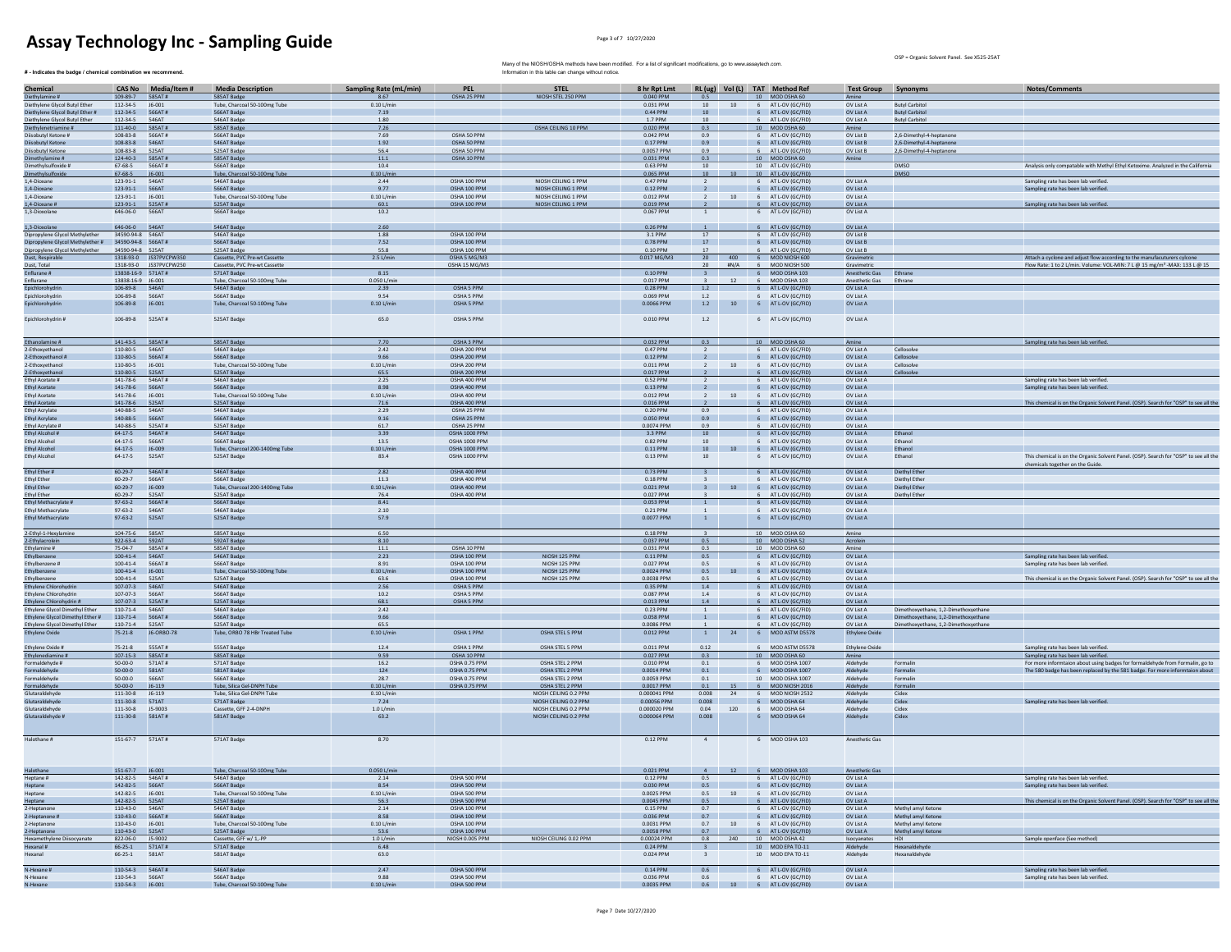$#$  - Indicates the badge / chemical combination we recommend.

OSP = Organic Solvent Panel. See X525-25AT

| Chemical                                                  | <b>CAS No</b>                       | Media/Item #           | <b>Media Description</b>                      | Sampling Rate (mL/min) | <b>PEL</b>                     | <b>STEL</b>                                    | 8 hr Rpt Lmt                |                         |          |                | RL (ug) Vol (L) TAT Method Ref           | <b>Test Group Synonyms</b>  |                                                      | Notes/Comments                                                                        |
|-----------------------------------------------------------|-------------------------------------|------------------------|-----------------------------------------------|------------------------|--------------------------------|------------------------------------------------|-----------------------------|-------------------------|----------|----------------|------------------------------------------|-----------------------------|------------------------------------------------------|---------------------------------------------------------------------------------------|
| Diethylamine #                                            |                                     | 109-89-7 585AT#        | 585AT Badge                                   | 8.67                   | OSHA 25 PPM                    | NIOSH STEL 250 PPM                             | 0.040 PPM                   |                         |          |                | 10 MOD OSHA 60                           |                             |                                                      |                                                                                       |
| Diethylene Glycol Butyl Ether                             | $112 - 34 - 5$                      | 16-001                 | Tube, Charcoal 50-100mg Tube                  | $0.101/m$ ir           |                                |                                                | 0.031 PPM                   | 10 <sup>1</sup>         | 10       |                | 6 AT L-OV (GC/FID                        | OV List A                   | <b>Butyl Carbitol</b>                                |                                                                                       |
| Diethylene Glycol Butyl Ether #                           | 112-34-5 566AT#                     |                        | 566AT Badge                                   | 7.19                   |                                |                                                | 0.44 PPM                    | 10                      |          |                | 6 AT L-OV (GC/FID)                       | OV List A                   | <b>Butyl Carbitol</b>                                |                                                                                       |
| Diethylene Glycol Butyl Ether                             | 112-34-5                            | 546AT                  | 546AT Badge                                   | 1.80                   |                                |                                                | 1.7 PPM                     | 10                      |          |                | 6 AT L-OV (GC/FID)                       | OV List A                   | <b>Butyl Carbitol</b>                                |                                                                                       |
| Diethylenetriamine #<br>Diisobutyl Ketone #               | 111-40-0<br>108-83-8                | 585AT#<br>566AT#       | 585AT Badge<br>566AT Badge                    | 7.26<br>7.69           | OSHA 50 PPM                    | OSHA CEILING 10 PPM                            | 0.020 PPM<br>0.042 PPM      | 0.3<br>0.9              |          |                | 10 MOD OSHA 60                           | Amine                       |                                                      |                                                                                       |
| Diisobutyl Ketone                                         | 108-83-8                            | 546AT                  | 546AT Badge                                   | 1.92                   | OSHA 50 PPM                    |                                                | 0.17 PPM                    | 0.9                     |          |                | 6 AT L-OV (GC/FID<br>6 AT L-OV (GC/FID)  | OV List B<br>OV List B      | 2,6-Dimethyl-4-heptanone<br>2.6-Dimethyl-4-heptanone |                                                                                       |
| Diisobutyl Ketone                                         | $108 - 83 - 8$                      | 525AT                  | 525AT Badge                                   | 56.4                   | OSHA 50 PPM                    |                                                | 0.0057 PPM                  | 0.9                     |          |                | 6 AT L-OV (GC/FID                        | OV List B                   | 2,6-Dimethyl-4-heptanone                             |                                                                                       |
| Dimethylamine #                                           | 124-40-3 585AT#                     |                        | 585AT Badge                                   | 11.1                   | OSHA 10 PPM                    |                                                | 0.031 PPM                   | 0.3                     |          |                | 10 MOD OSHA 60                           | Amine                       |                                                      |                                                                                       |
| Dimethylsulfoxide #                                       | $67 - 68 - 5$                       | 566AT#                 | 566AT Badge                                   | 10.4                   |                                |                                                | 0.63 PPM                    | 10                      |          |                | 10 AT L-OV (GC/FID)                      |                             | <b>DMSO</b>                                          | Analysis only compatable with Methyl Ethyl Ketoxime, Analyzed in the California       |
| Dimethylsulfoxide                                         | $67 - 68 - 5$                       | J6-001                 | Tube, Charcoal 50-100mg Tube                  | $0.10$ L/mi            |                                |                                                | 0.065 PPM                   | 10                      |          |                | 10 AT L-OV (GC/FID)                      |                             | <b>DMSO</b>                                          |                                                                                       |
| 1,4-Dioxane<br>1.4-Dioxane                                | 123-91-1                            | 546AT<br>566AT         | 546AT Badge<br>566AT Badge                    | 2.44                   | OSHA 100 PPM<br>OSHA 100 PPM   | NIOSH CEILING 1 PPM<br>NIOSH CEILING 1 PPM     | 0.47 PPM                    |                         |          | 6              | AT L-OV (GC/FID)                         | OV List A<br>OV List A      |                                                      | Sampling rate has been lab verified.                                                  |
| 1.4-Dioxane                                               | 123-91-1<br>123-91-1                | $J6 - 001$             | Tube, Charcoal 50-100mg Tube                  | 9.77<br>$0.10$ L/min   | OSHA 100 PPM                   | NIOSH CEILING 1 PPM                            | 0.12 PPM<br>0.012 PPM       | $\overline{2}$          | $10$     |                | 6 AT L-OV (GC/FID)<br>6 AT L-OV (GC/FID) | OV List A                   |                                                      | Sampling rate has been lab verified                                                   |
| 1,4-Dioxane #                                             | 123-91-1 525AT#                     |                        | 525AT Badge                                   | 60.1                   | OSHA 100 PPM                   | NIOSH CEILING 1 PPM                            | 0.019 PPM                   |                         |          |                | 6 AT L-OV (GC/FID)                       | OV List A                   |                                                      | Sampling rate has been lab verified.                                                  |
| 1.3-Dioxolane                                             | 646-06-0 566AT                      |                        | 566AT Badge                                   | 10.2                   |                                |                                                | 0.067 PPM                   | <sup>1</sup>            |          |                | 6 AT L-OV (GC/FID)                       | OV List A                   |                                                      |                                                                                       |
|                                                           | 646-06-0 546AT                      |                        |                                               |                        |                                |                                                |                             |                         |          |                | 6 AT L-OV (GC/FID)                       |                             |                                                      |                                                                                       |
| 1,3-Dioxolane<br>Dipropylene Glycol Methylether           | 34590-94-8 546AT                    |                        | 546AT Badge<br>546AT Badge                    | 2.60<br>1.88           | OSHA 100 PPM                   |                                                | 0.26 PPM<br>3.1 PPM         | $17\,$                  |          |                | 6 AT L-OV (GC/FID                        | OV List A<br>OV List B      |                                                      |                                                                                       |
| Dipropylene Glycol Methylether # 34590-94-8 566AT #       |                                     |                        | S66AT Badge                                   | 7.52                   | OSHA 100 PPM                   |                                                | 0.78 PPM                    | 17                      |          |                | 6 AT L-OV (GC/FID)                       | OV List R                   |                                                      |                                                                                       |
| Dipropylene Glycol Methylether                            | 34590-94-8 525AT                    |                        | 525AT Badge                                   | 55.8                   | OSHA 100 PPM                   |                                                | 0.10 PPM                    | 17                      |          |                | 6 AT L-OV (GC/FID)                       | OV List B                   |                                                      |                                                                                       |
| Dust, Respirable                                          |                                     | 1318-93-0 JS37PVCPW350 | Cassette, PVC Pre-wt Cassette                 | $2.5$ L/min            | OSHA 5 MG/M3                   |                                                | 0.017 MG/M3                 | 20                      |          |                | 400 6 MOD NIOSH 600                      | Gravimetrio                 |                                                      | Attach a cyclone and adjust flow according to the manufacuturers cylcone              |
| Dust, Total                                               |                                     | 1318-93-0 JS37PVCPW250 | Cassette, PVC Pre-wt Cassette                 |                        | OSHA 15 MG/M3                  |                                                |                             | 20                      | H N/A    |                | 6 MOD NIOSH 500                          | Gravimetri                  |                                                      | Flow Rate: 1 to 2 L/min. Volume: VOL-MIN: 7 L @ 15 mg/m <sup>3</sup> -MAX: 133 L @ 15 |
| Enflurane #                                               | 13838-16-9 571AT#                   |                        | 571AT Badge                                   | 8.15                   |                                |                                                | 0.10 PPM                    |                         |          |                | 6 MOD OSHA 103                           | Anesthetic Gas              | Ethrane                                              |                                                                                       |
| Enflurane<br>Epichlorohydri                               | 13838-16-9 J6-001<br>106-89-8 546AT |                        | Tube, Charcoal 50-100mg Tube<br>546AT Badge   | 0.050 L/m<br>2.39      | OSHA 5 PPM                     |                                                | 0.017 PPM<br>0.28 PPM       | 1.2                     |          |                | 6 MOD OSHA 103<br>6 AT L-OV (GC/FID      | Anesthetic Gas<br>OV List A | Ethrane                                              |                                                                                       |
| Epichlorohydrin                                           | 106-89-8                            | 566AT                  | 566AT Badge                                   | 9.54                   | OSHA 5 PPM                     |                                                | 0.069 PPM                   | 1.2                     |          |                | 6 AT L-OV (GC/FID)                       | OV List A                   |                                                      |                                                                                       |
| Epichlorohydrin                                           | 106-89-8                            | $J6 - 001$             | Tube, Charcoal 50-100mg Tube                  | $0.10$ L/mir           | OSHA 5 PPM                     |                                                | 0.0066 PPM                  | 1.2                     | 10       |                | 6 AT L-OV (GC/FID)                       | OV List A                   |                                                      |                                                                                       |
|                                                           |                                     |                        |                                               |                        |                                |                                                |                             |                         |          |                |                                          |                             |                                                      |                                                                                       |
| Epichlorohydrin #                                         | 106-89-8 525AT#                     |                        | 525AT Badge                                   | 65.0                   | OSHA 5 PPM                     |                                                | 0.010 PPM                   | 1.2                     |          |                | 6 AT L-OV (GC/FID)                       | OV List A                   |                                                      |                                                                                       |
| Ethanolamine #                                            | 141-43-5    585AT #                 |                        | 585AT Badge                                   | 7.70                   | OSHA 3 PPM                     |                                                | 0.032 PPM                   | 0.3                     |          |                | 10 MOD OSHA 60                           | Amine                       |                                                      | Sampling rate has been lab verified.                                                  |
| 2-Ethoxyethanol                                           | 110-80-5 546AT                      |                        | 546AT Badge                                   | 2.42                   | OSHA 200 PPM                   |                                                | 0.47 PPM                    | $\overline{2}$          |          |                | 6 AT L-OV (GC/FID)                       | OV List A                   | Cellosolve                                           |                                                                                       |
| 2-Ethoxyethanol #                                         | 110-80-5                            | 566AT#                 | 566AT Badge                                   | 9.66                   | OSHA 200 PPM                   |                                                | 0.12 PPM                    |                         |          |                | 6 AT L-OV (GC/FID)                       | OV List A                   | Cellosolve                                           |                                                                                       |
| 2-Ethoxyethanol                                           | 110-80-5                            | J6-001                 | Tube, Charcoal 50-100mg Tube                  | $0.10$ L/mir           | OSHA 200 PPM                   |                                                | 0.011 PPM                   |                         | 10       |                | 6 AT L-OV (GC/FID                        | OV List A                   | Cellosolve                                           |                                                                                       |
| 2-Ethoxyethanol                                           | 110-80-5                            | 525AT                  | 525AT Badge                                   | 65.5                   | OSHA 200 PPM                   |                                                | 0.017 PPM                   |                         |          |                | 6 AT L-OV (GC/FID                        | OV List A                   |                                                      |                                                                                       |
| Ethyl Acetate #<br><b>Fthyl Acetate</b>                   | $141 - 78 - 6$<br>141-78-6 566AT    | 546AT#                 | 546AT Badge<br>S66AT Badge                    | 2.25<br>8.98           | OSHA 400 PPM<br>OSHA 400 PPM   |                                                | 0.52 PPM<br>0.13 PPM        | $\overline{2}$          |          |                | 6 AT L-OV (GC/FID)<br>6 AT L-OV (GC/FID) | OV List A<br>OV List A      |                                                      | Sampling rate has been lab verified.<br>Sampling rate has been lab verified.          |
| <b>Ethyl Acetate</b>                                      | 141-78-6                            | J6-001                 | Tube, Charcoal 50-100mg Tube                  | $0.10$ L/min           | OSHA 400 PPM                   |                                                | 0.012 PPM                   | $\overline{2}$          |          |                | 10 6 AT L-OV (GC/FID)                    | OV List A                   |                                                      |                                                                                       |
| <b>Ethyl Acetate</b>                                      | 141-78-6   525AT                    |                        | 525AT Badge                                   | 71.6                   | OSHA 400 PPM                   |                                                | 0.016 PPM                   |                         |          |                | 6 AT L-OV (GC/FID)                       | OV List A                   |                                                      | This chemical is on the Organic Solvent Panel. (OSP). Search for "OSP" to see all the |
| <b>Ethyl Acrylate</b>                                     | 140-88-5                            | 546AT                  | 546AT Badge                                   | 2.29                   | OSHA 25 PPM                    |                                                | 0.20 PPN                    | 0.9                     |          | 6              | AT L-OV (GC/FID                          | OV List A                   |                                                      |                                                                                       |
| <b>Ethyl Acrylate</b>                                     | 140-88-5                            | 566AT                  | 566AT Badge                                   | 9.16                   | OSHA 25 PPM                    |                                                | 0.050 PPM                   | 0.9                     |          |                | 6 AT L-OV (GC/FID)                       | OV List A                   |                                                      |                                                                                       |
| Ethyl Acrylate #                                          | 140-88-5                            | 525AT#                 | 525AT Badge                                   | 61.7                   | OSHA 25 PPM                    |                                                | 0.0074 PPM                  | 0.9                     |          |                | 6 AT L-OV (GC/FID                        | OV List A                   |                                                      |                                                                                       |
| Ethyl Alcohol #<br>Ethyl Alcohol                          | 64-17-5<br>$64 - 17 - 5$            | 546AT#<br>566AT        | 546AT Badge<br>566AT Badge                    | 3.39<br>13.5           | OSHA 1000 PPM<br>OSHA 1000 PPM |                                                | 3.3 PPM<br>0.82 PPM         | $10-10$<br>10           |          |                | 6 AT L-OV (GC/FID<br>6 AT L-OV (GC/FID)  | OV List A<br>OV List A      | Fthanol<br>Ethanol                                   |                                                                                       |
| Ethyl Alcohol                                             | $64 - 17 - 5$                       | J6-009                 | Tube, Charcoal 200-1400mg Tube                | $0.10$ L/mi            | OSHA 1000 PPM                  |                                                | 0.11 PPM                    | 10                      |          |                | 6 AT L-OV (GC/FID)                       | OV List A                   | Ethanol                                              |                                                                                       |
| <b>Ethyl Alcohol</b>                                      | $64 - 17 - 5$                       | 525AT                  | 525AT Badge                                   | 83.4                   | OSHA 1000 PPM                  |                                                | 0.13 PPM                    | $10\,$                  |          |                | 6 AT L-OV (GC/FID)                       | OV List A                   | Ethanol                                              | This chemical is on the Organic Solvent Panel. (OSP). Search for "OSP" to see all the |
|                                                           |                                     |                        |                                               |                        |                                |                                                |                             |                         |          |                |                                          |                             |                                                      | chemicals together on the Guide.                                                      |
| Ethyl Ether #                                             | 60-29-7                             | 546AT#                 | 546AT Badge                                   | 2.82                   | OSHA 400 PPM                   |                                                | 0.73 PPM                    | $\overline{\mathbf{3}}$ |          |                | 6 AT L-OV (GC/FID                        | OV List A                   | Diethyl Ether                                        |                                                                                       |
| <b>Ethyl Ether</b><br>Ethyl Ether                         | $60 - 29 - 7$<br>$60 - 29 - 7$      | 566AT<br>J6-009        | 566AT Badge<br>Tube, Charcoal 200-1400mg Tube | 11.3<br>$0.10$ L/min   | OSHA 400 PPM<br>OSHA 400 PPM   |                                                | 0.18 PPM<br>0.021 PPM       | $\overline{\mathbf{3}}$ |          |                | 6 AT L-OV (GC/FID)<br>6 AT L-OV (GC/FID) | OV List A<br>OV List A      | <b>Diethyl Ether</b><br><b>Diethyl Ether</b>         |                                                                                       |
| <b>Ethyl Ether</b>                                        | $60 - 29 - 7$                       | 525AT                  | 525AT Badge                                   | 76.4                   | OSHA 400 PPM                   |                                                | 0.027 PPM                   |                         |          |                | AT L-OV (GC/FID)                         | OV List A                   | Diethyl Ether                                        |                                                                                       |
| Ethyl Methacrylate                                        | $97 - 63 - 2$                       | 566AT#                 | 566AT Badge                                   | 8.41                   |                                |                                                | 0.053 PPM                   |                         |          |                | 6 AT L-OV (GC/FID                        | OV List A                   |                                                      |                                                                                       |
| Ethyl Methacrylate                                        | $97 - 63 - 2$                       | 546AT                  | 546AT Badge                                   | 2.10                   |                                |                                                | 0.21 PPM                    |                         |          |                | 6 AT L-OV (GC/FID                        | OV List A                   |                                                      |                                                                                       |
| Ethyl Methacrylate                                        | $97 - 63 - 2$                       | 525AT                  | 525AT Badge                                   | 57.9                   |                                |                                                | 0.0077 PPM                  |                         |          |                | 6 AT L-OV (GC/FID)                       | OV List A                   |                                                      |                                                                                       |
|                                                           |                                     |                        |                                               |                        |                                |                                                |                             |                         |          |                |                                          |                             |                                                      |                                                                                       |
| 2-Ethyl-1-Hexylamine                                      | 104-75-6 585AT                      |                        | 585AT Badge                                   | 6.50                   |                                |                                                | 0.18 PPM                    | $\overline{\mathbf{3}}$ |          |                | 10 MOD OSHA 60                           | Amine                       |                                                      |                                                                                       |
| 2-Ethylacrolein<br>Ethylamine #                           | 922-63-4 592AT<br>$75 - 04 - 7$     | 585AT#                 | 592AT Badge<br>585AT Badge                    | 8.10<br>11.1           | OSHA 10 PPM                    |                                                | 0.037 PPM<br>0.031 PPM      | 0.5<br>$0.3\,$          |          |                | 10 MOD OSHA 52<br>10 MOD OSHA 60         | Acrolein<br>Amine           |                                                      |                                                                                       |
|                                                           | $100 - 41 - 4$                      | 546AT                  | 546AT Badg                                    | 2.23                   | OSHA 100 PPM                   | NIOSH 125 PPM                                  | $0.11$ PPM                  | 0.5                     |          |                | 6 AT L-OV (GC/FIL                        | OV List A                   |                                                      | Sampling rate has been lab verified.                                                  |
| Ethylbenzene #                                            | $100 - 41 - 4$                      | 566AT#                 | 566AT Badge                                   | 8.91                   | OSHA 100 PPM                   | NIOSH 125 PPM                                  | 0.027 PPM                   | 0.5                     |          |                | 6 AT L-OV (GC/FID                        | OV List A                   |                                                      | Sampling rate has been lab verified                                                   |
| <b>Ethylhenzene</b>                                       | 100-41-4 16-001                     |                        | Tube, Charcoal 50-100mg Tube                  | $0.10$ L/min           | OSHA 100 PPM                   | NIOSH 125 PPM                                  | $0.0024$ PPM                | 0.5                     |          |                | 10 6 AT L-OV (GC/FID)                    | OV List A                   |                                                      |                                                                                       |
| Ethylbenzene                                              | 100-41-4                            | 525AT                  | 525AT Badge                                   | 63.6                   | OSHA 100 PPM                   | NIOSH 125 PPM                                  | 0.0038 PPM                  | 0.5                     |          |                | 6 AT L-OV (GC/FID)                       | OV List A                   |                                                      | This chemical is on the Organic Solvent Panel. (OSP). Search for "OSP" to see all the |
| <b>Ethylene Chlorohydri</b>                               | 107-07-3 546AT                      |                        | 546AT Badge                                   | 2.56                   | OSHA 5 PPM                     |                                                | 0.35 PPM                    | 1.4                     |          |                | 6 AT L-OV (GC/FID                        | OV List A                   |                                                      |                                                                                       |
| Ethylene Chlorohydrin                                     | 107-07-3<br>107-07-3                | 566AT<br>525AT#        | 566AT Badge<br>525AT Badge                    | 10.2<br>68.1           | OSHA 5 PPM<br>OSHA 5 PPM       |                                                | 0.087 PPM<br>0.013 PPM      | 1.4<br>$1.4\,$          |          |                | 6 AT L-OV (GC/FID<br>6 AT L-OV (GC/FID   | OV List A<br>OV List A      |                                                      |                                                                                       |
| Ethylene Chlorohydrin #<br>Ethylene Glycol Dimethyl Ether | $110 - 71 - 4$                      | 546AT                  | 546AT Badge                                   | 242                    |                                |                                                | 0.23 PPM                    |                         |          |                | 6 AT L-OV (GC/FID                        | OV List A                   | Dimethoxyethane, 1,2-Dimethoxyethane                 |                                                                                       |
| Ethylene Glycol Dimethyl Ether #                          | 110-71-4                            | 566AT#                 | 566AT Badge                                   | 9.66                   |                                |                                                | 0.058 PPM                   | $\mathbf{1}$            |          |                | 6 AT L-OV (GC/FID)                       | OV List A                   | Dimethoxyethane, 1.2-Dimethoxyethane                 |                                                                                       |
| Ethylene Glycol Dimethyl Ether                            | 110-71-4                            | 525AT                  | 525AT Badge                                   | 65.5                   |                                |                                                | 0.0086 PPM                  |                         |          |                | 6 AT L-OV (GC/FID)                       | OV List A                   | Dimethoxyethane, 1,2-Dimethoxyethane                 |                                                                                       |
| <b>Ethylene Oxide</b>                                     | $75 - 21 - 8$                       | J6-ORBO-78             | Tube, ORBO 78 HBr Treated Tube                | 0.10 L/min             | OSHA 1 PPM                     | OSHA STEL 5 PPM                                | 0.012 PPM                   | $\overline{1}$          | 24       |                | 6 MOD ASTM D5578                         | <b>Ethylene Oxide</b>       |                                                      |                                                                                       |
|                                                           |                                     |                        |                                               |                        |                                |                                                |                             |                         |          |                |                                          |                             |                                                      |                                                                                       |
| Ethylene Oxide #                                          | $75 - 21 - 8$<br>$107 - 15 - 3$     | 555AT#<br>585AT#       | 555AT Badge<br>585AT Badge                    | 12.4<br>9.59           | OSHA 1 PPM<br>OSHA 10 PPM      | OSHA STEL 5 PPM                                | 0.011 PPM<br>0.027 PPM      | 0.12<br>0.3             |          |                | 6 MOD ASTM D5578<br>10 MOD OSHA 60       | Ethylene Oxide<br>Amine     |                                                      | Sampling rate has been lab verified.<br>Sampling rate has been lab verified.          |
| Ethylenediamine #<br>Formaldehyde #                       | 50-00-0                             | 571 AT #               | 571AT Badge                                   | 16.2                   | OSHA 0.75 PPM                  | OSHA STEL 2 PPM                                | 0.010 PPM                   | 0.1                     |          |                | 6 MOD OSHA 1007                          | Aldehyde                    | Formalin                                             | For more informtaion about using badges for formaldehyde from Formalin, go to         |
| Formaldehyde                                              | 50-00-0                             | 581AT                  | 581AT Badge                                   | 124                    | OSHA 0.75 PPM                  | OSHA STEL 2 PPM                                | 0.0014 PPM                  | 0.1                     |          |                | 6 MOD OSHA 1007                          | Aldehyde                    | Formalin                                             | The 580 badge has been replaced by the 581 badge. For more informtaion about          |
| Formaldehyde                                              | $50 - 00 - 0$                       | 566AT                  | 566AT Badge                                   | 28.7                   | OSHA 0.75 PPM                  | OSHA STEL 2 PPM                                | 0.0059 PPM                  | 0.1                     |          |                | 10 MOD OSHA 1007                         | Aldehyde                    | Formalin                                             |                                                                                       |
| Formaldehyde                                              | $50 - 00 - 0$                       | $J6-119$               | Tube, Silica Gel-DNPH Tube                    | $0.10$ L/mi            | OSHA 0.75 PPM                  | OSHA STEL 2 PPM                                | 0.0017 PPM                  | 0.1                     |          | 6              | MOD NIOSH 2016                           | Aldehyde                    | Formalin                                             |                                                                                       |
| Glutaraldehyde                                            | 111-30-8                            | J6-119                 | Tube, Silica Gel-DNPH Tube                    | 0.10 L/m               |                                | NIOSH CEILING 0.2 PPN                          | 0.000041 PPM                | 0.008                   |          |                | MOD NIOSH 2532                           | Aldehyde                    | Cidex                                                |                                                                                       |
| Glutaraldehyde<br>Glutaraldehyde                          | $111 - 30 - 8$<br>$111 - 30 - 8$    | 571AT<br>15-9003       | 571AT Badge<br>Cassette, GFF 2-4-DNPH         | 724<br>1.01/min        |                                | NIOSH CEILING 0.2 PPM<br>NIOSH CEILING 0.2 PPM | 0.00056.PPM<br>0.000020 PPM | 0.008<br>0.04           | 120      | 6 <sup>1</sup> | MOD OSHA 64<br>6 MOD OSHA 64             | Aldehude<br>Aldehyde        | Cidex<br>Cidex                                       | Sampling rate has been lab verified.                                                  |
| Glutaraldehyde #                                          | 111-30-8                            | 581AT#                 | 581AT Badge                                   | 63.2                   |                                | NIOSH CEILING 0.2 PPM                          | 0.000064 PPM                | 0.008                   |          |                | 6 MOD OSHA 64                            | Aldehyde                    | Cidex                                                |                                                                                       |
|                                                           |                                     |                        |                                               |                        |                                |                                                |                             |                         |          |                |                                          |                             |                                                      |                                                                                       |
| Halothane #                                               | 151-67-7 571AT#                     |                        | 571AT Badge                                   | 8.70                   |                                |                                                | 0.12 PPM                    | $\overline{4}$          |          |                | 6 MOD OSHA 103                           | Anesthetic Gas              |                                                      |                                                                                       |
|                                                           |                                     |                        |                                               |                        |                                |                                                |                             |                         |          |                |                                          |                             |                                                      |                                                                                       |
|                                                           | 151-67-7 J6-001                     |                        | Tube, Charcoal 50-100mg Tube                  | 0.050 L/min            |                                |                                                | 0.021 PPM                   |                         |          |                | 6 MOD OSHA 103                           |                             |                                                      |                                                                                       |
| Halothane<br>Heptane #                                    | 142-82-5                            | 546AT#                 | 546AT Badge                                   | 2.14                   | OSHA 500 PPM                   |                                                | 0.12 PPM                    | $4 -$<br>0.5            | 12       |                | 6 AT L-OV (GC/FID)                       | Anesthetic Gas<br>OV List A |                                                      | Sampling rate has been lab verified.                                                  |
| Heptane                                                   | 142-82-5                            | <b>566AT</b>           | 566AT Badge                                   | 8.54                   | OSHA 500 PPM                   |                                                | 0.030 PPM                   | 0.5                     |          |                | 6 AT L-OV (GC/FID)                       | OV List A                   |                                                      | Sampling rate has been lab verified.                                                  |
| Heptane                                                   | 142-82-5                            | 16-001                 | Tube, Charcoal 50-100mg Tube                  | $0.10$ L/min           | OSHA 500 PPM                   |                                                | 0.0025 PPM                  | 0.5                     | 10       |                | 6 AT L-OV (GC/FID)                       | OV List A                   |                                                      |                                                                                       |
| Heptane                                                   | 142-82-5                            | 525AT                  | 525AT Badge                                   | 56.3                   | OSHA 500 PPM                   |                                                | 0.0045 PPM                  | 0.5                     |          |                | 6 AT L-OV (GC/FID)                       | OV List A                   |                                                      | This chemical is on the Organic Solvent Panel. (OSP). Search for "OSP" to see all the |
| 2-Hentanone                                               | $110 - 43 - 0$                      | 546AT                  | 546AT Badge                                   | 2.14                   | OSHA 100 PPM                   |                                                | 0.15 PPM                    | 0.7                     |          |                | 6 AT LOV (GC/FID)                        | OV List A                   | Methyl amyl Ketone                                   |                                                                                       |
| 2-Heptanone #                                             | 110-43-0                            | 566AT#                 | 566AT Badge                                   | 8.58                   | OSHA 100 PPM                   |                                                | 0.036 PPM                   | 0.7                     |          |                | 6 AT L-OV (GC/FID)                       | OV List A                   | Methyl amyl Ketone                                   |                                                                                       |
| 2-Heptanone                                               | 110-43-0<br>110-43-0                | J6-001<br>525AT        | Tube, Charcoal 50-100mg Tube                  | $0.10$ L/min<br>53.6   | OSHA 100 PPM<br>OSHA 100 PPM   |                                                | 0.0031 PPM                  | 0.7<br>0.7              | $10$     |                | 6 AT L-OV (GC/FID)<br>6 AT L-OV (GC/FID  | OV List A<br>OV List A      | Methyl amyl Ketone                                   |                                                                                       |
| 2-Heptanone<br>Hexamethylene Diisocyanate                 | 822-06-0                            | J5-9002                | 525AT Badge<br>Cassette, GFF w/ 1,-PP         | $1.0$ L/mi             | NIOSH 0.005 PPM                | NIOSH CEILING 0.02 PPM                         | 0.0058 PPM<br>0.00024 PPM   | 0.8                     | 240      |                | 10 MOD OSHA 42                           | Isocyanates                 | Methyl amyl Ketone<br>HDI                            | Sample openface (See method)                                                          |
| Hexanal #                                                 | 66-25-1                             | 571AT#                 | 571AT Badge                                   | 6.48                   |                                |                                                | 0.24 PPM                    | $\overline{3}$          |          |                | 10 MOD FPA TO-11                         | Aldehyde                    | Hexanaldehyde                                        |                                                                                       |
| Hexanal                                                   | $66 - 25 - 1$                       | 581AT                  | 581AT Badge                                   | 63.0                   |                                |                                                | 0.024 PPM                   | $\overline{\mathbf{3}}$ |          |                | 10 MOD EPA TO-11                         | Aldehyde                    | Hexanaldehyde                                        |                                                                                       |
| N-Hexane #                                                | 110-54-3                            | 546AT#                 | 546AT Badge                                   | 2.47                   | OSHA 500 PPM                   |                                                | 0.14 PPM                    | 0.6                     |          |                | 6 AT L-OV (GC/FID)                       | OV List A                   |                                                      | Sampling rate has been lab verified.                                                  |
| N-Hexane                                                  | 110-54-3                            |                        | 566AT Badge                                   | 9.88                   | OSHA 500 PPM                   |                                                | 0.036 PPM                   | 0.6                     |          |                | AT L-OV (GC/FID                          | OV List A                   |                                                      | ampling rate has been lab verified                                                    |
| N-Hexane                                                  | 110-54-3                            | J6-001                 | Tube, Charcoal 50-100mg Tube                  | $0.10$ L/min           | OSHA 500 PPM                   |                                                | 0.0035 PPM                  |                         | $0.6$ 10 | 6              | AT L-OV (GC/FID)                         | OV List A                   |                                                      |                                                                                       |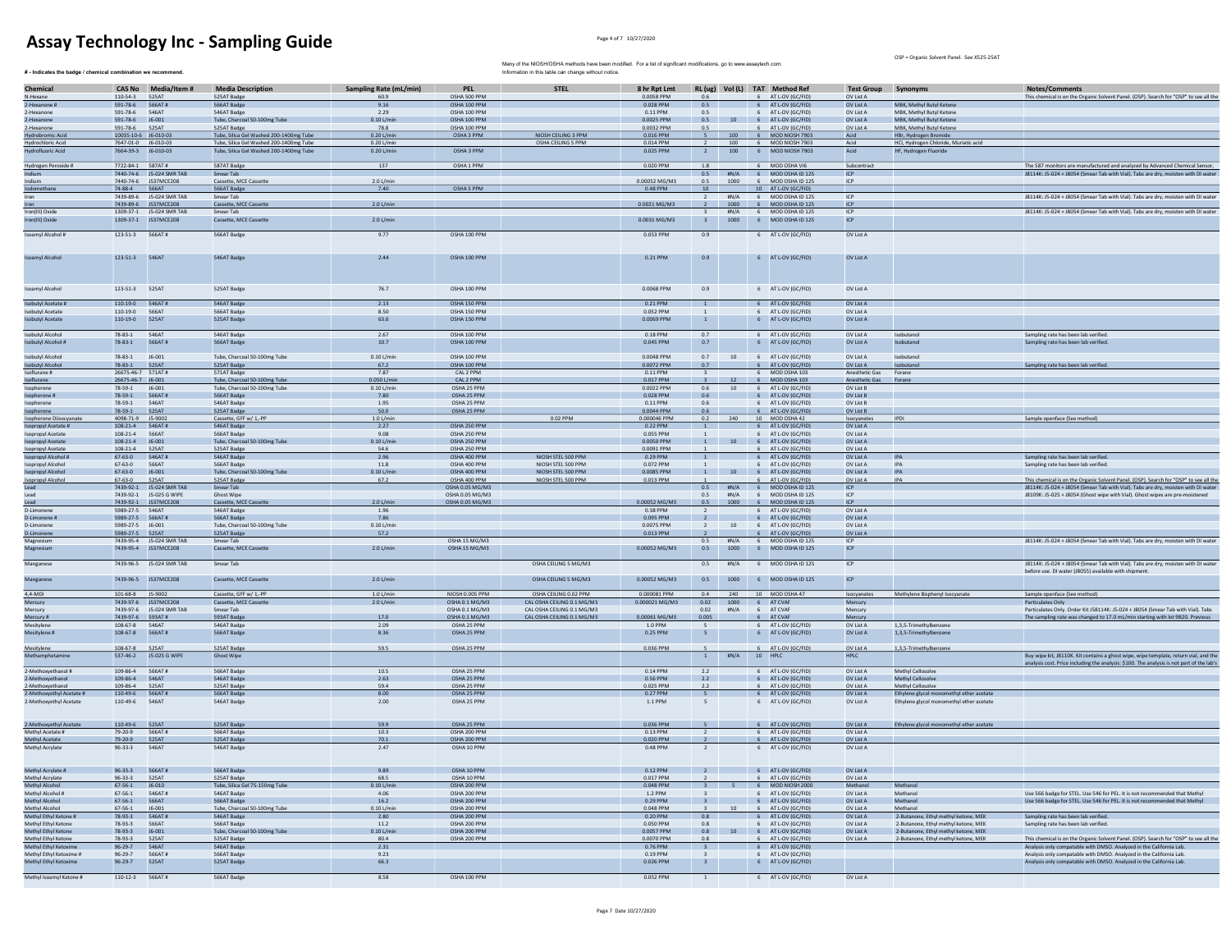## Assay Technology Inc - Sampling Guide **Assaure Assaure Assaure Assaure Assaure Assaure Assaure Assaure Assaure Assaure Assaure Assaure Assaure Assaure Assaure Assaure Assaure Assaure Assaure Assaure Assaure Assaure Assaure**

 $#$  - Indicates the badge / chemical combination we recommend.

OSP = Organic Solvent Panel. See X525-25AT

| Chemical<br>N-Hexane                          | 110-54-3                                | CAS No Media/Item #<br>525AT | <b>Media Description</b>                    | Sampling Rate (mL/min)<br>60.9 | <b>PEL</b><br>OSHA 500 PPM       |                                                          | 8 hr Rpt Lmt<br>0.0058 PPM |                                  |                  |                | RL (ug) Vol (L) TAT Method Ref<br>6 AT L-OV (GC/FID) | Test Group Synonyms<br>OV List A |                                                 | <b>Notes/Comments</b>                                                                                                                                             |
|-----------------------------------------------|-----------------------------------------|------------------------------|---------------------------------------------|--------------------------------|----------------------------------|----------------------------------------------------------|----------------------------|----------------------------------|------------------|----------------|------------------------------------------------------|----------------------------------|-------------------------------------------------|-------------------------------------------------------------------------------------------------------------------------------------------------------------------|
| 2-Hexanone #                                  | 591-78-6                                | 566AT#                       | 525AT Badge<br>566AT Badg                   | 9.16                           | OSHA 100 PPM                     |                                                          | 0.028 PPM                  | 0.5                              |                  |                | 6 AT L-OV (GC/FID                                    | OV List A                        | MBK, Methyl Butyl Ketone                        | This chemical is on the Organic Solvent Panel. (OSP). Search for "OSP" to see all the                                                                             |
| 2-Hexanone                                    | 591-78-6                                | 546AT                        | 546AT Badge                                 | 2.29                           | OSHA 100 PPM                     |                                                          | 0.11 PPM                   | 0.5                              |                  |                | 6 AT I-OV (GC/FID)                                   | OV List A                        | MRK Methyl Rutyl Ketone                         |                                                                                                                                                                   |
| 2-Hexanone                                    | 591-78-6 16-001                         |                              | Tube, Charcoal 50-100mg Tube                | $0.101/m$ in                   | OSHA 100 PPM                     |                                                          | 0.0025 PPM                 | 0.5                              | 10               |                | 6 AT LOV (GC/FID)                                    | OV List A                        | MRK Methyl Rutyl Ketone                         |                                                                                                                                                                   |
| 2-Hexanone                                    | 591-78-6                                | 525AT                        | 525AT Badge                                 | 78.8                           | OSHA 100 PPM                     |                                                          | 0.0032 PPM                 | 0.5                              |                  |                | AT L-OV (GC/FID)                                     | OV List A                        | MBK, Methyl Butyl Ketone                        |                                                                                                                                                                   |
| <b>Hydrobromic Acid</b>                       | 10035-10-6 J6-010-03                    |                              | Tube, Silica Gel Washed 200-1400mg Tube     | $0.20$ L/min                   | OSHA 3 PPM                       | NIOSH CEILING 3 PPM                                      | 0.016 PPM                  |                                  |                  |                | 6 MOD NIOSH 7903                                     | Acid                             | HBr, Hydrogen Bromide                           |                                                                                                                                                                   |
| Hydrochloric Acid                             | 7647-01-0 J6-010-03                     |                              | Tube, Silica Gel Washed 200-1400mg Tube     | 0.20 L/min                     |                                  | OSHA CEILING 5 PPM                                       | 0.014 PPM                  |                                  | 100              |                | 6 MOD NIOSH 7903                                     | Acid                             | HCl, Hydrogen Chloride, Muriatic acid           |                                                                                                                                                                   |
| Hydrofluoric Acid                             |                                         | 7664-39-3 J6-010-03          | Tube, Silica Gel Washed 200-1400mg Tube     | $0.20$ L/mi                    | OSHA 3 PPM                       |                                                          | 0.025 PPM                  |                                  | 100              |                | 6 MOD NIOSH 7903                                     | Acid                             | HF, Hydrogen Fluoride                           |                                                                                                                                                                   |
|                                               |                                         |                              |                                             |                                |                                  |                                                          |                            |                                  |                  |                |                                                      |                                  |                                                 |                                                                                                                                                                   |
| Hydrogen Peroxide #<br>ndium                  | 7722-84-1 587AT#                        | 7440-74-6 J5-024 SMR TA      | 587AT Badge<br>Smear Tab                    | 137                            | OSHA 1 PPM                       |                                                          | 0.020 PPM                  | 1.8                              |                  |                | 6 MOD OSHA VI6<br>0.5 #N/A 6 MOD OSHA ID 125         | Subcontract<br><b>ICP</b>        |                                                 | The 587 monitors are manufactured and analyzed by Advanced Chemical Sensor,<br>J8114K: J5-024 + J8054 (Smear Tab with Vial). Tabs are dry, moisten with DI water  |
| Indium                                        |                                         | 7440-74-6 JS37MCE208         | Cassette, MCE Cassette                      | 2.0 L/min                      |                                  |                                                          | 0.00052 MG/M3              | 0.5                              | 1000             |                | 6 MOD OSHA ID 125                                    | ICP                              |                                                 |                                                                                                                                                                   |
| Iodomethane                                   | 74-88-4 566AT                           |                              | 566AT Badge                                 | 7.40                           | OSHA 5 PPM                       |                                                          | 0.48 PPM                   | 10                               |                  |                | 10 AT L-OV (GC/FID)                                  |                                  |                                                 |                                                                                                                                                                   |
| Iron                                          | 7439-89-6                               | J5-024 SMR TAE               | Smear Tab                                   |                                |                                  |                                                          |                            |                                  | H N/A            | 6              | MOD OSHA ID 125                                      | ICP                              |                                                 | J8114K: J5-024 + J8054 (Smear Tab with Vial). Tabs are dry, moisten with DI wate                                                                                  |
| Iron                                          |                                         | 7439-89-6 JS37MCE208         | Cassette, MCE Ca                            | 2.0 L/min                      |                                  |                                                          | 0.0021 MG/M3               |                                  | 1000             |                | 6 MOD OSHA ID 125                                    | ICP                              |                                                 |                                                                                                                                                                   |
| Iron(III) Oxide                               |                                         | 1309-37-1 J5-024 SMR TAB     | Smear Tab                                   |                                |                                  |                                                          |                            | $\mathbf{R}$                     | H N/A            |                | 6 MOD OSHA ID 125                                    | ICP                              |                                                 | J8114K: J5-024 + J8054 (Smear Tab with Vial). Tabs are dry, moisten with DI water                                                                                 |
| Iron(III) Oxide                               |                                         | 1309-37-1 JS37MCE208         | Cassette, MCE Cassette                      | 2.0 L/min                      |                                  |                                                          | 0.0031 MG/M3               | $3 -$                            |                  |                | 1000 6 MOD OSHA ID 125                               | ICP.                             |                                                 |                                                                                                                                                                   |
|                                               |                                         |                              |                                             |                                |                                  |                                                          |                            |                                  |                  |                |                                                      |                                  |                                                 |                                                                                                                                                                   |
| Isoamyl Alcohol #                             |                                         |                              | 566AT Badge                                 | 9.77                           | OSHA 100 PPM                     |                                                          | 0.053 PPM                  | 0.9                              |                  |                | 6 AT L-OV (GC/FID)                                   | OV List A                        |                                                 |                                                                                                                                                                   |
| Isoamyl Alcohol                               | 123-51-3                                | 546AT                        | 546AT Badge                                 | 2.44                           | OSHA 100 PPM                     |                                                          | 0.21 PPM                   | 0.9                              |                  |                | 6 AT L-OV (GC/FID)                                   | OV List A                        |                                                 |                                                                                                                                                                   |
| Isoamyl Alcohol                               | 123-51-3 525AT                          |                              | 525AT Badge                                 | 76.7                           | OSHA 100 PPM                     |                                                          | 0.0068 PPM                 | 0.9                              |                  |                | 6 AT L-OV (GC/FID)                                   | OV List A                        |                                                 |                                                                                                                                                                   |
| sobutyl Acetate #                             | 110-19-0                                | 546AT#                       | 546AT Badge                                 | 2.13                           | OSHA 150 PPM                     |                                                          | 0.21 PPM                   | $\overline{1}$                   |                  |                | 6 AT L-OV (GC/FID)                                   | OV List A                        |                                                 |                                                                                                                                                                   |
| <b>Isobutyl Acetate</b>                       | 110-19-0                                | 566AT                        | 566AT Badge                                 | 8.50                           | OSHA 150 PPM                     |                                                          | 0.052 PPM                  |                                  |                  |                | 6 AT L-OV (GC/FID)                                   | OV List A                        |                                                 |                                                                                                                                                                   |
| <b>Isobutyl Acetate</b>                       | 110-19-0                                | 525AT                        | 525AT Badge                                 | 63.6                           | OSHA 150 PPM                     |                                                          | 0.0069 PPM                 | $\mathbf{1}$                     |                  |                | 6 AT L-OV (GC/FID)                                   | OV List A                        |                                                 |                                                                                                                                                                   |
|                                               |                                         |                              |                                             |                                |                                  |                                                          |                            |                                  |                  |                |                                                      |                                  |                                                 |                                                                                                                                                                   |
| <b>Isobutvi Alcohol</b><br>Isobutyl Alcohol # | $78 - 83 - 1$<br>78-83-1                | 546AT<br>566AT#              | 546AT Badge<br>566AT Badge                  | 2.67<br>10.7                   | OSHA 100 PPM<br>OSHA 100 PPM     |                                                          | 0.18 PPM<br>0.045 PPM      | 0.7<br>0.7                       |                  |                | 6 AT L-OV (GC/FID)<br>6 AT L-OV (GC/FID)             | OV List A<br>OV List A           | Isobutanol<br>Isobutanol                        | Sampling rate has been lab verified.<br>Sampling rate has been lab verified.                                                                                      |
| sobutyl Alcohol                               | $78 - 83 - 1$                           | J6-001                       | Tube, Charcoal 50-100mg Tube                | $0.10$ L/min                   | OSHA 100 PPM                     |                                                          | 0.0048 PPM                 | 0.7                              | 10               |                | 6 AT L-OV (GC/FID                                    | OV List A                        | Isobutano                                       |                                                                                                                                                                   |
| <b>Isobutyl Alcohol</b>                       | $78 - 83 - 1$                           | 525AT                        | 525AT Badge                                 | 67.2                           | OSHA 100 PPM                     |                                                          | 0.0072 PPM                 | 0.7                              |                  |                | 6 AT L-OV (GC/FID                                    | OV List A                        | Isobutano                                       | Sampling rate has been lab verifie                                                                                                                                |
| Isoflurane #                                  | 26675-46-7 571AT#                       |                              | 571AT Badge                                 | 7.87                           | CAL 2 PPM                        |                                                          | 0.11 PPM                   |                                  |                  |                | 6 MOD OSHA 103                                       | Anesthetic Gas                   | Forane                                          |                                                                                                                                                                   |
| Isoflurane                                    | 26675-46-7 J6-001                       |                              | Tube, Charcoal 50-100mg Tube                | 0.050 L/m                      | CAL 2 PPM                        |                                                          | 0.017 PPM                  |                                  |                  |                | 6 MOD OSHA 103                                       | <b>Anesthetic Gas</b>            | Forane                                          |                                                                                                                                                                   |
| Isophorone                                    | 78-59-1                                 | J6-001                       | Tube, Charcoal 50-100mg Tube                | $0.10$ L/min                   | OSHA 25 PPM                      |                                                          | 0.0022 PPM                 | 0.6                              | 10               |                | 6 AT L-OV (GC/FID)                                   | OV List B                        |                                                 |                                                                                                                                                                   |
| sophorone #                                   | 78-59-1                                 | 566AT#                       | 566AT Badge                                 | 7.80                           | OSHA 25 PPM                      |                                                          | 0.028 PPM                  | 0.6                              |                  |                | 6 AT L-OV (GC/FID)                                   | OV List B                        |                                                 |                                                                                                                                                                   |
| sophorone                                     | 78-59-1                                 | 546AT                        | 546AT Badge                                 | 1.95                           | OSHA 25 PPM                      |                                                          | 0.11 PPM                   | 0.6                              |                  | 6              | AT L-OV (GC/FID                                      | OV List B                        |                                                 |                                                                                                                                                                   |
| Isophorone                                    | 78-59-1                                 | 525AT                        | 525AT Badge                                 | 50.0                           | OSHA 25 PPM                      |                                                          | 0.0044 PPM                 | $0.6\,$                          |                  |                | 6 AT L-OV (GC/FID                                    | OV List B                        |                                                 |                                                                                                                                                                   |
| Isophorone Diisocyanate                       | 4098-71-9                               | J5-9002                      | Cassette, GFF w/ 1,-PP                      | $1.0$ L/min                    |                                  | $0.02$ PPM                                               | 0.000046 PPM               | 0.2                              | 240              |                | 10 MOD OSHA 42                                       | Isocyanates                      | IPDI                                            | Sample openface (See method)                                                                                                                                      |
| sopropyl Acetate #                            | 108-21-4                                | 546AT#                       | 546AT Badge                                 | 2.27                           | OSHA 250 PPM                     |                                                          | 0.22 PPM                   |                                  |                  |                | 6 AT L-OV (GC/FID                                    | OV List A                        |                                                 |                                                                                                                                                                   |
| Isonropyl Acetate                             | $108 - 21 - 4$                          | 566AT                        | <b>S66AT Radge</b>                          | 9.08                           | OSHA 250 PPM                     |                                                          | 0.055 PPM                  |                                  |                  |                | 6 AT LOV (GC/FID)                                    | OV List A                        |                                                 |                                                                                                                                                                   |
| sopropyl Acetate                              | 108-21-4                                | $J6 - 001$<br>525AT          | Tube, Charcoal 50-100mg Tube                | $0.10$ L/mit<br>54.6           | OSHA 250 PPM<br>OSHA 250 PPM     |                                                          | 0.0050 PPM<br>0.0091 PPM   |                                  | 10               |                | 6 AT L-OV (GC/FID)<br>AT L-OV (GC/FID                | OV List A<br>OV List A           |                                                 |                                                                                                                                                                   |
| Isopropyl Acetate<br>sopropyl Alcohol         | $108 - 21 - 4$<br>$67 - 63 - 0$         | 546AT#                       | 525AT Badge<br>546AT Badge                  | 2.96                           | OSHA 400 PPM                     | NIOSH STEL 500 PPM                                       | 0.29 PPN                   |                                  |                  | 6              | 6 AT L-OV (GC/FII                                    | OV List A                        |                                                 | Sampling rate has been lab verified                                                                                                                               |
| Isopropyl Alcohol                             | $67 - 63 - 0$                           | <b>566AT</b>                 | 566AT Badge                                 | $11.8\,$                       | OSHA 400 PPM                     | NIOSH STEL 500 PPM                                       | 0.072 PPM                  |                                  |                  |                | AT L-OV (GC/FID                                      | OV List A                        | <b>IPA</b>                                      | Sampling rate has been lab verified                                                                                                                               |
| sopropyl Alcohol                              | 67-63-0                                 | $J6 - 001$                   | Tube, Charcoal 50-100mg Tube                | $0.10$ L/min                   | OSHA 400 PPM                     | NIOSH STEL 500 PPM                                       | 0.0085 PPM                 |                                  |                  |                | 10 6 AT L-OV (GC/FID)                                | OV List A                        | <b>IPA</b>                                      |                                                                                                                                                                   |
| Isopropyl Alcohol                             | $67 - 63 - 0$                           | 525AT                        | 525AT Badge                                 | 67.2                           | OSHA 400 PPM                     | NIOSH STEL 500 PPM                                       | 0.013 PPM                  |                                  |                  |                | AT L-OV (GC/FID)                                     | OV List A                        | <b>IPA</b>                                      | This chemical is on the Organic Solvent Panel. (OSP). Search for "OSP" to see all the                                                                             |
| <b>bas</b>                                    |                                         | 7439-92-1 IS-024 SMR TAR     | Smear Tab                                   |                                | OSHA 0.05 MG/M3                  |                                                          |                            |                                  |                  |                | 0.5 #N/A 6 MODOSHAID 125                             | ICP                              |                                                 | J8114K: J5-024 + J8054 (Smear Tab with Vial). Tabs are dry, moisten with DI water                                                                                 |
| Lead                                          |                                         | 7439-92-1 J5-025 G WIPE      | <b>Ghost Wipe</b>                           |                                | OSHA 0.05 MG/M3                  |                                                          |                            | 0.5                              | #N/A             |                | 6 MOD OSHA ID 125                                    | ICP                              |                                                 | J8109K: J5-025 + J8054 (Ghost wipe with Vial). Ghost wipes are pre-moistened                                                                                      |
| Lead                                          |                                         | 7439-92-1 JS37MCE208         | Cassette, MCE Cassette                      | 2.0 L/min                      | OSHA 0.05 MG/M3                  |                                                          | 0.00052 MG/M3              | 0.5                              | 1000             |                | 6 MOD OSHA ID 12                                     | ICP                              |                                                 |                                                                                                                                                                   |
| D-Limonene                                    | 5989-27-5                               |                              | 546AT Badge                                 | 1.96                           |                                  |                                                          | 0.38 PPM                   |                                  |                  | 6              | AT L-OV (GC/FID)                                     | OV List A                        |                                                 |                                                                                                                                                                   |
| D-Limonene #<br>D-Limonene                    | 5989-27-5    566AT#<br>5989-27-5 16-001 |                              | 566AT Badge<br>Tube, Charcoal 50-100mg Tube | 7.86<br>0.101/min              |                                  |                                                          | 0.095 PPM<br>0.0075 PPM    | $\overline{2}$<br>$\overline{2}$ | 10               |                | 6 AT L-OV (GC/FID)<br>6 AT L-OV (GC/FID)             | OV List A<br>OV List A           |                                                 |                                                                                                                                                                   |
| D-Limonene                                    | 5989-27-5   525AT                       |                              | 525AT Badge                                 | 57.2                           |                                  |                                                          | 0.013 PPM                  | $\overline{2}$                   |                  |                | 6 AT L-OV (GC/FID)                                   | OV List A                        |                                                 |                                                                                                                                                                   |
| Magnesium                                     |                                         | 7439-95-4 IS-024 SMR TAR     | Smear Tab                                   |                                | OSHA 15 MG/M3                    |                                                          |                            | 0.5                              | H N/A            |                | 6 MOD OSHA ID 125                                    | ICP                              |                                                 | IR114K: I5-024 + IR054 (Smear Tab with Vial). Tabs are dry moisten with DJ water                                                                                  |
| Magnesium                                     |                                         | 7439-95-4 JS37MCE208         | Cassette, MCE Cassette                      | 2.0 L/min                      | OSHA 15 MG/M3                    |                                                          | 0.00052 MG/M3              | 0.5                              | 1000             |                | 6 MOD OSHA ID 125                                    | ICP                              |                                                 |                                                                                                                                                                   |
| Manganese                                     |                                         | 7439-96-5 J5-024 SMR TAB     | Smear Tab                                   |                                |                                  | OSHA CEILING 5 MG/M3                                     |                            | 0.5                              | #N/A             |                | 6 MOD OSHA ID 125                                    | ICP                              |                                                 | J8114K: J5-024 + J8054 (Smear Tab with Vial). Tabs are dry, moisten with DI wate<br>before use. DI water (J8055) available with shipment                          |
| Manganese                                     |                                         | 7439-96-5 JS37MCE208         | Cassette, MCE Cassette                      | 2.0 L/min                      |                                  | OSHA CEILING 5 MG/M3                                     | 0.00052 MG/M3              | 0.5                              |                  |                | 1000 6 MOD OSHA ID 125                               | ICP                              |                                                 |                                                                                                                                                                   |
| 4.4-MDI                                       | 101-68-8 J5-9002                        |                              | Cassette, GFF w/ 1.-PP                      | $1.0$ L/min                    | NIOSH 0.005 PPM                  | OSHA CEILING 0.02 PPM                                    | 0.000081 PPM               | 0.4                              | 240              |                | 10 MOD OSHA 47                                       | Isocvanates                      | Methylene Bisphenyl Isocyanate                  | Sample openface (See method)                                                                                                                                      |
| Mercury                                       | 7439-97-6                               | 7439-97-6 JS37MCE208         | Cassette, MCE Cassette<br>Smear Tab         | $2.0$ L/mi                     | OSHA 0.1 MG/M3                   | CAL OSHA CEILING 0.1 MG/M3                               | 0.000021 MG/M3             | 0.02                             | 1000             |                | 6 AT CVAF<br>6 AT CVAR                               | Mercury                          |                                                 | Particulates Only                                                                                                                                                 |
| Mercury<br>Mercury #                          |                                         | J5-024 SMR TAB               | 593AT Badge                                 | 17.0                           | OSHA 0.1 MG/M3<br>OSHA 0.1 MG/M3 | CAL OSHA CEILING 0.1 MG/M3<br>CAL OSHA CEILING 0.1 MG/M3 | 0.00061 MG/M3              | 0.02<br>0.005                    | #N/A             |                | 6 AT CVAF                                            | Mercury<br>Mercury               |                                                 | Particulates Only. Order Kit J58114K: J5-024 + J8054 (Smear Tab with Vial). Tabs<br>The sampling rate was changed to 17.0 mL/min starting with lot 9B20. Previous |
| Mesitylene                                    | 7439-97-6 593AT#<br>108-67-8            | <b>546AT</b>                 | 546AT Badg                                  | 2.09                           | OSHA 25 PPM                      |                                                          | 1.0 PPM                    |                                  |                  |                | 6 AT L-OV (GC/FID)                                   | OV List A                        | 1.3.5-Trimethylbenzen                           |                                                                                                                                                                   |
| Mesitylene#                                   | 108-67-8                                | 566AT#                       | 566AT Badge                                 | 8.36                           | OSHA 25 PPM                      |                                                          | 0.25 PPM                   | 5                                |                  |                | 6 AT L-OV (GC/FID)                                   | OV List A                        | 1.3.5-Trimethylbenzene                          |                                                                                                                                                                   |
| Mesitylene                                    | 108-67-8                                | 525AT                        | 525AT Badge                                 | 59.5                           | OSHA 25 PPM                      |                                                          | 0.036 PPM                  |                                  |                  |                | 6 AT L-OV (GC/FID)                                   | OV List A                        | 1.3.5-Trimethylbenzene                          |                                                                                                                                                                   |
| Methamphetami                                 | 537-46-2                                | J5-025 G WIPE                | <b>Ghost Wipe</b>                           |                                |                                  |                                                          |                            | <sup>1</sup>                     | #N/A             |                | 10 HPLC                                              | <b>HPLC</b>                      |                                                 | Buy wipe kit, J8110K. Kit contains a ghost wipe, wipe template, return vial, and the                                                                              |
|                                               |                                         |                              |                                             |                                |                                  |                                                          |                            |                                  |                  |                |                                                      |                                  |                                                 | analysis cost. Price including the analysis: \$100. The analysis is not part of the lab's                                                                         |
| Methoxyethanol #<br>2-Methoxyethanol          | 109-86-4<br>109-86-4                    | 566AT#<br>546AT              | 566AT Badge<br>546AT Badge                  | 10.5<br>2.63                   | OSHA 25 PPM<br>OSHA 25 PPM       |                                                          | 0.14 PPM<br>0.56 PPM       | 2.2<br>2.2                       |                  |                | 6 AT L-OV (GC/FID)<br>6 AT L-OV (GC/FID)             | OV List A<br>OV List A           | Methyl Cellosolve<br>Methyl Cellosolve          |                                                                                                                                                                   |
| 2-Methoxyethanol                              | 109-86-4                                | 525AT                        | 525AT Badge                                 | 59.4                           | OSHA 25 PPM                      |                                                          | 0.025 PPM                  | 2.2                              |                  |                | 6 AT L-OV (GC/FID)                                   | OV List A                        | Methyl Cellosolve                               |                                                                                                                                                                   |
| 2-Methoxvethyl Acetate #                      | 110-49-6 566AT#                         |                              | 566AT Badge                                 | 8.00                           | OSHA 25 PPM                      |                                                          | 0.27 PPM                   |                                  |                  |                | 6 AT L-OV (GC/FID)                                   | OV List A                        | Ethylene glycol monomethyl ether acetate        |                                                                                                                                                                   |
| 2-Methoxyethyl Acetate                        | 110-49-6                                | 546AT                        | 546AT Badge                                 | 2.00                           | OSHA 25 PPM                      |                                                          | 1.1 PPM                    | -5.                              |                  |                | 6 AT L-OV (GC/FID)                                   | OV List A                        | Ethylene givcol monomethyl ether acetate        |                                                                                                                                                                   |
| 2-Methoxyethyl Acetate                        | 110-49-6                                | 525AT                        | 525AT Badge                                 | 59.9                           | OSHA 25 PPM                      |                                                          | 0.036 PPM                  |                                  |                  |                | 6 AT L-OV (GC/FID)                                   | OV List A                        | Ethylene glycol monomethyl ether a              |                                                                                                                                                                   |
| Methyl Acetate #                              | 79-20-9                                 | 566AT#                       | 566AT Badge                                 | 10.3                           | OSHA 200 PPM                     |                                                          | 0.13 PPM                   |                                  |                  |                | 6 AT L-OV (GC/FID                                    | OV List A                        |                                                 |                                                                                                                                                                   |
| Methyl Acetate<br>Methyl Acrylate             | 79-20-9<br>$96 - 33 - 3$                | 525AT<br>546AT               | 525AT Badge<br>546AT Badge                  | 70.1<br>2.47                   | OSHA 200 PPM<br>OSHA 10 PPM      |                                                          | 0.020 PPM<br>0.48 PPM      |                                  |                  |                | 6 AT L-OV (GC/FID<br>6 AT L-OV (GC/FID)              | OV List A<br>OV List A           |                                                 |                                                                                                                                                                   |
|                                               |                                         |                              |                                             |                                |                                  |                                                          |                            |                                  |                  |                |                                                      |                                  |                                                 |                                                                                                                                                                   |
| Methyl Acrylate #                             | 96-33-3                                 | 566AT#                       | 566AT Badge                                 | 9.89                           | OSHA 10 PPM                      |                                                          | 0.12 PPM                   |                                  |                  |                | 6 AT L-OV (GC/FID)                                   | OV List A                        |                                                 |                                                                                                                                                                   |
| Methyl Acrylate                               | $96 - 33 - 3$                           | 525AT                        | 525AT Badge                                 | 68.5                           | OSHA 10 PPM                      |                                                          | 0.017 PPM                  |                                  |                  |                | 6 AT L-OV (GC/FID)                                   | OV List A                        |                                                 |                                                                                                                                                                   |
| Methyl Alcohol                                | 67-56-1                                 | $J6 - 010$                   | Tube, Silica Gel 75-150mg Tube              | 0.101/m                        | OSHA 200 PPM                     |                                                          | $0.048$ PPM                |                                  |                  |                | 6 MOD NIOSH 2001                                     | Methanol                         | Methano                                         |                                                                                                                                                                   |
| Methyl Alcohol #                              | $67 - 56 - 1$                           | 546AT#                       | 546AT Badge                                 | 4.06                           | OSHA 200 PPM                     |                                                          | 1.2 PPM                    | $\overline{\mathbf{3}}$          |                  | 6              | AT L-OV (GC/FID)                                     | OV List A                        | Methanol                                        | Use 566 badge for STEL, Use 546 for PEL, It is not recommended that Methyl                                                                                        |
| Methyl Alcohol<br>Methyl Alcohol              | $67 - 56 - 1$                           | 566AT                        | 566AT Badge<br>Tube, Charcoal 50-100mg Tube | 16.2                           | OSHA 200 PPM                     |                                                          | 0.29 PPM                   | $\mathbf{R}$                     |                  |                | 6 AT L-OV (GC/FID)                                   | OV List A                        | Methanol                                        | Use 566 badge for STEL, Use 546 for PEL, It is not recommended that Methy                                                                                         |
| Methyl Ethyl Ketone                           | $67 - 56 - 1$<br>78-93-3                | J6-001<br>546AT#             | 546AT Badge                                 | $0.10$ L/mit<br>2.80           | OSHA 200 PPM<br>OSHA 200 PPM     |                                                          | 0.048 PPM<br>0.20 PPM      | 0.8                              |                  | 6              | AT L-OV (GC/FID<br>6 AT L-OV (GC/FID                 | OV List A<br>OV List A           | Methano<br>2-Butanone, Ethyl methyl ketone, MEK | Sampling rate has been lab verified                                                                                                                               |
| Methyl Ethyl Ketone                           | 78-93-3                                 | 566AT                        | 566AT Badge                                 | 11.2                           | OSHA 200 PPM                     |                                                          | 0.050 PPM                  | 0.8                              |                  |                | AT L-OV (GC/FID                                      | OV List A                        | 2-Butanone, Ethyl methyl ketone, MEI            | Sampling rate has been lab verified.                                                                                                                              |
| Methyl Ethyl Ketone                           | 78-93-3                                 | $J6 - 001$                   | Tube, Charcoal 50-100mg Tube                | $0.10$ L/min                   | OSHA 200 PPM                     |                                                          | 0.0057 PPM                 | 0.8                              | 10 <sup>10</sup> | 6 <sup>1</sup> | AT L-OV (GC/FID)                                     | OV List A                        | 2-Butanone, Ethyl methyl ketone, MEK            |                                                                                                                                                                   |
| Methyl Ethyl Ketone                           | 78-93-3                                 | 525AT                        | 525AT Badge                                 | 80.4                           | OSHA 200 PPM                     |                                                          | 0.0070 PPM                 | 0.8                              |                  |                | 6 AT L-OV (GC/FID                                    | OV List A                        | 2-Butanone, Ethyl methyl ketone, MEK            | This chemical is on the Organic Solvent Panel. (OSP). Search for "OSP" to see all the                                                                             |
| Methyl Ethyl Ketoxime                         | $96 - 29 - 7$                           | 546AT                        | 546AT Badge                                 | 2.31                           |                                  |                                                          | 0.76 PPM                   |                                  |                  |                | 6 AT L-OV (GC/FID)                                   |                                  |                                                 | Analysis only compatable with DMSO. Analyzed in the California Lab.                                                                                               |
| Methyl Ethyl Ketoxime #                       | $96 - 29 - 7$                           | 566AT#                       | 566AT Badge                                 | 9.23                           |                                  |                                                          | 0.19 PPM                   |                                  |                  |                | 6 AT L-OV (GC/FID                                    |                                  |                                                 | Analysis only compatable with DMSO. Analyzed in the California Lab.                                                                                               |
| Methyl Ethyl Ketoxime                         | $96 - 29 - 7$                           | 525AT                        | 525AT Badge                                 | 66.3                           |                                  |                                                          | 0.026 PPM                  | $\overline{\mathbf{3}}$          |                  |                | 6 AT L-OV (GC/FID)                                   |                                  |                                                 | Analysis only compatable with DMSO, Analyzed in the California Lab.                                                                                               |
| Methyl Isoamyl Ketone #                       | 110-12-3                                | 566AT#                       | 566AT Badge                                 | 8.58                           | OSHA 100 PPM                     |                                                          | 0.052 PPN                  |                                  |                  |                | 6 AT L-OV (GC/FID                                    | OV List A                        |                                                 |                                                                                                                                                                   |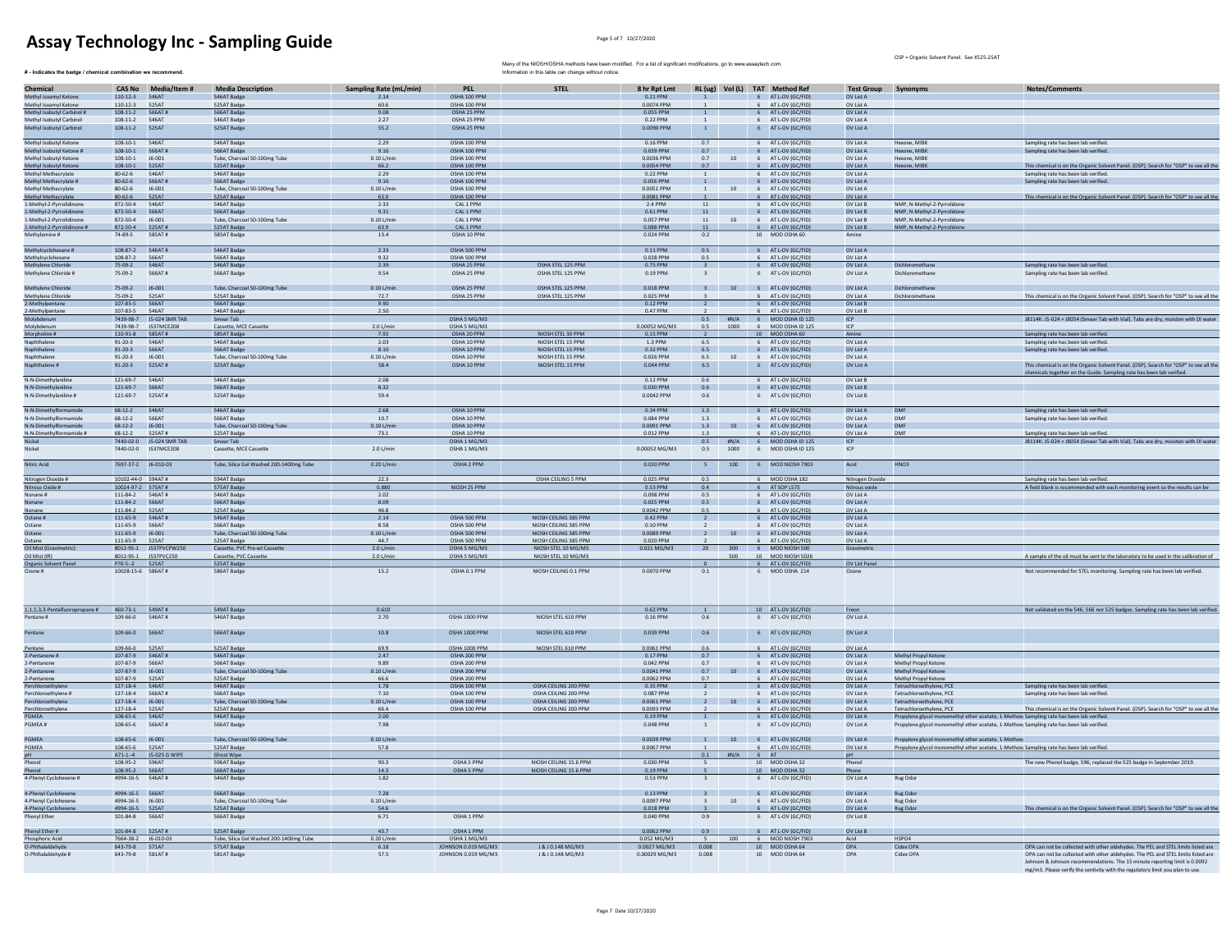$#$  - Indicates the badge / chemical combination we recommend.

OSP = Organic Solvent Panel. See X525-25AT

| Chemical                                                     |                                       | CAS No Media/Item #                | <b>Media Description</b>                               | <b>Sampling Rate (mL/min)</b> | <b>PEL</b>                          | <b>STEL</b>                                      | 8 hr Rpt Lmt                |                             |                  | RL (ug) Vol (L) TAT Method Ref                   | <b>Test Group Synonyms</b> |                                                                                          | Notes/Comments                                                                                                                                                                                                                                   |
|--------------------------------------------------------------|---------------------------------------|------------------------------------|--------------------------------------------------------|-------------------------------|-------------------------------------|--------------------------------------------------|-----------------------------|-----------------------------|------------------|--------------------------------------------------|----------------------------|------------------------------------------------------------------------------------------|--------------------------------------------------------------------------------------------------------------------------------------------------------------------------------------------------------------------------------------------------|
| Methyl Isoamyl Ketone                                        | 110-12-3 546AT                        |                                    | 546AT Badge                                            | 2.14                          | OSHA 100 PPM                        |                                                  | 0.21 PPM                    | $\mathbf{1}$                |                  | 6 AT L-OV (GC/FID)                               | OV List A                  |                                                                                          |                                                                                                                                                                                                                                                  |
| Methyl Isoamyl Ketone<br>Methyl Isobutyl Carbinol #          | 110-12-3 525AT<br>108-11-2 566AT#     |                                    | 525AT Badge<br>566AT Badge                             | 60.6<br>9.08                  | OSHA 100 PPM<br>OSHA 25 PPM         |                                                  | 0.0074 PPM<br>0.055 PPM     | $\mathbf{1}$                |                  | 6 AT L-OV (GC/FID)<br>6 AT L-OV (GC/FID)         | OV List A<br>OV List A     |                                                                                          |                                                                                                                                                                                                                                                  |
| Methyl Isobutyl Carbinol                                     | 108-11-2 546AT                        |                                    | 546AT Badge                                            | 2.27                          | OSHA 25 PPM                         |                                                  | 0.22 PPM                    | $\mathbf{1}$                |                  | 6 AT L-OV (GC/FID)                               | OV List A                  |                                                                                          |                                                                                                                                                                                                                                                  |
| Methyl Isobutyl Carbinol                                     | 108-11-2 525AT                        |                                    | 525AT Badge                                            | 55.2                          | OSHA 25 PPM                         |                                                  | 0.0090 PPM                  | $\mathbf{1}$                |                  | 6 AT L-OV (GC/FID)                               | OV List A                  |                                                                                          |                                                                                                                                                                                                                                                  |
| Methyl Isobutyl Ketone                                       | 108-10-1 546AT                        |                                    | 546AT Badge                                            | 2.29                          | OSHA 100 PPM                        |                                                  | 0.16 PPM                    | 0.7                         |                  | 6 AT L-OV (GC/FID)                               | OV List A                  | Hexone, MIBK                                                                             | Sampling rate has been lab verified.                                                                                                                                                                                                             |
| Methyl Isobutyl Ketone #                                     | 108-10-1    566AT#                    |                                    | 566AT Badge                                            | 9.16                          | OSHA 100 PPM                        |                                                  | 0.039 PPM                   | 0.7                         |                  | 6 AT L-OV (GC/FID)                               | OV List A                  | Hexone, MIBK                                                                             | Sampling rate has been lab verified.                                                                                                                                                                                                             |
| Methyl Isobutyl Ketone                                       | $108 - 10 - 1$                        | $J6 - 001$                         | Tube, Charcoal 50-100mg Tube                           | $0.10$ L/min                  | OSHA 100 PPM                        |                                                  | 0.0036 PPM                  | 0.7                         | 10               | 6 AT L-OV (GC/FID                                | OV List A                  | Hexone, MIBK                                                                             |                                                                                                                                                                                                                                                  |
| Methyl Isobutyl Ketone                                       | $108 - 10 - 1$                        | 525AT<br><b>546AT</b>              | 525AT Badge                                            | 66.2<br>2.29                  | OSHA 100 PPM<br>OSHA 100 PPM        |                                                  | 0.0054 PPM<br>0.22 PPM      | 0.7                         |                  | 6 AT L-OV (GC/FID                                | OV List A                  | Hexone, MIBK                                                                             | This chemical is on the Organic Solvent Panel. (OSP). Search for "OSP" to see all the                                                                                                                                                            |
| Methyl Methacrylate<br>Methyl Methacrylate #                 | $80 - 62 - 6$<br>80-62-6 566AT#       |                                    | 546AT Badge<br>566AT Badge                             | 9.16                          | OSHA 100 PPM                        |                                                  | 0.056 PPM                   | $\overline{1}$              |                  | 6 AT L-OV (GC/FID<br>6 AT L-OV (GC/FID)          | OV List A<br>OV List A     |                                                                                          | Sampling rate has been lab verified<br>Sampling rate has been lab verified.                                                                                                                                                                      |
| Methyl Methacrylate                                          | $80 - 62 - 6$                         | 16-001                             | Tube, Charcoal 50-100mg Tube                           | 0.101/min                     | OSHA 100 PPM                        |                                                  | 0.0051 PPM                  | 1                           |                  | 10 6 AT L-OV (GC/FID)                            | OV List A                  |                                                                                          |                                                                                                                                                                                                                                                  |
| Methyl Methacrylate                                          | 80-62-6 525AT                         |                                    | 525AT Badge                                            | 63.0                          | OSHA 100 PPM                        |                                                  | 0.0081 PPM                  | $\overline{1}$              |                  | 6 AT L-OV (GC/FID)                               | OV List A                  |                                                                                          | This chemical is on the Organic Solvent Panel. (OSP). Search for "OSP" to see all the                                                                                                                                                            |
| 1-Methyl-2-Pyrrolidinone<br>1-Methyl-2-Pyrrolidinone         | 872-50-4 546AT<br>872-50-4 566AT      |                                    | 546AT Badge<br>566AT Badge                             | 2.33<br>9.31                  | CAL 1 PPM<br>CAL 1 PPM              |                                                  | 2.4 PPM<br>0.61 PPM         | 11<br>$11$                  |                  | 6 AT L-OV (GC/FID)<br>6 AT L-OV (GC/FID)         | OV List B<br>OV List B     | NMP. N-Methyl-2-Pyrrolidone<br>NMP. N-Methyl-2-Pyrrolidone                               |                                                                                                                                                                                                                                                  |
| 1-Methyl-2-Pyrrolidinone                                     | 872-50-4 J6-001                       |                                    | Tube, Charcoal 50-100mg Tube                           | $0.10$ L/min                  | CAL 1 PPM                           |                                                  | 0.057 PPM                   | 11                          | 10               | 6 AT L-OV (GC/FID)                               | OV List B                  | NMP, N-Methyl-2-Pyrrolidone                                                              |                                                                                                                                                                                                                                                  |
| 1-Methyl-2-Pyrrolidinone #                                   | 872-50-4 525AT#                       |                                    | 525AT Badge                                            | 63.9                          | CAL 1 PPM                           |                                                  | 0.088 PPM                   | $11\,$                      |                  | 6 AT L-OV (GC/FID)                               | OV List B                  | NMP, N-Methyl-2-Pyrrolidone                                                              |                                                                                                                                                                                                                                                  |
| Methylamine #                                                | 74-89-5                               | 585AT#                             | 585AT Badge                                            | 13.4                          | OSHA 10 PPM                         |                                                  | 0.024 PPM                   | 0.2                         |                  | 10 MOD OSHA 60                                   | Amine                      |                                                                                          |                                                                                                                                                                                                                                                  |
| Methylcyclohexane #                                          | 108-87-2 546AT#                       |                                    | 546AT Badge                                            | 2.33                          | OSHA 500 PPM                        |                                                  | 0.11 PPM                    | 0.5                         |                  | 6 AT L-OV (GC/FID)                               | OV List A                  |                                                                                          |                                                                                                                                                                                                                                                  |
| Methylcyclohexane<br>Methylene Chloride                      | 108-87-2 566AT                        |                                    | 566AT Badge                                            | 9.32                          | OSHA 500 PPM                        |                                                  | 0.028 PPM                   | 0.5                         |                  | 6 AT L-OV (GC/FID)                               | OV List A                  |                                                                                          |                                                                                                                                                                                                                                                  |
|                                                              | 75-09-2 546AT                         |                                    | 546AT Badge                                            | 2.39                          | OSHA 25 PPM                         | OSHA STEL 125 PPM                                | 0.75 PPM                    | $\overline{\mathbf{3}}$     |                  | 6 AT L-OV (GC/FID)                               | OV List A                  | Dichloromethane                                                                          | Sampling rate has been lab verified.                                                                                                                                                                                                             |
| Methylene Chloride #                                         | 75-09-2                               | 566AT#                             | 566AT Badge                                            | 9.54                          | OSHA 25 PPM                         | OSHA STEL 125 PPM                                | 0.19 PPM                    | $\overline{\mathbf{3}}$     |                  | 6 AT L-OV (GC/FID)                               | OV List A                  | Dichloromethane                                                                          | Sampling rate has been lab verified.                                                                                                                                                                                                             |
| Methylene Chloride                                           | 75-09-2 J6-001                        |                                    | Tube, Charcoal 50-100mg Tube                           | $0.10$ L/min                  | OSHA 25 PPM                         | OSHA STEL 125 PPM                                | 0.018 PPM                   |                             |                  | 3 10 6 AT L-OV (GC/FID)                          | OV List A                  | Dichloromethane                                                                          |                                                                                                                                                                                                                                                  |
| Methylene Chloride                                           | 75-09-2                               | 525AT                              | 525AT Badge                                            | 72.7                          | OSHA 25 PPM                         | OSHA STEL 125 PPM                                | 0.025 PPM                   |                             |                  | 6 AT L-OV (GC/FID)                               | OV List A                  | Dichloromethane                                                                          | This chemical is on the Organic Solvent Panel. (OSP). Search for "OSP" to see all the                                                                                                                                                            |
| 2-Methylpenta                                                | 107-83-5 566AT                        |                                    | 566AT Badg                                             | 9.90                          |                                     |                                                  | 0.12 PPM                    | $\overline{2}$              |                  | 6 AT L-OV (GC/FII                                | OV List B                  |                                                                                          |                                                                                                                                                                                                                                                  |
| 2-Methylpentane<br>Molybdenum                                | 107-83-5                              | 546AT<br>7439-98-7 J5-024 SMR TAB  | 546AT Badge                                            | 2.50                          | OSHA 5 MG/M3                        |                                                  | 0.47 PPM                    |                             |                  | 6 AT L-OV (GC/FID)<br>0.5 #N/A 6 MOD OSHA ID 125 | OV List B<br>ICP           |                                                                                          | J8114K: J5-024 + J8054 (Smear Tab with Vial). Tabs are dry, moisten with DI water                                                                                                                                                                |
| Molybdenum                                                   |                                       | 7439-98-7 JS37MCE208               | Smear Tab<br>Cassette, MCE Cassette                    | 2.0 L/min                     | OSHA 5 MG/M3                        |                                                  | 0.00052 MG/M3               | 0.5                         | 1000             | 6 MOD OSHA ID 125                                | ICP                        |                                                                                          |                                                                                                                                                                                                                                                  |
| Morpholine #                                                 | 110-91-8 585AT#                       |                                    | 585AT Badge                                            | 7.92                          | OSHA 20 PPM                         | NIOSH STEL 30 PPM                                | 0.15 PPM                    | $\overline{2}$              |                  | 10 MOD OSHA 60                                   | Amine                      |                                                                                          | Sampling rate has been lab verified.                                                                                                                                                                                                             |
| Naphthalene                                                  | $91 - 20 - 3$                         | 546AT                              | 546AT Badge                                            | 2.03                          | OSHA 10 PPM                         | NIOSH STEL 15 PPM                                | 1.3 PPM                     | 6.5                         |                  | 6 AT L-OV (GC/FID)                               | OV List A                  |                                                                                          | Sampling rate has been lab verified.                                                                                                                                                                                                             |
| Naphthalene<br>.<br>Naphthalene                              | 91-20-3 566AT<br>$91 - 20 - 3$        | J6-001                             | 566AT Badge<br>Tube, Charcoal 50-100mg Tube            | 8.10<br>$0.10$ L/min          | OSHA 10 PPM<br>OSHA 10 PPM          | NIOSH STEL 15 PPM<br>NIOSH STEL 15 PPM           | 0.32 PPM<br>0.026 PPM       | 6.5<br>6.5                  | $10\,$           | 6 AT L-OV (GC/FID)<br>6 AT L-OV (GC/FID)         | OV List A<br>OV List A     |                                                                                          | Sampling rate has been lab verified.                                                                                                                                                                                                             |
| Naphthalene #                                                | $91 - 20 - 3$                         | 525AT#                             | 525AT Badge                                            | 58.4                          | OSHA 10 PPM                         | NIOSH STEL 15 PPM                                | $0.044$ PPM                 | 6.5                         |                  | 6 AT L-OV (GC/FID)                               | OV List A                  |                                                                                          | This chemical is on the Organic Solvent Panel. (OSP). Search for "OSP" to see all the                                                                                                                                                            |
|                                                              |                                       |                                    |                                                        |                               |                                     |                                                  |                             |                             |                  |                                                  |                            |                                                                                          | chemicals together on the Guide. Sampling rate has been lab verified.                                                                                                                                                                            |
| N-N-Dimethylaniline                                          | 121-69-7 546AT                        |                                    | 546AT Radge                                            | 2.08                          |                                     |                                                  | 0.12 PPM                    | 0.6                         |                  | 6 AT L-OV (GC/FID)                               | OV List B                  |                                                                                          |                                                                                                                                                                                                                                                  |
| N-N-Dimethylaniline                                          | 121-69-7 566AT                        |                                    | 566AT Badge                                            | 832                           |                                     |                                                  | 0.030 PPM                   | 0.6                         |                  | 6 AT LOV (GC/FID)                                | OV List R                  |                                                                                          |                                                                                                                                                                                                                                                  |
| N-N-Dimethylaniline #                                        | 121-69-7 525AT#                       |                                    | 525AT Badge                                            | 59.4                          |                                     |                                                  | 0.0042 PPM                  | 0.6                         |                  | 6 AT L-OV (GC/FID)                               | OV List B                  |                                                                                          |                                                                                                                                                                                                                                                  |
| N-N-Dimethylformamide                                        | 68-12-2 546AT                         |                                    | 546AT Badge                                            | 2.68                          | OSHA 10 PPM                         |                                                  | 0.34 PPM                    | 1.3                         |                  | 6 AT L-OV (GC/FID)                               | OV List A                  | DMF                                                                                      | Sampling rate has been lab verified.                                                                                                                                                                                                             |
| N-N-Dimethylformamide                                        | $68 - 12 - 2$                         | 566AT                              | 566AT Badge                                            | 10.7                          | OSHA 10 PPM                         |                                                  | 0.084 PPM                   | 1.3                         |                  | AT L-OV (GC/FID                                  | OV List A                  | DM                                                                                       | Sampling rate has been lab verified                                                                                                                                                                                                              |
| N-N-Dimethylformamide                                        | $68-12-2$                             | $J6 - 001$                         | Tube, Charcoal 50-100mg Tube                           | $0.10$ L/min                  | OSHA 10 PPM                         |                                                  | 0.0091 PPM                  | 1.3                         | 10 <sup>10</sup> | 6 AT L-OV (GC/FID)                               | OV List A                  | <b>DMF</b>                                                                               |                                                                                                                                                                                                                                                  |
| N-N-Dimethylformamide #                                      | $68 - 12 - 2$                         | 525AT#<br>7440-02-0 J5-024 SMR TAB | 525AT Badge<br>Smear Tab                               | 73.1                          | OSHA 10 PPM<br>OSHA 1 MG/M3         |                                                  | 0.012 PPM                   | 1.3<br>0.5                  |                  | AT L-OV (GC/FID)<br>#N/A 6 MOD OSHA ID 125       | OV List A<br>ICP           | DMF                                                                                      | Sampling rate has been lab verified.<br>J8114K: J5-024 + J8054 (Smear Tab with Vial). Tabs are dry, moisten with DI water                                                                                                                        |
| Nickel                                                       |                                       | 7440-02-0 JS37MCE208               | Cassette, MCE Cassette                                 | 2.0 L/min                     | OSHA 1 MG/M3                        |                                                  | 0.00052 MG/M3               | 0.5                         | 1000             | 6 MOD OSHA ID 125                                | ICP                        |                                                                                          |                                                                                                                                                                                                                                                  |
| Nitric Acid                                                  |                                       |                                    |                                                        |                               |                                     |                                                  |                             |                             |                  |                                                  |                            |                                                                                          |                                                                                                                                                                                                                                                  |
|                                                              | 7697-37-2 J6-010-03                   |                                    | Tube, Silica Gel Washed 200-1400mg Tube                | 0.20 L/min                    | OSHA 2 PPM                          |                                                  | 0.020 PPM                   | $5 -$                       |                  | 100 6 MOD NIOSH 7903                             | Acid                       | HNO <sub>3</sub>                                                                         |                                                                                                                                                                                                                                                  |
|                                                              | 10102-44-0 594AT#                     |                                    | 594AT Badge                                            | 22.3                          |                                     | OSHA CEILING 5 PPM                               | 0.025 PPM                   | 0.5                         |                  | 6 MOD OSHA 182                                   | Nitrogen Dioxide           |                                                                                          | Sampling rate has been lab verified.                                                                                                                                                                                                             |
| Nitrogen Dioxide #<br>Nitrous Oxide #                        | 10024-97-2 575AT#                     |                                    | 575AT Badge                                            | 0.880                         | NIOSH 25 PPM                        |                                                  | 0.53 PPM                    | 0.4                         |                  | 6 AT SOP L575                                    | Nitrous oxide              |                                                                                          | A field blank is recommended with each monitoring event so the results can be                                                                                                                                                                    |
| Nonane #                                                     | 111-84-2 546AT#                       |                                    | 546AT Badge                                            | 2.02                          |                                     |                                                  | 0.098 PPM                   | 0.5<br>0.5                  |                  | 6 AT L-OV (GC/FID                                | OV List A                  |                                                                                          |                                                                                                                                                                                                                                                  |
| Nonane<br>Nonane                                             | 111-84-2 566AT<br>111-84-2   525AT    |                                    | 566AT Badge<br>525AT Badge                             | 8.09<br>46.8                  |                                     |                                                  | 0.025 PPM<br>0.0042 PPM     | 0.5                         |                  | 6 AT L-OV (GC/FID)<br>6 AT L-OV (GC/FID)         | OV List A<br>OV List A     |                                                                                          |                                                                                                                                                                                                                                                  |
| Octane #                                                     | 111-65-9 546AT#                       |                                    | <b>546AT Badge</b>                                     | 2.14                          | OSHA 500 PPM                        | NIOSH CEILING 385 PPM                            | 0.42 PPM                    | $\overline{2}$              |                  | 6 AT L-OV (GC/FID)                               | OV List A                  |                                                                                          |                                                                                                                                                                                                                                                  |
| Octane                                                       | 111-65-9 566AT                        |                                    | 566AT Badge                                            | 8.58                          | OSHA 500 PPM                        | NIOSH CEILING 385 PPM                            | 0.10 PPM                    | $\overline{2}$              |                  | 6 AT L-OV (GC/FID)                               | OV List A                  |                                                                                          |                                                                                                                                                                                                                                                  |
| Octane                                                       | 111-65-9 J6-001                       |                                    | Tube, Charcoal 50-100mg Tube                           | $0.10$ L/min                  | OSHA 500 PPM                        | NIOSH CEILING 385 PPM<br>NIOSH CEILING 385 PPM   | 0.0089 PPM                  | $\overline{2}$              |                  | 6 AT L-OV (GC/FID)                               | OV List A                  |                                                                                          |                                                                                                                                                                                                                                                  |
| Octane<br>Oil Mist (Gravimetri                               | 111-65-9                              | 525AT<br>8012-95-1 JS37PVCPW25     | 525AT Badge<br>Cassette, PVC Pre-wt Cassett            | 44.7<br>$2.0$ L/min           | OSHA 500 PPM<br>OSHA 5 MG/M3        | NIOSH STEL 10 MG/M3                              | 0.020 PPM<br>0.021 MG/M     | 20                          |                  | 6 AT L-OV (GC/FID)<br>6 MOD NIOSH 500            | OV List A<br>Gravimetri    |                                                                                          |                                                                                                                                                                                                                                                  |
| Oil Mist (IR)                                                |                                       | 8012-95-1 JS37PVC250               | Cassette, PVC Cassette                                 | 2.0 L/min                     | OSHA 5 MG/M3                        | NIOSH STEL 10 MG/M3                              |                             |                             | 500              | 10 MOD NIOSH 502                                 |                            |                                                                                          | A sample of the oil must be sent to the laboratory to be used in the calibration of                                                                                                                                                              |
| Organic Solvent Pane                                         | P70-5-2 525AT                         |                                    | 525AT Badge                                            |                               |                                     |                                                  |                             |                             |                  | 6 AT L-OV (GC/FID)                               | OV List Panel              |                                                                                          |                                                                                                                                                                                                                                                  |
| Ozone #                                                      | 10028-15-6 586AT#                     |                                    | 586AT Badge                                            | 15.2                          | OSHA 0.1 PPM                        | NIOSH CEILING 0.1 PPM                            | 0.0070 PPM                  | 0.1                         |                  | 6 MOD OSHA 214                                   | Ozone                      |                                                                                          | Not recommended for STEL monitoring. Sampling rate has been lab verified.                                                                                                                                                                        |
|                                                              |                                       |                                    |                                                        |                               |                                     |                                                  |                             |                             |                  |                                                  |                            |                                                                                          |                                                                                                                                                                                                                                                  |
|                                                              |                                       |                                    |                                                        |                               |                                     |                                                  |                             |                             |                  |                                                  |                            |                                                                                          |                                                                                                                                                                                                                                                  |
|                                                              |                                       |                                    |                                                        |                               |                                     |                                                  |                             |                             |                  |                                                  |                            |                                                                                          |                                                                                                                                                                                                                                                  |
| 1,1,1,3,3-Pentafluoropropane # 460-73-1 549AT #<br>Pentane # | 109-66-0 546AT#                       |                                    | 549AT Badge<br>546AT Badge                             | 0.610<br>2.70                 | OSHA 1000 PPM                       | NIOSH STEL 610 PPM                               | 0.62 PPM<br>0.16 PPM        | $\overline{1}$<br>0.6       |                  | 10 AT L-OV (GC/FID)<br>6 AT L-OV (GC/FID)        | Freon<br>OV List A         |                                                                                          | Not validated on the 546, 566 nor 525 badges. Sampling rate has been lab verified.                                                                                                                                                               |
|                                                              |                                       |                                    |                                                        |                               |                                     |                                                  |                             |                             |                  |                                                  |                            |                                                                                          |                                                                                                                                                                                                                                                  |
| Pentane                                                      | 109-66-0                              | 566AT                              | 566AT Badge                                            | 10.8                          | OSHA 1000 PPM                       | NIOSH STEL 610 PPM                               | 0.039 PPM                   | 0.6                         |                  | 6 AT L-OV (GC/FID)                               | OV List A                  |                                                                                          |                                                                                                                                                                                                                                                  |
|                                                              | 109-66-0 525AT                        |                                    |                                                        | 69.9                          | OSHA 1000 PPM                       | NIOSH STEL 610 PPM                               | 0.0061 PPM                  | 0.6                         |                  |                                                  | OV List A                  |                                                                                          |                                                                                                                                                                                                                                                  |
| Pentane<br>2-Pentanone #                                     | 107-87-9 546AT#                       |                                    | 525AT Badge<br>546AT Badge                             | 2.47                          | OSHA 200 PPM                        |                                                  | 0.17 PPM                    | 0.7                         |                  | 6 AT L-OV (GC/FID)<br>6 AT L-OV (GC/FID)         | OV List A                  | Methyl Propyl Ketone                                                                     |                                                                                                                                                                                                                                                  |
| 2-Pentanone                                                  | 107-87-9 566AT                        |                                    | 566AT Badge                                            | 9.89                          | OSHA 200 PPM                        |                                                  | 0.042 PPM                   | 0.7                         |                  | 6 AT L-OV (GC/FID)                               | OV List A                  | Methyl Propyl Ketone                                                                     |                                                                                                                                                                                                                                                  |
| 2-Pentanone                                                  | 107-87-9 J6-001                       |                                    | Tube, Charcoal 50-100mg Tube                           | $0.10$ L/min                  | OSHA 200 PPM                        |                                                  | 0.0041 PPM                  | 0.7                         | 10 <sup>10</sup> | 6 AT L-OV (GC/FID)                               | OV List A                  | Methyl Propyl Ketone                                                                     |                                                                                                                                                                                                                                                  |
| 2-Pentanone                                                  | 107-87-9 525AT                        |                                    | 525AT Badge                                            | 66.6                          | OSHA 200 PPM                        |                                                  | 0.0062 PPM                  | 0.7                         |                  | 6 AT L-OV (GC/FID)                               | OV List A                  | Methyl Propyl Ketone                                                                     |                                                                                                                                                                                                                                                  |
| Perchloroethylene<br>Perchloroethylene #                     | 127-18-4 546AT<br>$127 - 18 - 4$      | 566AT#                             | 546AT Badge<br>566AT Badge                             | 1.78<br>7.10                  | OSHA 100 PPM<br>OSHA 100 PPM        | OSHA CEILING 200 PPM<br>OSHA CEILING 200 PPM     | 0.35 PPM<br>0.087 PPM       | $\overline{2}$              |                  | 6 AT L-OV (GC/FID)<br>AT L-OV (GC/FID            | OV List A<br>OV List A     | Tetrachloroethylene, PCE<br>Tetrachloroethylene, PCE                                     | Sampling rate has been lab verified<br>sampling rate has been lab verifier                                                                                                                                                                       |
| Perchloroethylene                                            | 127-18-4 J6-001                       |                                    | Tube, Charcoal 50-100mg Tube                           | $0.10$ L/min                  | OSHA 100 PPM                        | OSHA CEILING 200 PPM                             | 0.0061 PPM                  | $\frac{1}{2}$               | 10 <sup>10</sup> | 6 AT L-OV (GC/FID)                               | OV List A                  | Tetrachloroethylene, PCE                                                                 |                                                                                                                                                                                                                                                  |
| Perchloroethylene                                            | 127-18-4 525AT                        |                                    | 525AT Badge                                            | 66.4                          | OSHA 100 PPM                        | OSHA CEILING 200 PPM                             | 0.0093 PPM                  |                             |                  | 6 AT L-OV (GC/FID)                               | OV List A                  | Tetrachloroethylene, PCE                                                                 | This chemical is on the Organic Solvent Panel. (OSP). Search for "OSP" to see all the                                                                                                                                                            |
| PGMFA                                                        | 108-65-6 546AT                        |                                    | 546AT Badge                                            | 2.00                          |                                     |                                                  | 0.19 PPM                    | $\overline{1}$              |                  | 6 AT LOV (GC/FID)                                | OV List A                  | Propylene glycol monomethyl ether acetate, 1-Methox Sampling rate has been lab verified. |                                                                                                                                                                                                                                                  |
| PGMEA#                                                       | 108-65-6 566AT#                       |                                    | 566AT Badge                                            | 7.98                          |                                     |                                                  | 0.048 PPM                   | <sup>1</sup>                |                  | 6 AT L-OV (GC/FID)                               | OV List A                  | Propylene glycol monomethyl ether acetate, 1-Methox Sampling rate has been lab verified. |                                                                                                                                                                                                                                                  |
| PGMEA                                                        | 108-65-6 J6-001                       |                                    | Tube, Charcoal 50-100mg Tube                           | $0.10$ L/min                  |                                     |                                                  | 0.0039 PPM                  |                             |                  | 1 10 6 AT L-OV (GC/FID)                          | OV List A                  | Propylene givcol monomethyl ether acetate, 1-Methox                                      |                                                                                                                                                                                                                                                  |
| PGMEA                                                        | 108-65-6 525AT                        |                                    | 525AT Badge                                            | 57.8                          |                                     |                                                  | 0.0067 PPM                  |                             |                  | 6 AT L-OV (GC/FID)                               | OV List A                  | Propylene glycol monomethyl ether acetate, 1-Methox Sampling rate has been lab verified. |                                                                                                                                                                                                                                                  |
| pH<br>Phenol                                                 |                                       | A71-1--4 J5-025 G WIPI             | Ghost Wipe                                             |                               |                                     |                                                  |                             | 0.1                         |                  | $6$ $AT$                                         | pH                         |                                                                                          |                                                                                                                                                                                                                                                  |
| Phenol                                                       | 108-95-2 566AT                        |                                    | 596AT Badge<br>566AT Badge                             | 90.3<br>14.3                  | OSHA 5 PPM<br>OSHA 5 PPM            | NIOSH CEILING 15.6 PPM<br>NIOSH CEILING 15.6 PPM | 0.030 PPM<br>$0.19$ PPM     | 5                           |                  | 10 MOD OSHA 32<br>10 MOD OSHA 32                 | Phenol<br>Phone            |                                                                                          | The new Phenol badge, 596, replaced the 525 badge in September 2019.                                                                                                                                                                             |
| 4-Phenyl Cyclohexene #                                       | 4994-16-5   546AT#                    |                                    | 546AT Badge                                            | 1.82                          |                                     |                                                  | 0.53 PPM                    |                             |                  | 6 AT L-OV (GC/FID)                               | OV List A                  | Rug Odor                                                                                 |                                                                                                                                                                                                                                                  |
|                                                              |                                       |                                    |                                                        |                               |                                     |                                                  |                             |                             |                  |                                                  |                            |                                                                                          |                                                                                                                                                                                                                                                  |
| 4-Phenyl Cyclohexene                                         | 4994-16-5 566AT                       |                                    | 566AT Badge                                            | 7.28                          |                                     |                                                  | 0.13 PPM                    |                             |                  | 3 6 AT L-OV (GC/FID)                             | OV List A                  | Rug Odor                                                                                 |                                                                                                                                                                                                                                                  |
| 4-Phenyl Cyclohexene                                         | 4994-16-5 J6-001<br>4994-16-5 525AT   |                                    | Tube, Charcoal 50-100mg Tube<br>525AT Badge            | $0.10$ L/min<br>54.6          |                                     |                                                  | 0.0097 PPM<br>0.018 PPM     | $3^{\circ}$<br>$\mathbf{R}$ |                  | 10 6 AT L-OV (GC/FID)<br>6 AT L-OV (GC/FID)      | OV List A<br>OV List A     | Rug Odor<br>Rug Odor                                                                     | This chemical is on the Organic Solvent Panel. (OSP). Search for "OSP" to see all the                                                                                                                                                            |
| 4-Phenyl Cyclohexene<br>Phenyl Ether                         | 101-84-8   566AT                      |                                    | 566AT Badge                                            | 6.71                          | OSHA 1 PPM                          |                                                  | 0.040 PPM                   | 0.9                         |                  | 6 AT L-OV (GC/FID)                               | OV List B                  |                                                                                          |                                                                                                                                                                                                                                                  |
|                                                              |                                       |                                    |                                                        |                               |                                     |                                                  |                             |                             |                  |                                                  |                            |                                                                                          |                                                                                                                                                                                                                                                  |
| Phenyl Ether #                                               | 101-84-8    525AT#                    |                                    | 525AT Badge                                            | 43.7                          | OSHA 1 PPM                          |                                                  | 0.0062 PPM                  | 0.9<br>$\mathbf{S}$         |                  | 6 AT L-OV (GC/FID)                               | OV List B                  |                                                                                          |                                                                                                                                                                                                                                                  |
| Phosphoric Acid<br>0-Phthalaldehyde                          | 7664-38-2 J6-010-03<br>643-79-8 571AT |                                    | Tube, Silica Gel Washed 200-1400mg Tube<br>571AT Badge | 0.20 L/min<br>6.18            | OSHA 1 MG/M3<br>IOHNSON 0.019 MG/M3 | J & J 0.148 MG/M3                                | 0.052 MG/M3<br>0.0027 MG/M3 | 0.008                       | 100              | 6 MOD NIOSH 7903<br>10 MOD OSHA 64               | Acid<br>OPA                | H3PO4<br>Cidex OPA                                                                       | OPA can not be collected with other aldehydes. The PEL and STEL limits listed are                                                                                                                                                                |
| O-Phthalaldehyde #                                           | 643-79-8 581AT#                       |                                    | 581AT Badge                                            | 57.5                          | JOHNSON 0.019 MG/M3                 | J & J 0.148 MG/M3                                | 0.00029 MG/M3               | 0.008                       |                  | 10 MOD OSHA 64                                   | OPA                        | Cidex OPA                                                                                | OPA can not be collected with other aldehydes. The PEL and STEL limits listed are<br>Johnson & Johnson recommendations. The 15 minute reporting limit is 0.0092<br>mg/m3. Please verify the sentivity with the regulatory limit you plan to use. |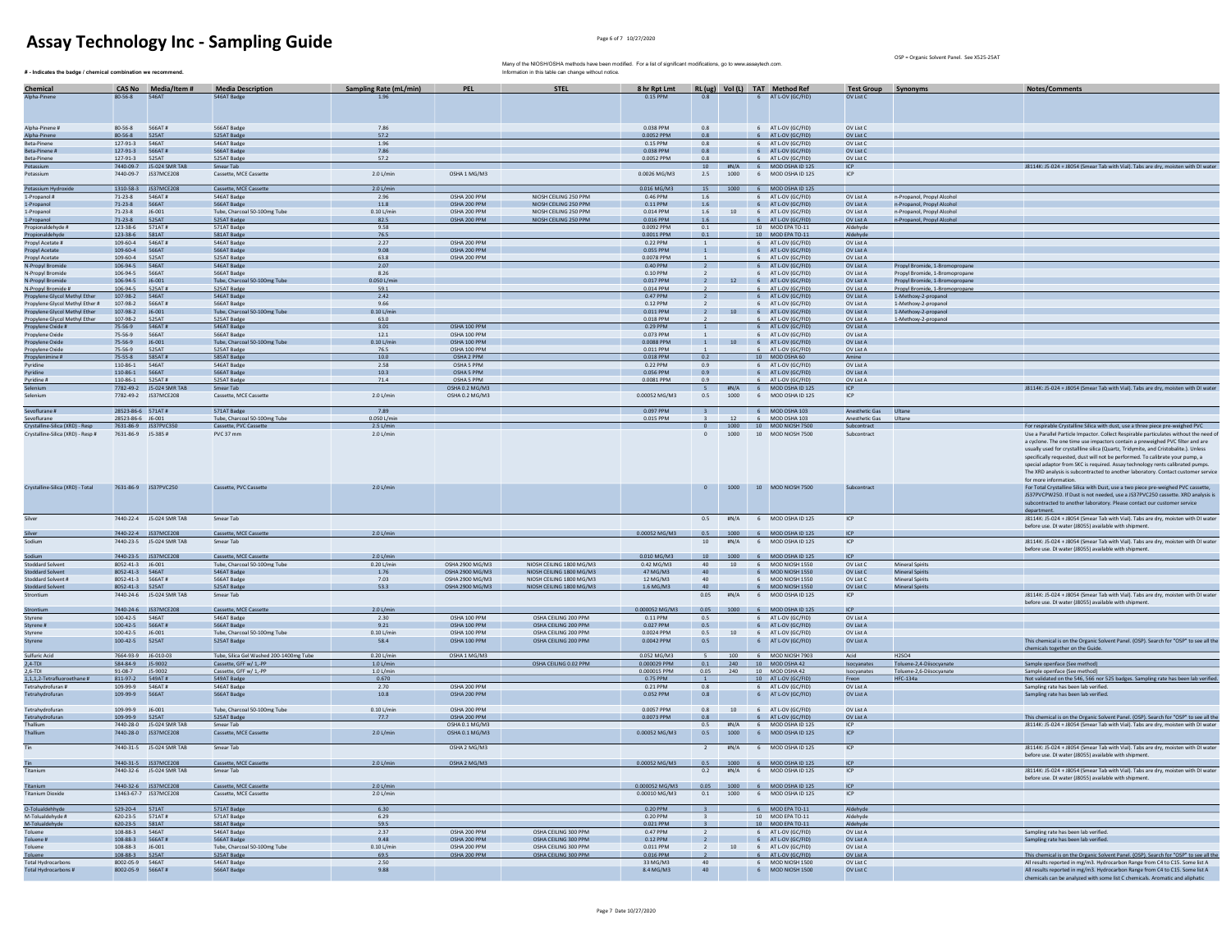Many of the NIOSH/OSHA methods have been modified. For a list of significant modifications, go to www.assaytech.com.

OSP = Organic Solvent Panel. See X525-25AT

| # - Indicates the badge / chemical combination we recommend.         |                                       |                                                  |                                                  |                               |                                    | Many of the NIOSH/OSHA methods have been modified. For a list of significant modifications, go to www.assaytech.com<br>Information in this table can change without notice |                           |                                            |              |                                                          |                            |                                                                  |                                                                                                                                                                                                                                                                                                                                                                                                                                                                                                                                           |
|----------------------------------------------------------------------|---------------------------------------|--------------------------------------------------|--------------------------------------------------|-------------------------------|------------------------------------|----------------------------------------------------------------------------------------------------------------------------------------------------------------------------|---------------------------|--------------------------------------------|--------------|----------------------------------------------------------|----------------------------|------------------------------------------------------------------|-------------------------------------------------------------------------------------------------------------------------------------------------------------------------------------------------------------------------------------------------------------------------------------------------------------------------------------------------------------------------------------------------------------------------------------------------------------------------------------------------------------------------------------------|
| Chemical                                                             |                                       | CAS No Media/Item #                              | <b>Media Description</b>                         | <b>Sampling Rate (mL/min)</b> | <b>PEL</b>                         | <b>STEL</b>                                                                                                                                                                | 8 hr Rpt Lmt              |                                            |              | RL (ug) Vol (L) TAT Method Ref                           | Test Group Synonyms        |                                                                  | Notes/Comments                                                                                                                                                                                                                                                                                                                                                                                                                                                                                                                            |
| Alpha-Pinene                                                         | 80-56-8 546AT                         |                                                  | 546AT Badge                                      | 1.96                          |                                    |                                                                                                                                                                            | 0.15 PPM                  | 0.8                                        |              | 6 AT L-OV (GC/FID)                                       | OV List C                  |                                                                  |                                                                                                                                                                                                                                                                                                                                                                                                                                                                                                                                           |
|                                                                      |                                       |                                                  |                                                  |                               |                                    |                                                                                                                                                                            |                           |                                            |              |                                                          |                            |                                                                  |                                                                                                                                                                                                                                                                                                                                                                                                                                                                                                                                           |
| Npha-Pinene #                                                        | 80-56-8                               | 566AT#                                           | 566AT Badge                                      | 7.86                          |                                    |                                                                                                                                                                            | 0.038 PPM                 | 0.8                                        |              | 6 AT L-OV (GC/FID)                                       | OV List C                  |                                                                  |                                                                                                                                                                                                                                                                                                                                                                                                                                                                                                                                           |
| Alpha-Pinene                                                         | 80-56-8 525AT                         |                                                  | 525AT Badge                                      | 57.2                          |                                    |                                                                                                                                                                            | 0.0052 PPM                | 0.8                                        |              | 6 AT L-OV (GC/FID)                                       | OV List C                  |                                                                  |                                                                                                                                                                                                                                                                                                                                                                                                                                                                                                                                           |
| Beta-Pinene<br>Beta-Pinene #                                         | 127-91-3 546AT<br>127-91-3 566AT#     |                                                  | 546AT Badge<br>566AT Badge                       | 1.96<br>7.86                  |                                    |                                                                                                                                                                            | 0.15 PPM<br>0.038 PPM     | 0.8<br>0.8                                 |              | 6 AT LOV (GC/FID)<br>6 AT L-OV (GC/FID)                  | OV List C<br>OV List C     |                                                                  |                                                                                                                                                                                                                                                                                                                                                                                                                                                                                                                                           |
| Beta-Pinene                                                          | 127-91-3 525AT                        |                                                  | 525AT Badge                                      | 57.2                          |                                    |                                                                                                                                                                            | 0.0052 PPM                | 0.8                                        |              | 6 AT L-OV (GC/FID)                                       | OV List C                  |                                                                  |                                                                                                                                                                                                                                                                                                                                                                                                                                                                                                                                           |
| Potassium<br>Potassium                                               |                                       | 7440-09-7 J5-024 SMR TAB<br>7440-09-7 JS37MCE208 | Smear Tab<br>Cassette, MCE Cassette              | 2.0 L/min                     | OSHA 1 MG/M3                       |                                                                                                                                                                            | 0.0026 MG/M3              | 10<br>2.5                                  | 1000         | #N/A 6 MOD OSHA ID 125<br>6 MOD OSHA ID 125              | <b>ICP</b><br>ICP          |                                                                  | J8114K: J5-024 + J8054 (Smear Tab with Vial). Tabs are dry, moisten with DI water                                                                                                                                                                                                                                                                                                                                                                                                                                                         |
|                                                                      |                                       |                                                  |                                                  |                               |                                    |                                                                                                                                                                            |                           |                                            |              |                                                          |                            |                                                                  |                                                                                                                                                                                                                                                                                                                                                                                                                                                                                                                                           |
| Potassium Hydroxide<br>1-Propanol #                                  | 71-23-8 546AT#                        | 1310-58-3 JS37MCE208                             | Cassette, MCE Cassette<br>546AT Badge            | 2.0 L/min<br>2.96             | OSHA 200 PPM                       | NIOSH CEILING 250 PPM                                                                                                                                                      | 0.016 MG/M3<br>0.46 PPM   | 15<br>1.6                                  | 1000         | 6 MOD OSHA ID 125<br>6 AT L-OV (GC/FID)                  | OV List A                  | n-Propanol, Propyl Alcoho                                        |                                                                                                                                                                                                                                                                                                                                                                                                                                                                                                                                           |
| 1-Propanol                                                           | 71-23-8                               | 566AT                                            | 566AT Badge                                      | 11.8                          | OSHA 200 PPM                       | NIOSH CEILING 250 PPM                                                                                                                                                      | 0.11 PPM                  | 1.6                                        |              | 6 AT L-OV (GC/FID)                                       | OV List A                  | n-Propanol, Propyl Alcohol                                       |                                                                                                                                                                                                                                                                                                                                                                                                                                                                                                                                           |
| 1-Propanol                                                           | $71 - 23 - 8$                         | J6-001                                           | Tube, Charcoal 50-100mg Tube                     | $0.10$ L/min                  | OSHA 200 PPM                       | NIOSH CEILING 250 PPM<br>NIOSH CEILING 250 PPM                                                                                                                             | 0.014 PPM                 | 1.6                                        | 10           | 6 AT L-OV (GC/FID                                        | OV List A                  | n-Propanol, Propyl Alcohol                                       |                                                                                                                                                                                                                                                                                                                                                                                                                                                                                                                                           |
| 1-Propanol<br>Propionaldehyde #                                      | $71 - 23 - 8$<br>123-38-6 571AT#      | 525AT                                            | 525AT Badge<br>571AT Badge                       | 82.5<br>9.58                  | OSHA 200 PPM                       |                                                                                                                                                                            | $0.016$ PPM<br>0.0092 PPM | 1.6<br>0.1                                 |              | 6 AT L-OV (GC/FID)<br>10 MOD EPA TO-11                   | OV List A<br>Aldehyde      | n-Propanol, Propyl Alcohol                                       |                                                                                                                                                                                                                                                                                                                                                                                                                                                                                                                                           |
| Propionaldehyde                                                      | 123-38-6                              | <b>581AT</b>                                     | 581AT Badge                                      | 76.5                          |                                    |                                                                                                                                                                            | 0.0011 PPM                | 0.1                                        |              | 10 MOD EPA TO-1                                          | Aldehydr                   |                                                                  |                                                                                                                                                                                                                                                                                                                                                                                                                                                                                                                                           |
| Propyl Acetate #<br>Propyl Acetate                                   | 109-60-4<br>109-60-4                  | 546AT#<br>566AT                                  | 546AT Badge<br>566AT Badge                       | 2.27<br>9.08                  | OSHA 200 PPM<br>OSHA 200 PPM       |                                                                                                                                                                            | 0.22 PPM<br>0.055 PPM     | <sup>1</sup><br>$\overline{1}$             |              | 6 AT L-OV (GC/FID)<br>6 AT L-OV (GC/FID)                 | OV List A<br>OV List A     |                                                                  |                                                                                                                                                                                                                                                                                                                                                                                                                                                                                                                                           |
| Propyl Acetate                                                       | 109-60-4                              | 525AT                                            | 525AT Badge                                      | 63.8                          | OSHA 200 PPM                       |                                                                                                                                                                            | 0.0078 PPM                |                                            |              | 6 AT L-OV (GC/FID)                                       | OV List A                  |                                                                  |                                                                                                                                                                                                                                                                                                                                                                                                                                                                                                                                           |
| N-Propyl Bromide<br>N-Propyl Bromide                                 | 106-94-5<br>106-94-5                  | 546AT<br>566AT                                   | 546AT Badge<br>566AT Badge                       | 2.07<br>8.26                  |                                    |                                                                                                                                                                            | 0.40 PPM<br>0.10 PPM      | $\overline{\phantom{0}}$<br>$\overline{2}$ |              | 6 AT L-OV (GC/FIL<br>6 AT L-OV (GC/FID)                  | OV List A<br>OV List A     | Propyl Bromide, 1-Bromopropane<br>Propyl Bromide, 1-Bromopropane |                                                                                                                                                                                                                                                                                                                                                                                                                                                                                                                                           |
| N-Propyl Bromide                                                     | 106-94-5                              | J6-001                                           | Tube, Charcoal 50-100mg Tube                     | 0.050 L/mi                    |                                    |                                                                                                                                                                            | 0.017 PPM                 | $\overline{2}$                             |              | 12 6 AT L-OV (GC/FID)                                    | OV List A                  | Propyl Bromide, 1-Bromopropane                                   |                                                                                                                                                                                                                                                                                                                                                                                                                                                                                                                                           |
| N-Propyl Bromide #                                                   | 106-94-5                              | 525AT#                                           | 525AT Badge                                      | 59.1                          |                                    |                                                                                                                                                                            | 0.014 PPM                 |                                            |              | AT L-OV (GC/FID                                          | OV List A                  | Propyl Bromide, 1-Bromopropane                                   |                                                                                                                                                                                                                                                                                                                                                                                                                                                                                                                                           |
| Propylene Glycol Methyl Ether<br>Propylene Glycol Methyl Ether #     | 107-98-2<br>107-98-2                  | 546AT<br>566AT#                                  | 546AT Badge<br>566AT Badge                       | 2.42<br>9.66                  |                                    |                                                                                                                                                                            | 0.47 PPM<br>0.12 PPM      | $\overline{2}$<br>$\overline{2}$           |              | 6 AT L-OV (GC/FID)<br>6 AT L-OV (GC/FID)                 | OV List A<br>OV List A     | 1-Methoxy-2-propanol<br>1-Methoxy-2-propanol                     |                                                                                                                                                                                                                                                                                                                                                                                                                                                                                                                                           |
| Propylene Glycol Methyl Ether                                        | 107-98-2 J6-001                       |                                                  | Tube, Charcoal 50-100mg Tube                     | $0.10$ L/min                  |                                    |                                                                                                                                                                            | 0.011 PPM                 | $\frac{1}{2}$                              |              | 10 6 AT L-OV (GC/FID)                                    | OV List A                  | 1-Methoxy-2-propanol                                             |                                                                                                                                                                                                                                                                                                                                                                                                                                                                                                                                           |
| Propylene Glycol Methyl Ether<br>Propylene Oxide #                   | 107-98-2<br>75-56-9                   | 525AT<br>546AT#                                  | 525AT Badge<br>546AT Badge                       | 63.0<br>3.01                  | OSHA 100 PPM                       |                                                                                                                                                                            | 0.018 PPM<br>0.29 PPM     | $\overline{1}$                             |              | AT L-OV (GC/FIL<br>6 AT L-OV (GC/FID)                    | OV List A<br>OV List A     | 1-Methoxy-2-propanol                                             |                                                                                                                                                                                                                                                                                                                                                                                                                                                                                                                                           |
| Propylene Oxide                                                      | 75-56-9                               | 566AT                                            | 566AT Badge                                      | 12.1                          | OSHA 100 PPM                       |                                                                                                                                                                            | 0.073 PPM                 | <sup>1</sup>                               |              | 6 AT L-OV (GC/FID)                                       | OV List A                  |                                                                  |                                                                                                                                                                                                                                                                                                                                                                                                                                                                                                                                           |
| Propylene Oxide                                                      | 75-56-9                               | J6-001                                           | Tube, Charcoal 50-100mg Tube                     | $0.10$ L/min                  | OSHA 100 PPM                       |                                                                                                                                                                            | 0.0088 PPM                | $\vert$ 1                                  |              | 10 6 AT L-OV (GC/FID)                                    | OV List A                  |                                                                  |                                                                                                                                                                                                                                                                                                                                                                                                                                                                                                                                           |
| Propylene Oxide<br>Propylenimine #                                   | 75-56-9<br>75-55-8                    | 525AT<br>585AT#                                  | 525AT Badge<br>585AT Badge                       | 76.5<br>10.0                  | OSHA 100 PPM<br>OSHA 2 PPM         |                                                                                                                                                                            | 0.011 PPM<br>0.018 PPM    | 0.2                                        |              | 6 AT L-OV (GC/FID<br>10 MOD OSHA 60                      | OV List A<br>Amine         |                                                                  |                                                                                                                                                                                                                                                                                                                                                                                                                                                                                                                                           |
| Pyridine                                                             | 110-86-1                              | 546AT                                            | 546AT Badge                                      | 2.58                          | OSHA 5 PPM                         |                                                                                                                                                                            | 0.22 PPM                  | 0.9                                        |              | 6 AT L-OV (GC/FID)                                       | OV List A                  |                                                                  |                                                                                                                                                                                                                                                                                                                                                                                                                                                                                                                                           |
| Pyridine<br>Pyridine #                                               | 110-86-1<br>110-86-1                  | 566AT<br>525AT#                                  | 566AT Badge<br>525AT Badge                       | 10.3<br>71.4                  | OSHA 5 PPM<br>OSHA 5 PPM           |                                                                                                                                                                            | 0.056 PPM<br>0.0081 PPM   | 0.9<br>0.9                                 |              | 6 AT L-OV (GC/FID)<br>6 AT L-OV (GC/FID)                 | OV List A<br>OV List A     |                                                                  |                                                                                                                                                                                                                                                                                                                                                                                                                                                                                                                                           |
| Selenium                                                             |                                       | 7782-49-2 J5-024 SMR TAB                         | Smear Tab                                        |                               | OSHA 0.2 MG/M3                     |                                                                                                                                                                            |                           |                                            |              | $5$ #N/A 6 MOD OSHAID 125                                | <b>ICP</b>                 |                                                                  | IR114K: IS-024 + IR054 (Smear Tab with Vial). Tabs are dry moisten with DJ water                                                                                                                                                                                                                                                                                                                                                                                                                                                          |
| Selenium                                                             |                                       | 7782-49-2 JS37MCE208                             | Cassette, MCE Cassette                           | 2.0 L/min                     | OSHA 0.2 MG/M3                     |                                                                                                                                                                            | 0.00052 MG/M3             | 0.5                                        | 1000         | 6 MOD OSHA ID 125                                        | ICP                        |                                                                  |                                                                                                                                                                                                                                                                                                                                                                                                                                                                                                                                           |
| Sevoflurane #                                                        | 28523-86-6 571AT#                     |                                                  | 571AT Badge                                      | 7.89                          |                                    |                                                                                                                                                                            | 0.097 PPM                 |                                            |              | 3 6 MOD OSHA 103                                         | Anesthetic Gas Ultane      |                                                                  |                                                                                                                                                                                                                                                                                                                                                                                                                                                                                                                                           |
| Sevoflurane                                                          | 28523-86-6 J6-001                     |                                                  | Tube, Charcoal 50-100mg Tube                     | 0.050 L/mi                    |                                    |                                                                                                                                                                            | 0.015 PPM                 |                                            | 12           | 6 MOD OSHA 103                                           | Anesthetic Gas             | Ultan                                                            |                                                                                                                                                                                                                                                                                                                                                                                                                                                                                                                                           |
| Crystalline-Silica (XRD) - Resp<br>Crystalline-Silica (XRD) - Resp # | 7631-86-9 J5-385#                     | 7631-86-9 JS37PVC350                             | Cassette, PVC Cassette<br>PVC 37 mm              | 2.5 L/min<br>2.0 L/min        |                                    |                                                                                                                                                                            |                           | $\theta$<br>$\circ$                        | 1000<br>1000 | 10 MOD NIOSH 7500<br>10 MOD NIOSH 7500                   | Subcontract<br>Subcontract |                                                                  | For respirable Crystalline Silica with dust, use a three piece pre-weighed PVC<br>Use a Parallel Particle Impactor. Collect Respirable particulates without the need of                                                                                                                                                                                                                                                                                                                                                                   |
| Crystalline-Silica (XRD) - Total                                     |                                       | 7631-86-9 JS37PVC250                             | Cassette, PVC Cassette                           | 2.0 L/min                     |                                    |                                                                                                                                                                            |                           | $\circ$                                    |              | 1000 10 MOD NIOSH 7500                                   | Subcontract                |                                                                  | a cyclone. The one time use impactors contain a preweighed PVC filter and are<br>usually used for crystallline silica (Quartz, Tridymite, and Cristobalite.), Unless<br>specifically requested, dust will not be performed. To calibrate your pump, a<br>special adaptor from SKC is required. Assay technology rents calibrated pumps.<br>The XRD analysis is subcontracted to another laboratory. Contact customer service<br>for more information<br>For Total Crystalline Silica with Dust, use a two piece pre-weighed PVC cassette, |
|                                                                      |                                       |                                                  |                                                  |                               |                                    |                                                                                                                                                                            |                           |                                            |              |                                                          |                            |                                                                  | JS37PVCPW250. If Dust is not needed, use a JS37PVC250 cassette. XRD analysis is<br>subcontracted to another laboratory. Please contact our customer service<br>department                                                                                                                                                                                                                                                                                                                                                                 |
| Silver                                                               |                                       | 7440-22-4 J5-024 SMR TAB                         | Smear Tab                                        |                               |                                    |                                                                                                                                                                            |                           | 0.5                                        | #N/A         | 6 MOD OSHA ID 125                                        | ICP                        |                                                                  | J8114K: J5-024 + J8054 (Smear Tab with Vial). Tabs are dry, moisten with DJ water<br>before use. DI water (J8055) available with shipment.                                                                                                                                                                                                                                                                                                                                                                                                |
|                                                                      |                                       | 7440-22-4 JS37MCE208                             | Cassette, MCE Cassette                           | 2.0 L/min                     |                                    |                                                                                                                                                                            |                           |                                            |              | 0.00052 MG/M3   0.5   1000   6   MOD OSHA ID 125         | ICP                        |                                                                  |                                                                                                                                                                                                                                                                                                                                                                                                                                                                                                                                           |
| Sodium                                                               |                                       | 7440-23-5 J5-024 SMR TAB                         | Smear Tab                                        |                               |                                    |                                                                                                                                                                            |                           | 10                                         | #N/A         | 6 MOD OSHA ID 125                                        | ICP                        |                                                                  | J8114K: J5-024 + J8054 (Smear Tab with Vial). Tabs are dry, moisten with DI water<br>before use. DI water (J8055) available with shipment.                                                                                                                                                                                                                                                                                                                                                                                                |
| Sodium                                                               |                                       | 7440-23-5 JS37MCE208                             | Cassette, MCE Cassette                           | 2.0 L/min                     |                                    |                                                                                                                                                                            | $0.010$ MG/M3             |                                            |              | 10 1000 6 MOD OSHA ID 125                                | ICP                        |                                                                  |                                                                                                                                                                                                                                                                                                                                                                                                                                                                                                                                           |
| <b>Stoddard Solvent</b>                                              | 8052-41-3 J6-001                      |                                                  | Tube, Charcoal 50-100mg Tube                     | 0.20 L/min                    | OSHA 2900 MG/M3                    | NIOSH CEILING 1800 MG/M3                                                                                                                                                   | $0.42$ MG/M3              | 40                                         | 10           | 6 MOD NIOSH 1550                                         | OV List C                  | <b>Mineral Spirits</b>                                           |                                                                                                                                                                                                                                                                                                                                                                                                                                                                                                                                           |
| <b>Stoddard Solvent</b><br>Stoddard Solvent #                        | 8052-41-3 546AT<br>8052-41-3   566AT# |                                                  | 546AT Badge<br>566AT Badge                       | 1.76<br>7.03                  | OSHA 2900 MG/M3<br>OSHA 2900 MG/M3 | NIOSH CEILING 1800 MG/M3<br>NIOSH CEILING 1800 MG/M3                                                                                                                       | 47 MG/M3<br>12 MG/M3      | 40                                         | 40           | 6 MOD NIOSH 1550<br>6 MOD NIOSH 1550                     | OV List C<br>OV List C     | <b>Mineral Spirits</b><br><b>Mineral Spirits</b>                 |                                                                                                                                                                                                                                                                                                                                                                                                                                                                                                                                           |
| <b>Stoddard Solvent</b>                                              | 8052-41-3   525AT                     |                                                  | 525AT Badge                                      | 53.3                          | OSHA 2900 MG/M3                    | NIOSH CEILING 1800 MG/M3                                                                                                                                                   | 1.6 MG/M3                 |                                            |              | 6 MOD NIOSH 1550                                         | OV List C                  | <b>Mineral Spirit</b>                                            |                                                                                                                                                                                                                                                                                                                                                                                                                                                                                                                                           |
| Strontium                                                            |                                       | 7440-24-6 J5-024 SMR TAB                         | Smear Tab                                        |                               |                                    |                                                                                                                                                                            |                           | 0.05                                       |              | #N/A 6 MOD OSHA ID 125                                   | ICP                        |                                                                  | J8114K: J5-024 + J8054 (Smear Tab with Vial). Tabs are dry, moisten with DI water<br>before use. DI water (J8055) available with shipment.                                                                                                                                                                                                                                                                                                                                                                                                |
| Strontium                                                            |                                       | 7440-24-6 JS37MCE208                             | Cassette, MCE Cassette                           | 2.0 L/min                     |                                    |                                                                                                                                                                            | 0.000052 MG/M3            |                                            |              | 0.05 1000 6 MOD OSHA ID 125                              | <b>ICP</b>                 |                                                                  |                                                                                                                                                                                                                                                                                                                                                                                                                                                                                                                                           |
| Styrene<br>Styrene #                                                 | 100-42-5<br>100-42-5    566AT#        | 546AT                                            | 546AT Badge<br>566AT Badge                       | 2.30<br>9.21                  | OSHA 100 PPM<br>OSHA 100 PPM       | OSHA CEILING 200 PPM<br>OSHA CEILING 200 PPM                                                                                                                               | 0.11 PPM<br>0.027 PPM     | 0.5<br>0.5                                 |              | 6 AT L-OV (GC/FID)<br>6 AT L-OV (GC/FID)                 | OV List A<br>OV List A     |                                                                  |                                                                                                                                                                                                                                                                                                                                                                                                                                                                                                                                           |
| Styrene                                                              | 100-42-5 J6-001                       |                                                  | Tube, Charcoal 50-100mg Tube                     | $0.10$ L/min                  | OSHA 100 PPM                       | OSHA CEILING 200 PPM                                                                                                                                                       | 0.0024 PPM                | 0.5                                        |              | 10 6 AT L-OV (GC/FID)                                    | OV List A                  |                                                                  |                                                                                                                                                                                                                                                                                                                                                                                                                                                                                                                                           |
| Styrene                                                              | 100-42-5                              | 525AT                                            | 525AT Badge                                      | 58.4                          | OSHA 100 PPM                       | OSHA CEILING 200 PPM                                                                                                                                                       | 0.0042 PPM                | 0.5                                        |              | 6 AT L-OV (GC/FID)                                       | OV List A                  |                                                                  | This chemical is on the Organic Solvent Panel. (OSP). Search for "OSP" to see all the                                                                                                                                                                                                                                                                                                                                                                                                                                                     |
| Sulfuric Acid                                                        | 7664-93-9 J6-010-03                   |                                                  | Tube, Silica Gel Washed 200-1400mg Tube          | 0.20 L/min                    | OSHA 1 MG/M3                       |                                                                                                                                                                            | 0.052 MG/M3               | 5                                          | 100          | 6 MOD NIOSH 7903                                         | Acid                       | H2SO4                                                            | chemicals together on the Guide.                                                                                                                                                                                                                                                                                                                                                                                                                                                                                                          |
| $2,4-TDI$                                                            | 584-84-9 J5-9002<br>91-08-7 J5-9002   |                                                  | Cassette, GFF w/ 1,-PP<br>Cassette, GFF w/ 1.-PP | $1.0$ L/min                   |                                    | OSHA CEILING 0.02 PPM                                                                                                                                                      | 0.000029 PPM              | 0.1                                        | 240          | 10 MOD OSHA 42                                           | Isocyanate:                | Toluene-2,4-Diisocyanate<br>Toluene-2.6-Diisocvanate             | Sample openface (See method)                                                                                                                                                                                                                                                                                                                                                                                                                                                                                                              |
| $2,6-TDI$<br>1,1,1,2-Tetrafluoroethane #                             | 811-97-2                              | 549AT#                                           | 549AT Badge                                      | $1.0$ L/min<br>0.670          |                                    |                                                                                                                                                                            | 0.000015 PPM<br>0.75 PPM  | 0.05<br><sup>1</sup>                       | 240          | 10 MOD OSHA 42<br>10 AT L-OV (GC/FID)                    | Isocyanates<br>Freon       | <b>HFC-134a</b>                                                  | Sample openface (See method)<br>Not validated on the 546, 566 nor 525 badges. Sampling rate has been lab verified.                                                                                                                                                                                                                                                                                                                                                                                                                        |
| Tetrahydrofuran #                                                    | 109-99-9                              | 546AT#                                           | 546AT Badge                                      | 2.70                          | OSHA 200 PPM                       |                                                                                                                                                                            | 0.21 PPM                  | 0.8                                        |              | 6 AT L-OV (GC/FID)                                       | OV List A                  |                                                                  | Sampling rate has been lab verified.                                                                                                                                                                                                                                                                                                                                                                                                                                                                                                      |
| Tetrahydrofuran<br>Tetrahydrofuran                                   | 109-99-9<br>109-99-9 J6-001           | 566AT                                            | 566AT Badge<br>Tube, Charcoal 50-100mg Tube      | 10.8<br>$0.10$ L/min          | OSHA 200 PPM<br>OSHA 200 PPM       |                                                                                                                                                                            | 0.052 PPM<br>0.0057 PPM   | 0.8<br>0.8                                 |              | 6 AT L-OV (GC/FID)<br>10 6 AT L-OV (GC/FID)              | OV List A<br>OV List A     |                                                                  | Sampling rate has been lab verified.                                                                                                                                                                                                                                                                                                                                                                                                                                                                                                      |
| Tetrahydrofuran                                                      | 109-99-9 525AT                        |                                                  | 525AT Badge                                      | 77.7                          | OSHA 200 PPM                       |                                                                                                                                                                            | 0.0073 PPM                | 0.8                                        |              | 6 AT L-OV (GC/FID)                                       | OV List A                  |                                                                  | This chemical is on the Organic Solvent Panel. (OSP). Search for "OSP" to see all the                                                                                                                                                                                                                                                                                                                                                                                                                                                     |
| Thallium                                                             |                                       | 7440-28-0 J5-024 SMR TAB                         | Smear Tab                                        |                               | OSHA 0.1 MG/M3                     |                                                                                                                                                                            |                           | 0.5                                        | #N/A         | 6 MOD OSHA ID 125                                        | ICP                        |                                                                  | J8114K: J5-024 + J8054 (Smear Tab with Vial). Tabs are dry, moisten with DI water                                                                                                                                                                                                                                                                                                                                                                                                                                                         |
| Thallium<br>Tin                                                      |                                       | 7440-28-0 JS37MCE208<br>7440-31-5 J5-024 SMR TAB | Cassette, MCE Cassette<br>Smear Tab              | 2.0 L/min                     | OSHA 0.1 MG/M3<br>OSHA 2 MG/M3     |                                                                                                                                                                            | 0.00052 MG/M3             | 0.5<br>2                                   | 1000         | 6 MOD OSHA ID 125<br>#N/A 6 MOD OSHA ID 125              | ICP<br>ICP                 |                                                                  | J8114K: J5-024 + J8054 (Smear Tab with Vial). Tabs are dry, moisten with DI water                                                                                                                                                                                                                                                                                                                                                                                                                                                         |
|                                                                      |                                       |                                                  | Cassette, MCE Cassette                           |                               |                                    |                                                                                                                                                                            | 0.00052 MG/M3             |                                            |              |                                                          | <b>ICP</b>                 |                                                                  | before use. DJ water (18055) available with shipment                                                                                                                                                                                                                                                                                                                                                                                                                                                                                      |
| <b>Tin</b><br>Titanium                                               |                                       | 7440-31-5 JS37MCE208<br>7440-32-6 J5-024 SMR TAB | Smear Tab                                        | 2.0 L/min                     | OSHA 2 MG/M3                       |                                                                                                                                                                            |                           |                                            |              | 0.5 1000 6 MOD OSHA ID 125<br>0.2 #N/A 6 MOD OSHA ID 125 | ICP                        |                                                                  | J8114K: J5-024 + J8054 (Smear Tab with Vial). Tabs are dry, moisten with DI water<br>before use. DI water (J8055) available with shipment.                                                                                                                                                                                                                                                                                                                                                                                                |
| Titanium                                                             |                                       | 7440-32-6 JS37MCE208                             | Cassette, MCE Cassette                           | 2.0 L/min                     |                                    |                                                                                                                                                                            |                           |                                            |              | 0.000052 MG/M3   0.05   1000   6   MOD OSHA ID 125       | ICP                        |                                                                  |                                                                                                                                                                                                                                                                                                                                                                                                                                                                                                                                           |
| <b>Titanium Dioxide</b>                                              |                                       | 13463-67-7 JS37MCE208                            | Cassette, MCE Cassette                           | $2.0$ L/min                   |                                    |                                                                                                                                                                            | 0.00010 MG/M3             |                                            |              | 0.1 1000 6 MOD OSHA ID 125                               | <b>ICP</b>                 |                                                                  |                                                                                                                                                                                                                                                                                                                                                                                                                                                                                                                                           |
| O-Tolualdehhyde                                                      | 529-20-4    571AT                     |                                                  | 571AT Badge                                      | 6.30                          |                                    |                                                                                                                                                                            | 0.20 PPM                  |                                            |              | 6 MOD EPA TO-11                                          | Aldehyde                   |                                                                  |                                                                                                                                                                                                                                                                                                                                                                                                                                                                                                                                           |
| M-Tolualdehyde #                                                     | 620-23-5   571AT#                     |                                                  | 571AT Badge                                      | 6.29                          |                                    |                                                                                                                                                                            | 0.20 PPM                  | $\overline{\mathbf{3}}$                    |              | 10 MOD EPA TO-11                                         | Aldehyde                   |                                                                  |                                                                                                                                                                                                                                                                                                                                                                                                                                                                                                                                           |
| M-Tolualdehyde<br>Toluene                                            | 620-23-5 581AT<br>108-88-3 546AT      |                                                  | 581AT Badge<br>546AT Badge                       | 59.5<br>2.37                  | OSHA 200 PPM                       | OSHA CEILING 300 PPM                                                                                                                                                       | 0.021 PPM<br>0.47 PPM     | $\mathbf{R}$<br>$\overline{2}$             |              | 10 MOD EPA TO-11<br>6 AT L-OV (GC/FID)                   | Aldehyde<br>OV List A      |                                                                  | Sampling rate has been lab verified.                                                                                                                                                                                                                                                                                                                                                                                                                                                                                                      |
| Toluene #                                                            | 108-88-3 566AT#                       |                                                  | 566AT Badge                                      | 9.48                          | OSHA 200 PPM                       | OSHA CEILING 300 PPM                                                                                                                                                       | 0.12 PPM                  | $\frac{1}{2}$                              |              | 6 AT L-OV (GC/FID)                                       | OV List A                  |                                                                  | Sampling rate has been lab verified.                                                                                                                                                                                                                                                                                                                                                                                                                                                                                                      |
| Toluene<br>Toluene                                                   | 108-88-3 J6-001<br>108-88-3 525AT     |                                                  | Tube, Charcoal 50-100mg Tube<br>525AT Badge      | $0.10$ L/min<br>69.5          | OSHA 200 PPM<br>OSHA 200 PPM       | OSHA CEILING 300 PPM<br>OSHA CEILING 300 PPM                                                                                                                               | 0.011 PPM<br>0.016 PPM    | $\overline{2}$<br>$\overline{2}$           |              | 10 6 AT L-OV (GC/FID)<br>6 AT L-OV (GC/FID)              | OV List A<br>OV List A     |                                                                  | This chemical is on the Organic Solvent Panel. (OSP). Search for "OSP" to see all the                                                                                                                                                                                                                                                                                                                                                                                                                                                     |
| <b>Total Hydrocarbons</b>                                            | 8002-05-9 546AT                       |                                                  | 546AT Badge                                      | 2.50                          |                                    |                                                                                                                                                                            | 33 MG/M3                  | 40                                         |              | 6 MOD NIOSH 1500                                         | OV List C                  |                                                                  | All results reported in mg/m3. Hydrocarbon Range from C4 to C15. Some list A                                                                                                                                                                                                                                                                                                                                                                                                                                                              |
| Total Hydrocarbons #                                                 | 8002-05-9 566AT#                      |                                                  | 566AT Badge                                      | 9.88                          |                                    |                                                                                                                                                                            | 8.4 MG/M3                 | 40                                         |              | 6 MOD NIOSH 1500                                         | OV List C                  |                                                                  | All results reported in mg/m3. Hydrocarbon Range from C4 to C15. Some list A<br>chemicals can be analyzed with some list C chemicals. Aromatic and aliphatic                                                                                                                                                                                                                                                                                                                                                                              |